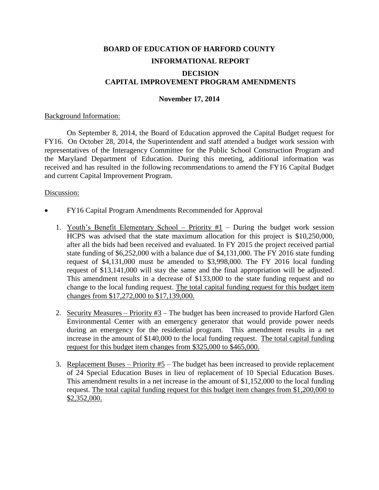# **BOARD OF EDUCATION OF HARFORD COUNTY INFORMATIONAL REPORT DECISION CAPITAL IMPROVEMENT PROGRAM AMENDMENTS**

# **November 17, 2014**

## Background Information:

On September 8, 2014, the Board of Education approved the Capital Budget request for FY16. On October 28, 2014, the Superintendent and staff attended a budget work session with representatives of the Interagency Committee for the Public School Construction Program and the Maryland Department of Education. During this meeting, additional information was received and has resulted in the following recommendations to amend the FY16 Capital Budget and current Capital Improvement Program.

# Discussion:

- FY16 Capital Program Amendments Recommended for Approval
	- 1. Youth's Benefit Elementary School Priority  $#1$  During the budget work session HCPS was advised that the state maximum allocation for this project is \$10,250,000, after all the bids had been received and evaluated. In FY 2015 the project received partial state funding of \$6,252,000 with a balance due of \$4,131,000. The FY 2016 state funding request of \$4,131,000 must be amended to \$3,998,000. The FY 2016 local funding request of \$13,141,000 will stay the same and the final appropriation will be adjusted. This amendment results in a decrease of \$133,000 to the state funding request and no change to the local funding request. The total capital funding request for this budget item changes from \$17,272,000 to \$17,139,000.
	- 2. Security Measures Priority  $#3$  The budget has been increased to provide Harford Glen Environmental Center with an emergency generator that would provide power needs during an emergency for the residential program. This amendment results in a net increase in the amount of \$140,000 to the local funding request. The total capital funding request for this budget item changes from \$325,000 to \$465,000.
	- 3. Replacement Buses Priority  $#5$  The budget has been increased to provide replacement of 24 Special Education Buses in lieu of replacement of 10 Special Education Buses. This amendment results in a net increase in the amount of \$1,152,000 to the local funding request. The total capital funding request for this budget item changes from \$1,200,000 to \$2,352,000.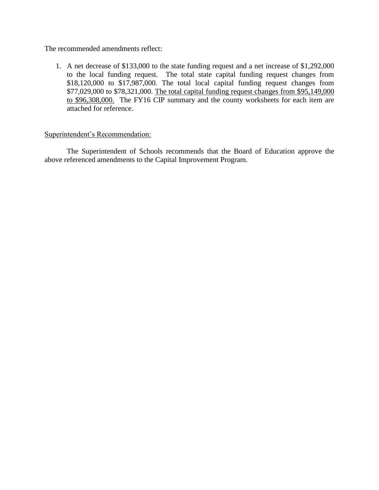The recommended amendments reflect:

1. A net decrease of \$133,000 to the state funding request and a net increase of \$1,292,000 to the local funding request. The total state capital funding request changes from \$18,120,000 to \$17,987,000. The total local capital funding request changes from \$77,029,000 to \$78,321,000. The total capital funding request changes from \$95,149,000 to \$96,308,000. The FY16 CIP summary and the county worksheets for each item are attached for reference.

# Superintendent's Recommendation:

The Superintendent of Schools recommends that the Board of Education approve the above referenced amendments to the Capital Improvement Program.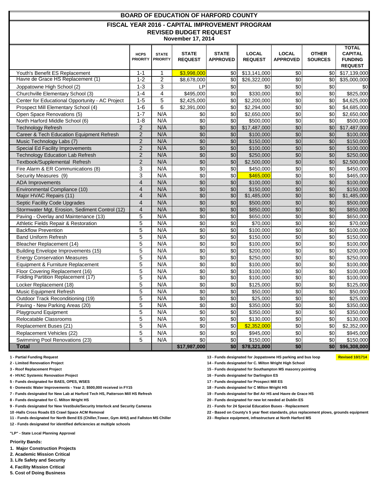|                                                 |                                |                                 | <b>BOARD OF EDUCATION OF HARFORD COUNTY</b>    |                                 |                                |                                 |                                |                                                                    |
|-------------------------------------------------|--------------------------------|---------------------------------|------------------------------------------------|---------------------------------|--------------------------------|---------------------------------|--------------------------------|--------------------------------------------------------------------|
|                                                 |                                |                                 | FISCAL YEAR 2016 - CAPITAL IMPROVEMENT PROGRAM |                                 |                                |                                 |                                |                                                                    |
|                                                 |                                |                                 | <b>REVISED BUDGET REQUEST</b>                  |                                 |                                |                                 |                                |                                                                    |
|                                                 |                                |                                 | <b>November 17, 2014</b>                       |                                 |                                |                                 |                                |                                                                    |
|                                                 | <b>HCPS</b><br><b>PRIORITY</b> | <b>STATE</b><br><b>PRIORITY</b> | <b>STATE</b><br><b>REQUEST</b>                 | <b>STATE</b><br><b>APPROVED</b> | <b>LOCAL</b><br><b>REQUEST</b> | <b>LOCAL</b><br><b>APPROVED</b> | <b>OTHER</b><br><b>SOURCES</b> | <b>TOTAL</b><br><b>CAPITAL</b><br><b>FUNDING</b><br><b>REQUEST</b> |
| Youth's Benefit ES Replacement                  | $1 - 1$                        | 1                               | \$3,998,000                                    | \$0                             | \$13,141,000                   | \$0                             | \$01                           | \$17,139,000                                                       |
| Havre de Grace HS Replacement (1)               | $1 - 2$                        | 2                               | \$8,678,000                                    | \$0                             | \$26,322,000                   | $\sqrt{6}$                      | \$0                            | \$35,000,000                                                       |
| Joppatowne High School (2)                      | $1 - 3$                        | 3                               | LP                                             | \$0                             | \$0                            | \$0                             | \$0                            | \$0                                                                |
| Churchville Elementary School (3)               | $1 - 4$                        | 4                               | \$495,000                                      | \$0                             | \$330,000                      | \$0                             | \$0                            | \$825,000                                                          |
| Center for Educational Opportunity - AC Project | $1 - 5$                        | 5                               | \$2,425,000                                    | \$0                             | \$2,200,000                    | \$0                             | \$0                            | \$4,625,000                                                        |
| Prospect Mill Elementary School (4)             | $1 - 6$                        | 6                               | \$2,391,000                                    | \$0                             | \$2,294,000                    | \$0                             | \$0                            | \$4,685,000                                                        |
| Open Space Renovations (5)                      | $1 - 7$                        | N/A                             | \$0                                            | \$0                             | \$2,650,000                    | \$0                             | \$0                            | \$2,650,000                                                        |
| North Harford Middle School (6)                 | $1 - 8$                        | N/A                             | \$0                                            | \$0                             | \$500,000                      | \$0                             | \$0                            | \$500,000                                                          |
| <b>Technology Refresh</b>                       | $\overline{2}$                 | N/A                             | \$0                                            | \$0                             | \$17,487,000                   | \$0                             | \$0                            | \$17,487,000                                                       |
| Career & Tech Education Equipment Refresh       | $\overline{2}$                 | N/A                             | \$0                                            | \$0                             | \$100,000                      | \$0                             | \$0                            | \$100,000                                                          |
| Music Technology Labs (7)                       | $\overline{c}$                 | N/A                             | \$0                                            | \$0                             | \$150,000                      | \$0                             | \$0                            | \$150,000                                                          |
| Special Ed Facility Improvements                | $\overline{c}$                 | N/A                             | \$0                                            | \$0                             | \$100,000                      | \$0                             | \$0                            | \$100,000                                                          |
| <b>Technology Education Lab Refresh</b>         | $\overline{2}$                 | N/A                             | \$0                                            | \$0                             | \$250,000                      | \$0                             | \$0                            | \$250,000                                                          |
| Textbook/Supplemental Refresh                   | $\overline{2}$                 | N/A                             | \$0                                            | \$0                             | \$2,500,000                    | \$0                             | \$0                            | \$2,500,000                                                        |
| Fire Alarm & ER Communications (8)              | 3                              | N/A                             | \$0                                            | \$0                             | \$450,000                      | \$0                             | \$0                            | \$450,000                                                          |
| Security Measures (9)                           | 3                              | N/A                             | \$0                                            | \$0                             | \$465,000                      | \$0                             | \$0                            | \$465,000                                                          |
| <b>ADA</b> Improvements                         | 4                              | N/A                             | \$0                                            | \$0                             | \$100,000                      | \$0                             | \$0                            | \$100,000                                                          |
| Environmental Compliance (10)                   | $\overline{4}$                 | N/A                             | \$0                                            | \$0                             | \$150,000                      | \$0                             | \$0                            | \$150,000                                                          |
| Major HVAC Repairs (11)                         | $\overline{4}$                 | N/A                             | \$0                                            | \$0                             | \$1,485,000                    | \$0                             | \$0                            | $\overline{1,485,000}$                                             |
| Septic Facility Code Upgrades                   | $\overline{4}$                 | N/A                             | \$0                                            | \$0                             | \$500,000                      | \$0                             | \$0                            | \$500,000                                                          |
| Stormwater Mgt, Erosion, Sediment Control (12)  | 4                              | N/A                             | \$0                                            | \$0                             | \$850,000                      | \$0                             | \$0                            | \$850,000                                                          |
| Paving - Overlay and Maintenance (13)           | 5                              | N/A                             | \$0                                            | \$0                             | \$650,000                      | \$0                             | \$0                            | \$650,000                                                          |
| Athletic Fields Repair & Restoration            | 5                              | N/A                             | \$0                                            | \$0                             | \$70,000                       | \$0                             | \$0                            | \$70,000                                                           |
| <b>Backflow Prevention</b>                      | 5                              | N/A                             | \$0                                            | \$0                             | \$100,000                      | \$0                             | \$0                            | \$100,000                                                          |
| <b>Band Uniform Refresh</b>                     | 5                              | N/A                             | \$0                                            | \$0                             | \$150,000                      | \$0                             | \$0                            | \$150,000                                                          |
| Bleacher Replacement (14)                       | 5                              | N/A                             | \$0                                            | \$0                             | \$100,000                      | \$0                             | \$0                            | \$100,000                                                          |
| Building Envelope Improvements (15)             | 5                              | N/A                             | \$0                                            | \$0                             | \$200,000                      | \$0                             | \$0                            | \$200,000                                                          |
| <b>Energy Conservation Measures</b>             | 5                              | N/A                             | \$0                                            | \$0                             | \$250,000                      | \$0                             | \$0                            | \$250,000                                                          |
| Equipment & Furniture Replacement               | 5                              | N/A                             | \$0                                            | \$0                             | \$100,000                      | \$0                             | \$0                            | \$100,000                                                          |
| Floor Covering Replacement (16)                 | 5                              | N/A                             | \$0                                            | \$0                             | \$100,000                      | \$0                             | \$0                            | \$100,000                                                          |
| <b>Folding Partition Replacement (17)</b>       | 5                              | N/A                             | \$0                                            | \$0                             | \$100,000                      | \$0                             | \$0                            | \$100,000                                                          |
| Locker Replacement (18)                         | 5                              | N/A                             | \$0                                            | \$0                             | \$125,000                      | \$0                             | \$0                            | \$125,000                                                          |
| Music Equipment Refresh                         | 5                              | N/A                             | \$0                                            | $\frac{6}{3}$                   | \$50,000                       | $$0$$                           | \$0                            | \$50,000                                                           |
| Outdoor Track Reconditioning (19)               | 5                              | N/A                             | \$0                                            | \$0                             | \$25,000                       | \$0                             | \$0                            | \$25,000                                                           |
| Paving - New Parking Areas (20)                 | 5                              | N/A                             | \$0                                            | \$0                             | \$350,000                      | \$0                             | \$0                            | \$350,000                                                          |
| Playground Equipment                            | 5                              | N/A                             | \$0                                            | \$0                             | \$350,000                      | \$0                             | \$0                            | \$350,000                                                          |
| Relocatable Classrooms                          | 5                              | N/A                             | \$0                                            | \$0                             | \$130,000                      | \$0                             | \$0                            | \$130,000                                                          |
| Replacement Buses (21)                          | 5                              | N/A                             | \$0                                            | \$0                             | \$2,352,000                    | \$0                             | \$0                            | \$2,352,000                                                        |
| Replacement Vehicles (22)                       | 5                              | N/A                             | \$0                                            | \$0                             | \$945,000                      | \$0                             | \$0                            | \$945,000                                                          |
| Swimming Pool Renovations (23)                  | 5                              | N/A                             | \$0                                            | \$0                             | \$150,000                      | \$0                             | \$0                            | \$150,000                                                          |
| <b>Total</b>                                    |                                |                                 | \$17,987,000                                   | \$0                             | \$78,321,000                   | \$0                             | \$0                            | \$96,308,000                                                       |

**2 - Limited Renovation Project 14 - Funds designated for C. Milton Wright High School** 

**3 - Roof Replacement Project 15 - Funds designated for Southampton MS masonry pointing**

**4 - HVAC Systemic Renovation Project 16 - Funds designated for Darlington ES**

**5 - Funds designated for BAES, OPES, WSES 17 - Funds designated for Prospect Mill ES**

- **6 Domestic Water Improvements Year 2; \$500,000 received in FY15 18 Funds designated for C Milton Wright HS**
- **7 Funds designated for New Lab at Harford Tech HS, Patterson Mill HS Refresh 19 Funds designated for Bel Air HS and Havre de Grace HS**
- **8 Funds designated for C. Milton Wright HS 20 Funds designated for new lot needed at Dublin ES**
- **9 Funds designated for New Vestibule/Security Interlock and Security Cameras 21 Funds for 24 Special Education Buses Replacement**
- 
- **11 Funds designated for North Bend ES (Chiller,Tower, Gym AHU) and Fallston MS Chiller 23 Replace equipment, infrastructure at North Harford MS**
- **12 Funds designated for identified deficiencies at multiple schools**

**"LP" - State Local Planning Approval**

### **Priority Bands:**

- **1. Major Construction Projects**
- **2. Academic Mission Critical**
- **3. Life Safety and Security**
- **4. Facility Mission Critical**
- **5. Cost of Doing Business**
- **1 Partial Funding Request 13 Funds designated for Joppatowne HS parking and bus loop Revised 10/1714**
	-
	-
	-
	-
	-
	-
	-
	-
- **10 -Halls Cross Roads ES Crawl Space ACM Removal 22 Based on County's 5 year fleet standards, plus replacement plows, grounds equipment**
	-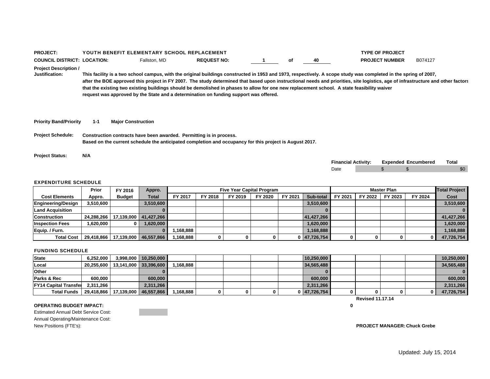| <b>PROJECT:</b>                                |                                      | YOUTH BENEFIT ELEMENTARY SCHOOL REPLACEMENT                         |                                                                                                                                                                                                                                                                                                                                                                                                                                                                                                                                                                                              |    |                            | <b>TYPE OF PROJECT</b> |                            |       |
|------------------------------------------------|--------------------------------------|---------------------------------------------------------------------|----------------------------------------------------------------------------------------------------------------------------------------------------------------------------------------------------------------------------------------------------------------------------------------------------------------------------------------------------------------------------------------------------------------------------------------------------------------------------------------------------------------------------------------------------------------------------------------------|----|----------------------------|------------------------|----------------------------|-------|
| <b>COUNCIL DISTRICT: LOCATION:</b>             |                                      | Fallston, MD                                                        | <b>REQUEST NO:</b>                                                                                                                                                                                                                                                                                                                                                                                                                                                                                                                                                                           | оf | 40                         | <b>PROJECT NUMBER</b>  | B074127                    |       |
| <b>Project Description /</b><br>Justification: |                                      |                                                                     | This facility is a two school campus, with the original buildings constructed in 1953 and 1973, respectively. A scope study was completed in the spring of 2007,<br>after the BOE approved this project in FY 2007. The study determined that based upon instructional needs and priorities, site logistics, age of infrastructure and other factors<br>that the existing two existing buildings should be demolished in phases to allow for one new replacement school. A state feasibility waiver<br>request was approved by the State and a determination on funding support was offered. |    |                            |                        |                            |       |
| <b>Priority Band/Priority</b>                  | $1 - 1$<br><b>Major Construction</b> |                                                                     |                                                                                                                                                                                                                                                                                                                                                                                                                                                                                                                                                                                              |    |                            |                        |                            |       |
| <b>Project Schedule:</b>                       |                                      | Construction contracts have been awarded. Permitting is in process. | Based on the current schedule the anticipated completion and occupancy for this project is August 2017.                                                                                                                                                                                                                                                                                                                                                                                                                                                                                      |    |                            |                        |                            |       |
| <b>Project Status:</b>                         | N/A                                  |                                                                     |                                                                                                                                                                                                                                                                                                                                                                                                                                                                                                                                                                                              |    |                            |                        |                            |       |
|                                                |                                      |                                                                     |                                                                                                                                                                                                                                                                                                                                                                                                                                                                                                                                                                                              |    | <b>Financial Activity:</b> |                        | <b>Expended Encumbered</b> | Total |
|                                                |                                      |                                                                     |                                                                                                                                                                                                                                                                                                                                                                                                                                                                                                                                                                                              |    | Date                       | \$                     |                            | \$0   |

|                         | Prior      | FY 2016       | Appro.                | <b>Five Year Capital Program</b> |         |         |         |         |              | <b>Master Plan</b> |         |         |         | <b>Total Project</b> |
|-------------------------|------------|---------------|-----------------------|----------------------------------|---------|---------|---------|---------|--------------|--------------------|---------|---------|---------|----------------------|
| <b>Cost Elements</b>    | Appro.     | <b>Budget</b> | <b>Total</b>          | FY 2017                          | FY 2018 | FY 2019 | FY 2020 | FY 2021 | Sub-total    | FY 2021            | FY 2022 | FY 2023 | FY 2024 | Cost                 |
| Engineering/Design      | 3,510,600  |               | 3,510,600             |                                  |         |         |         |         | 3,510,600    |                    |         |         |         | 3,510,600            |
| <b>Land Acquisition</b> |            |               |                       |                                  |         |         |         |         |              |                    |         |         |         |                      |
| <b>Construction</b>     | 24.288.266 |               | 17.139.000 41.427.266 |                                  |         |         |         |         | 41.427.266   |                    |         |         |         | 41.427.266           |
| <b>Inspection Fees</b>  | 1,620,000  |               | 1.620.000             |                                  |         |         |         |         | 1,620,000    |                    |         |         |         | 1,620,000            |
| Equip. / Furn.          |            |               |                       | .168.888                         |         |         |         |         | 1,168,888    |                    |         |         |         | 1,168,888            |
| <b>Total Cost</b>       | 29.418.866 | 17,139,000    | 46,557,866            | ,168,888                         |         |         |         |         | 0 47,726,754 |                    |         |         |         | 47,726,754           |

### FUNDING SCHEDULE

| <b>State</b>                 | 6.252.000 | 3.998.000               | 10.250.000                           |          |  |  | 10.250.000   |                         |  | 10.250.000   |
|------------------------------|-----------|-------------------------|--------------------------------------|----------|--|--|--------------|-------------------------|--|--------------|
| Local                        |           |                         | 20,255,600   13,141,000   33,396,600 | .168.888 |  |  | 34,565,488   |                         |  | 34.565.488   |
| Other                        |           |                         |                                      |          |  |  |              |                         |  | $\mathbf{0}$ |
| <b>Parks &amp; Rec</b>       | 600.000   |                         | 600,000                              |          |  |  | 600,000      |                         |  | 600,000      |
| <b>FY14 Capital Transfer</b> | 2.311.266 |                         | 2.311.266                            |          |  |  | 2,311,266    |                         |  | 2,311,266    |
| <b>Total Funds</b>           |           | 29.418.866   17.139.000 | 46.557.866                           | .168.888 |  |  | 0 47.726.754 |                         |  | 47,726,754   |
|                              |           |                         |                                      |          |  |  |              | <b>Revised 11.17.14</b> |  |              |

**0**

## **OPERATING BUDGET IMPACT:**

Estimated Annual Debt Service Cost: Annual Operating/Maintenance Cost: New Positions (FTE's): **PROJECT MANAGER: Chuck Grebe**

 $\mathbf 0$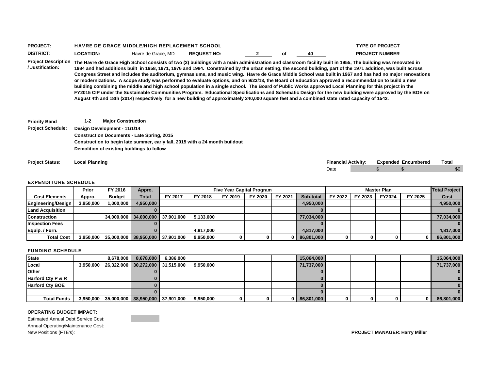| <b>PROJECT</b>  |                 | <b>HAVRE DE GRACE MIDDLE/HIGH REPLACEMENT SCHOOL</b> |                    |    |    | <b>TYPE OF PROJECT</b> |
|-----------------|-----------------|------------------------------------------------------|--------------------|----|----|------------------------|
| <b>DISTRICT</b> | <b>OCATION:</b> | Havre de Grace, MD                                   | <b>REQUEST NO:</b> | Οī | 40 | <b>PROJECT NUMBER</b>  |

**Project Description The Havre de Grace High School consists of two (2) buildings with a main administration and classroom facility built in 1955, The building was renovated in / Justification:1984 and had additions built in 1958, 1971, 1976 and 1984. Constrained by the urban setting, the second building, part of the 1971 addition, was built across Congress Street and includes the auditorium, gymnasiums, and music wing. Havre de Grace Middle School was built in 1967 and has had no major renovations or modernizations. A scope study was performed to evaluate options, and on 9/23/13, the Board of Education approved a recommendation to build a new building combining the middle and high school population in a single school. The Board of Public Works approved Local Planning for this project in the FY2015 CIP under the Sustainable Communities Program. Educational Specifications and Schematic Design for the new building were approved by the BOE on August 4th and 18th (2014) respectively, for a new building of approximately 240,000 square feet and a combined state rated capacity of 1542.**

**Priority Band 1-2 Major Construction Project Schedule: Design Development - 11/1/14 Construction Documents - Late Spring, 2015 Construction to begin late summer, early fall, 2015 with a 24 month buildout Demolition of existing buildings to follow**

| <b>Project Status:</b> | .<br>Local Plannino | <b>Financial Activity:</b> | Expended<br>Encumbered | <b>Total</b> |
|------------------------|---------------------|----------------------------|------------------------|--------------|
|                        |                     | Date                       |                        | \$0          |

### EXPENDITURE SCHEDULE

|                           | Prior     | FY 2016                    | Appro.    | <b>Five Year Capital Program</b> |           |         |         |         |            | <b>Master Plan</b> |         |        |          | <b>Total Project</b> |
|---------------------------|-----------|----------------------------|-----------|----------------------------------|-----------|---------|---------|---------|------------|--------------------|---------|--------|----------|----------------------|
| <b>Cost Elements</b>      | Appro.    | <b>Budget</b>              | Total     | FY 2017                          | FY 2018   | FY 2019 | FY 2020 | FY 2021 | Sub-total  | FY 2022            | FY 2023 | FY2024 | FY 2025  | Cost                 |
| <b>Engineering/Design</b> | 3,950,000 | 1.000.000                  | 4.950.000 |                                  |           |         |         |         | 4.950.000  |                    |         |        |          | 4,950,000            |
| <b>Land Acquisition</b>   |           |                            |           |                                  |           |         |         |         |            |                    |         |        |          |                      |
| <b>Construction</b>       |           | 34.000.000                 |           | 34.000.000 37.901.000            | 5.133.000 |         |         |         | 77.034.000 |                    |         |        |          | 77.034.000           |
| <b>Inspection Fees</b>    |           |                            |           |                                  |           |         |         |         |            |                    |         |        |          |                      |
| Equip. / Furn.            |           |                            |           |                                  | 4,817,000 |         |         |         | 4,817,000  |                    |         |        |          | 4,817,000            |
| <b>Total Cost</b>         |           | $3,950,000$   $35,000,000$ |           | 38,950,000 37,901,000            | 9,950,000 |         |         |         | 86,801,000 |                    |         |        | $\bf{0}$ | 86,801,000           |

#### FUNDING SCHEDULE

| <b>State</b>           | 8.678.000 | 8.678.000 | 6.386.000                                        |           |  | 15.064.000       |  |  | 15,064,000 |
|------------------------|-----------|-----------|--------------------------------------------------|-----------|--|------------------|--|--|------------|
| <b>Local</b>           |           |           | 3,950,000   26,322,000   30,272,000   31,515,000 | 9,950,000 |  | 71,737,000       |  |  | 71,737,000 |
| <b>Other</b>           |           |           |                                                  |           |  |                  |  |  |            |
| Harford Cty P & R      |           |           |                                                  |           |  |                  |  |  |            |
| <b>Harford Cty BOE</b> |           |           |                                                  |           |  |                  |  |  |            |
|                        |           |           |                                                  |           |  |                  |  |  |            |
| <b>Total Funds</b>     |           |           | 3,950,000 35,000,000 38,950,000 37,901,000       | 9,950,000 |  | $0$   86,801,000 |  |  | 86,801,000 |

### **OPERATING BUDGET IMPACT:**

Estimated Annual Debt Service Cost: Annual Operating/Maintenance Cost: New Positions (FTE's): **PROJECT MANAGER: Harry Miller**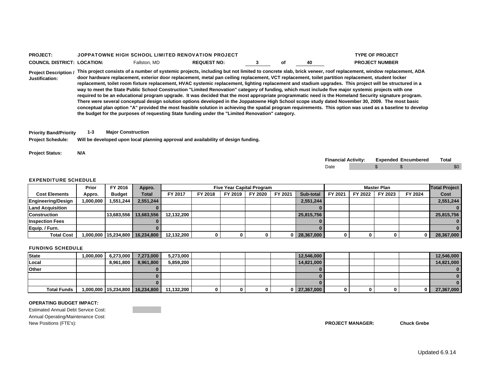## **PROJECT:** JOPPATOWNE HIGH SCHOOL LIMITED RENOVATION PROJECT**COUNCIL DISTRICT: LOCATION:** Fallston, MD **REQUEST NO: 3 of 40 PROJECT NUMBER**

**TYPE OF PROJECT**

**Project Description / This project consists of a number of systemic projects, including but not limited to concrete slab, brick veneer, roof replacement, window replacement, ADA Justification:door hardware replacement, exterior door replacement, metal pan ceiling replacement, VCT replacement, toilet partition replacement, student locker replacement, toilet room fixture replacement, HVAC systemic replacement, lighting replacement and stadium upgrades. This project will be structured in a way to meet the State Public School Construction "Limited Renovation" category of funding, which must include five major systemic projects with one required to be an educational program upgrade. It was decided that the most appropriate programmatic need is the Homeland Security signature program. There were several conceptual design solution options developed in the Joppatowne High School scope study dated November 30, 2009. The most basic conceptual plan option "A" provided the most feasible solution in achieving the spatial program requirements. This option was used as a baseline to develop the budget for the purposes of requesting State funding under the "Limited Renovation" category.** 

**Priority Band/Priority 1-3 Major Construction**

**Project Schedule: Will be developed upon local planning approval and availability of design funding.**

**Project Status: N/A**

| <b>Financial Activity:</b> |  | <b>Expended Encumbered</b> | Total |
|----------------------------|--|----------------------------|-------|
| Date                       |  |                            |       |

### EXPENDITURE SCHEDULE

|                         | Prior     | FY 2016                | Appro.       | <b>Five Year Capital Program</b> |         |         |         |         |            | <b>Master Plan</b> |         |         |         | <b>Total Project</b> |
|-------------------------|-----------|------------------------|--------------|----------------------------------|---------|---------|---------|---------|------------|--------------------|---------|---------|---------|----------------------|
| <b>Cost Elements</b>    | Appro.    | <b>Budget</b>          | <b>Total</b> | FY 2017                          | FY 2018 | FY 2019 | FY 2020 | FY 2021 | Sub-total  | FY 2021            | FY 2022 | FY 2023 | FY 2024 | Cost                 |
| Engineering/Design      | 1.000.000 | 244.551,551            | 2.551.244    |                                  |         |         |         |         | 2.551.244  |                    |         |         |         | 2,551,244            |
| <b>Land Acquisition</b> |           |                        |              |                                  |         |         |         |         |            |                    |         |         |         |                      |
| <b>Construction</b>     |           | 13.683.556             | 13,683,556   | 12,132,200                       |         |         |         |         | 25.815.756 |                    |         |         |         | 25,815,756           |
| <b>Inspection Fees</b>  |           |                        |              |                                  |         |         |         |         |            |                    |         |         |         |                      |
| Equip. / Furn.          |           |                        |              |                                  |         |         |         |         |            |                    |         |         |         |                      |
| <b>Total Cost</b>       |           | 1,000,000   15,234,800 | 16,234,800   | 12,132,200                       | 0       |         |         |         | 28,367,000 |                    |         |         |         | 28,367,000           |

### FUNDING SCHEDULE

| <b>State</b>       | 1,000,000 | 6,273,000 | 7,273,000                           | 5,273,000  |  |  | 12,546,000       |  |              | 12,546,000 |
|--------------------|-----------|-----------|-------------------------------------|------------|--|--|------------------|--|--------------|------------|
| Local              |           | 8,961,800 | 8,961,800                           | 5,859,200  |  |  | 14,821,000       |  |              | 14,821,000 |
| <b>Other</b>       |           |           |                                     |            |  |  |                  |  |              |            |
|                    |           |           |                                     |            |  |  |                  |  |              |            |
|                    |           |           |                                     |            |  |  |                  |  |              |            |
| <b>Total Funds</b> |           |           | 1,000,000   15,234,800   16,234,800 | 11,132,200 |  |  | $0$   27,367,000 |  | $\mathbf{0}$ | 27,367,000 |

### **OPERATING BUDGET IMPACT:**

Estimated Annual Debt Service Cost: Annual Operating/Maintenance Cost: New Positions (FTE's): **PROJECT MANAGER: Chuck Grebe**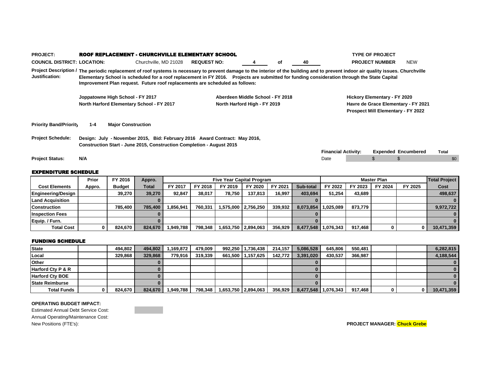|                                    | Prior                            | FY 2016                   | Appro.                                    |                                                                              | <b>Five Year Capital Program</b>                                           |    |    |                                                                                                                                                                                                                                                                                                                                     | <b>Master Plan</b>           |                                     | <b>Total Project</b> |
|------------------------------------|----------------------------------|---------------------------|-------------------------------------------|------------------------------------------------------------------------------|----------------------------------------------------------------------------|----|----|-------------------------------------------------------------------------------------------------------------------------------------------------------------------------------------------------------------------------------------------------------------------------------------------------------------------------------------|------------------------------|-------------------------------------|----------------------|
| <b>EXPENDITURE SCHEDULE</b>        |                                  |                           |                                           |                                                                              |                                                                            |    |    |                                                                                                                                                                                                                                                                                                                                     |                              |                                     |                      |
| <b>Project Status:</b>             | N/A                              |                           |                                           |                                                                              |                                                                            |    |    | Date                                                                                                                                                                                                                                                                                                                                |                              |                                     | \$0                  |
|                                    |                                  |                           |                                           |                                                                              |                                                                            |    |    | <b>Financial Activity:</b>                                                                                                                                                                                                                                                                                                          |                              | <b>Expended Encumbered</b>          | Total                |
|                                    |                                  |                           |                                           | Construction Start - June 2015, Construction Completion - August 2015        |                                                                            |    |    |                                                                                                                                                                                                                                                                                                                                     |                              |                                     |                      |
| <b>Project Schedule:</b>           |                                  |                           |                                           |                                                                              | Design: July - November 2015, Bid: February 2016 Award Contract: May 2016, |    |    |                                                                                                                                                                                                                                                                                                                                     |                              |                                     |                      |
| <b>Priority Band/Priority</b>      | 1-4                              | <b>Major Construction</b> |                                           |                                                                              |                                                                            |    |    |                                                                                                                                                                                                                                                                                                                                     |                              |                                     |                      |
|                                    |                                  |                           |                                           |                                                                              |                                                                            |    |    |                                                                                                                                                                                                                                                                                                                                     |                              | Prospect Mill Elementary - FY 2022  |                      |
|                                    |                                  |                           | North Harford Elementary School - FY 2017 |                                                                              | North Harford High - FY 2019                                               |    |    |                                                                                                                                                                                                                                                                                                                                     |                              | Havre de Grace Elementary - FY 2021 |                      |
|                                    | Joppatowne High School - FY 2017 |                           |                                           |                                                                              | Aberdeen Middle School - FY 2018                                           |    |    |                                                                                                                                                                                                                                                                                                                                     | Hickory Elementary - FY 2020 |                                     |                      |
| <b>Justification:</b>              |                                  |                           |                                           | Improvement Plan request. Future roof replacements are scheduled as follows: |                                                                            |    |    | Project Description / The periodic replacement of roof systems is necessary to prevent damage to the interior of the building and to prevent indoor air quality issues. Churchville<br>Elementary School is scheduled for a roof replacement in FY 2016. Projects are submitted for funding consideration through the State Capital |                              |                                     |                      |
| <b>COUNCIL DISTRICT: LOCATION:</b> |                                  |                           | Churchville, MD 21028                     | <b>REQUEST NO:</b>                                                           |                                                                            | οf | 40 |                                                                                                                                                                                                                                                                                                                                     | <b>PROJECT NUMBER</b>        | <b>NEW</b>                          |                      |
| <b>PROJECT:</b>                    |                                  |                           |                                           | ROOF REPLACEMENT - CHURCHVILLE ELEMENTARY SCHOOL                             |                                                                            |    |    |                                                                                                                                                                                                                                                                                                                                     | <b>TYPE OF PROJECT</b>       |                                     |                      |

|                         | Prior  | <b>FT ZUID</b> | дррго.       |           |         | Five Tear Capital Program |                     |         |           |           |         | master Plan |         | <b>Total Project</b> |
|-------------------------|--------|----------------|--------------|-----------|---------|---------------------------|---------------------|---------|-----------|-----------|---------|-------------|---------|----------------------|
| <b>Cost Elements</b>    | Appro. | <b>Budget</b>  | <b>Total</b> | FY 2017   | FY 2018 | FY 2019                   | FY 2020             | FY 2021 | Sub-total | FY 2022   | FY 2023 | FY 2024     | FY 2025 | Cost                 |
| Engineering/Design      |        | 39.270         | 39.270       | 92.847    | 38.017  | 78.750                    | 137.813             | 16.997  | 403.694   | 51.254    | 43.689  |             |         | 498,637              |
| <b>Land Acquisition</b> |        |                |              |           |         |                           |                     |         |           |           |         |             |         |                      |
| <b>Construction</b>     |        | 785.400        | 785,400      | 856.941.  | 760.331 |                           | 1,575,000 2,756,250 | 339.932 | 8.073.854 | 1.025.089 | 873.779 |             |         | 9,972,722            |
| <b>Inspection Fees</b>  |        |                |              |           |         |                           |                     |         |           |           |         |             |         |                      |
| Equip. / Furn.          |        |                |              |           |         |                           |                     |         |           |           |         |             |         |                      |
| <b>Total Cost</b>       |        | 824.670        | 824.670      | 1.949.788 | 798.348 |                           | 1,653,750 2,894,063 | 356.929 | 8,477,548 | 1,076,343 | 917.468 |             | 01      | 10,471,359           |

## FUNDING SCHEDULE

| <b>State</b>           | 494.802 | 494.802 | .169.872  | 479.009 | 992,250 1,736,438   | 214.157         | 5.086.528             | 645.806 | 550.481 |                | 6.282.815  |
|------------------------|---------|---------|-----------|---------|---------------------|-----------------|-----------------------|---------|---------|----------------|------------|
| Local                  | 329.868 | 329,868 | 779.916   | 319.339 | 661,500   1,157,625 | $142,772$ $\mu$ | 3.391.020             | 430.537 | 366.987 |                | 4.188.544  |
| Other                  |         |         |           |         |                     |                 |                       |         |         |                |            |
| Harford Cty P & R      |         |         |           |         |                     |                 |                       |         |         |                |            |
| <b>Harford Cty BOE</b> |         |         |           |         |                     |                 |                       |         |         |                |            |
| <b>State Reimburse</b> |         |         |           |         |                     |                 |                       |         |         |                |            |
| <b>Total Funds</b>     | 824.670 | 824.670 | 1,949,788 | 798,348 | 1,653,750 2,894,063 | 356,929         | 8,477,548   1,076,343 |         | 917.468 | 0 <sub>l</sub> | 10,471,359 |

### **OPERATING BUDGET IMPACT:**

Estimated Annual Debt Service Cost: Annual Operating/Maintenance Cost: New Positions (FTE's): **PROJECT MANAGER: Chuck Grebe**

**Contract Contract**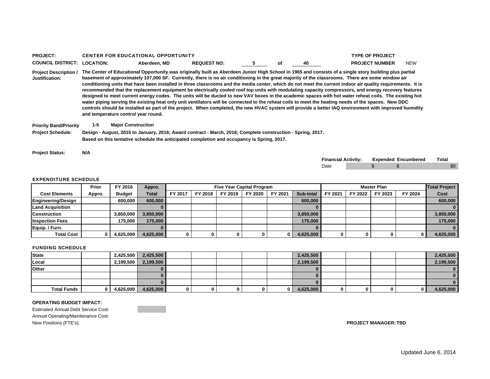| <b>PROJECT:</b>                                |         |                                     |              | <b>CENTER FOR EDUCATIONAL OPPORTUNITY</b>                                                                                                                                                                                                                                                                                                                                                                                                                                                                                                                                                                                                                                                                                                                                                                                                                                                                                                                                                                                                                                                                |                                  |    |    |                            | <b>TYPE OF PROJECT</b> |                            |                      |
|------------------------------------------------|---------|-------------------------------------|--------------|----------------------------------------------------------------------------------------------------------------------------------------------------------------------------------------------------------------------------------------------------------------------------------------------------------------------------------------------------------------------------------------------------------------------------------------------------------------------------------------------------------------------------------------------------------------------------------------------------------------------------------------------------------------------------------------------------------------------------------------------------------------------------------------------------------------------------------------------------------------------------------------------------------------------------------------------------------------------------------------------------------------------------------------------------------------------------------------------------------|----------------------------------|----|----|----------------------------|------------------------|----------------------------|----------------------|
| <b>COUNCIL DISTRICT: LOCATION:</b>             |         |                                     | Aberdeen, MD | <b>REQUEST NO:</b>                                                                                                                                                                                                                                                                                                                                                                                                                                                                                                                                                                                                                                                                                                                                                                                                                                                                                                                                                                                                                                                                                       | 5.                               | οf | 40 |                            | <b>PROJECT NUMBER</b>  | <b>NEW</b>                 |                      |
| <b>Project Description /</b><br>Justification: |         | and temperature control year round. |              | The Center of Educational Opportunity was originally built as Aberdeen Junior High School in 1965 and consists of a single story building plus partial<br>basement of approximately 107,000 SF. Currently, there is no air conditioning in the great majority of the classrooms. There are some window air<br>conditioning units that have been installed in three classrooms and the media center, which do not meet the current indoor air quality requirements. It is<br>recommended that the replacement equipment be electrically cooled roof top units with modulating capacity compressors, and energy recovery features<br>designed to meet current energy codes. The units will be ducted to new VAV boxes in the academic spaces with hot water reheat coils. The existing hot<br>water piping serving the existing heat only unit ventilators will be connected to the reheat coils to meet the heating needs of the spaces. New DDC<br>controls should be installed as part of the project. When completed, the new HVAC system will provide a better IAQ environment with improved humidity |                                  |    |    |                            |                        |                            |                      |
| <b>Priority Band/Priority</b>                  | $1 - 5$ | <b>Major Construction</b>           |              |                                                                                                                                                                                                                                                                                                                                                                                                                                                                                                                                                                                                                                                                                                                                                                                                                                                                                                                                                                                                                                                                                                          |                                  |    |    |                            |                        |                            |                      |
| <b>Project Schedule:</b>                       |         |                                     |              | Design - August, 2015 to January, 2016; Award contract - March, 2016; Complete construction - Spring, 2017.                                                                                                                                                                                                                                                                                                                                                                                                                                                                                                                                                                                                                                                                                                                                                                                                                                                                                                                                                                                              |                                  |    |    |                            |                        |                            |                      |
|                                                |         |                                     |              | Based on this tentative schedule the anticipated completion and occupancy is Spring, 2017.                                                                                                                                                                                                                                                                                                                                                                                                                                                                                                                                                                                                                                                                                                                                                                                                                                                                                                                                                                                                               |                                  |    |    |                            |                        |                            |                      |
| <b>Project Status:</b>                         | N/A     |                                     |              |                                                                                                                                                                                                                                                                                                                                                                                                                                                                                                                                                                                                                                                                                                                                                                                                                                                                                                                                                                                                                                                                                                          |                                  |    |    | <b>Financial Activity:</b> |                        | <b>Expended Encumbered</b> | Total                |
|                                                |         |                                     |              |                                                                                                                                                                                                                                                                                                                                                                                                                                                                                                                                                                                                                                                                                                                                                                                                                                                                                                                                                                                                                                                                                                          |                                  |    |    | Date                       | £.                     |                            | \$0                  |
|                                                |         |                                     |              |                                                                                                                                                                                                                                                                                                                                                                                                                                                                                                                                                                                                                                                                                                                                                                                                                                                                                                                                                                                                                                                                                                          |                                  |    |    |                            |                        |                            |                      |
| <b>EXPENDITURE SCHEDULE</b>                    |         |                                     |              |                                                                                                                                                                                                                                                                                                                                                                                                                                                                                                                                                                                                                                                                                                                                                                                                                                                                                                                                                                                                                                                                                                          |                                  |    |    |                            |                        |                            |                      |
|                                                | Prior   | FY 2016                             | Appro.       |                                                                                                                                                                                                                                                                                                                                                                                                                                                                                                                                                                                                                                                                                                                                                                                                                                                                                                                                                                                                                                                                                                          | <b>Five Year Capital Program</b> |    |    |                            | <b>Master Plan</b>     |                            | <b>Total Project</b> |
|                                                |         |                                     |              |                                                                                                                                                                                                                                                                                                                                                                                                                                                                                                                                                                                                                                                                                                                                                                                                                                                                                                                                                                                                                                                                                                          |                                  |    |    |                            |                        |                            |                      |

|                         | - - - - - |               | .            |         |         |         |         |         |           |         |         |         |         |           |
|-------------------------|-----------|---------------|--------------|---------|---------|---------|---------|---------|-----------|---------|---------|---------|---------|-----------|
| <b>Cost Elements</b>    | Appro.    | <b>Budget</b> | <b>Total</b> | FY 2017 | FY 2018 | FY 2019 | FY 2020 | FY 2021 | Sub-total | FY 2021 | FY 2022 | FY 2023 | FY 2024 | Cost      |
| Engineering/Design      |           | 600,000       | 600,000      |         |         |         |         |         | 600,000   |         |         |         |         | 600,000   |
| <b>Land Acquisition</b> |           |               |              |         |         |         |         |         |           |         |         |         |         |           |
| <b>Construction</b>     |           | 3,850,000     | 3.850.000    |         |         |         |         |         | 3,850,000 |         |         |         |         | 3,850,000 |
| <b>Inspection Fees</b>  |           | 175.000       | 175,000      |         |         |         |         |         | 175,000   |         |         |         |         | 175,000   |
| Equip. / Furn.          |           |               |              |         |         |         |         |         |           |         |         |         |         |           |
| <b>Total Cost</b>       |           | 4,625,000     | 4,625,000    |         | 0       | 0       |         |         | 4,625,000 | 0       |         |         | 0       | 4,625,000 |

### FUNDING SCHEDULE

| State              | 2,425,500 | 2,425,500 |   |    |   |     | 2,425,500 |   |  |   | 2,425,500 |
|--------------------|-----------|-----------|---|----|---|-----|-----------|---|--|---|-----------|
| Local              | 2,199,500 | 2,199,500 |   |    |   |     | 2,199,500 |   |  |   | 2,199,500 |
| <b>Other</b>       |           |           |   |    |   |     |           |   |  |   |           |
|                    |           |           |   |    |   |     |           |   |  |   |           |
|                    |           |           |   |    |   |     |           |   |  |   |           |
| <b>Total Funds</b> | 4,625,000 | 4,625,000 | 0 | O. | 0 | n l | 4,625,000 | 0 |  | 0 | 4,625,000 |

### **OPERATING BUDGET IMPACT:**

Estimated Annual Debt Service Cost: Annual Operating/Maintenance Cost:<br>New Positions (FTE's):  $PROJECT MANAGER: TBD$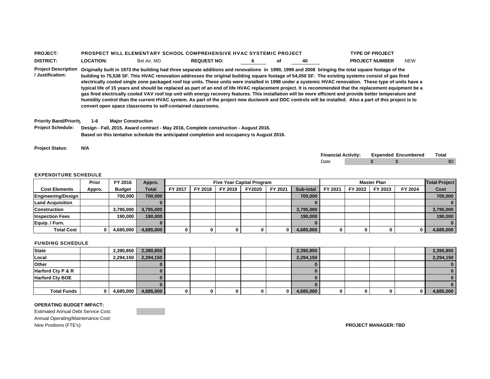| <b>PROJECT</b>   |                  |             | <b>PROSPECT MILL ELEMENTARY SCHOOL COMPREHENSIVE HVAC SYSTEMIC PROJECT</b> |  |    | <b>TYPE OF PROJECT</b> |            |
|------------------|------------------|-------------|----------------------------------------------------------------------------|--|----|------------------------|------------|
| <b>DISTRICT:</b> | <b>_OCATION:</b> | Bel Air, MD | <b>REQUEST NO:</b>                                                         |  | 40 | <b>PROJECT NUMBER</b>  | <b>NEW</b> |

**Project Description Originally built in 1973 the building had three separate additions and renovations in 1990, 1999 and 2008 bringing the total square footage of the / Justification:building to 75,538 SF. This HVAC renovation addresses the original building square footage of 54,050 SF. The existing systems consist of gas fired electrically cooled single zone packaged roof top units. These units were installed in 1998 under a systemic HVAC renovation. These type of units have a typical life of 15 years and should be replaced as part of an end of life HVAC replacement project. It is recommended that the replacement equipment be a gas fired electrically cooled VAV roof top unit with energy recovery features. This installation will be more efficient and provide better temperature and humidity control than the current HVAC system. As part of the project new ductwork and DDC controls will be installed. Also a part of this project is to convert open space classrooms to self-contained classrooms.**

**Priority Band/Priority 1-6 Major Construction**

**Project Schedule: Design - Fall, 2015, Award contract - May 2016, Complete construction - August 2016. Based on this tentative schedule the anticipated completion and occupancy is August 2016.**

**Project Status: N/A**

| <b>Financial Activity:</b> |  | <b>Expended Encumbered</b> | Total |
|----------------------------|--|----------------------------|-------|
| Date                       |  |                            |       |

#### EXPENDITURE SCHEDULE

|                           | Prior  | FY 2016       | Appro.       |         | <b>Five Year Capital Program</b><br><b>Master Plan</b><br>FY 2023<br>FY 2018<br>FY 2019<br>FY2020<br>FY 2021<br>FY 2021<br>Sub-total<br>FY 2022<br>700.000<br>3,795,000 |  |   |  |           |   |  | <b>Total Project</b> |           |
|---------------------------|--------|---------------|--------------|---------|-------------------------------------------------------------------------------------------------------------------------------------------------------------------------|--|---|--|-----------|---|--|----------------------|-----------|
| <b>Cost Elements</b>      | Appro. | <b>Budget</b> | <b>Total</b> | FY 2017 |                                                                                                                                                                         |  |   |  |           |   |  | FY 2024              | Cost      |
| <b>Engineering/Design</b> |        | 700,000       | 700.000      |         |                                                                                                                                                                         |  |   |  |           |   |  |                      | 700,000   |
| <b>Land Acquisition</b>   |        |               |              |         |                                                                                                                                                                         |  |   |  |           |   |  |                      |           |
| <b>Construction</b>       |        | 3.795.000     | 3.795.000    |         |                                                                                                                                                                         |  |   |  |           |   |  |                      | 3,795,000 |
| <b>Inspection Fees</b>    |        | 190.000       | 190,000      |         |                                                                                                                                                                         |  |   |  | 190,000   |   |  |                      | 190,000   |
| Equip. / Furn.            |        |               |              |         |                                                                                                                                                                         |  |   |  |           |   |  |                      |           |
| <b>Total Cost</b>         |        | 4,685,000     | 4,685,000    |         |                                                                                                                                                                         |  | 0 |  | 4,685,000 | 0 |  |                      | 4,685,000 |

#### FUNDING SCHEDULE

| <b>State</b>           |              | 2,390,850 | 2,390,850 |  |  | 2,390,850 |  |  | 2,390,850 |
|------------------------|--------------|-----------|-----------|--|--|-----------|--|--|-----------|
| Local                  |              | 2,294,150 | 2,294,150 |  |  | 2,294,150 |  |  | 2,294,150 |
| <b>Other</b>           |              |           |           |  |  |           |  |  |           |
| Harford Cty P & R      |              |           |           |  |  |           |  |  |           |
| <b>Harford Cty BOE</b> |              |           |           |  |  |           |  |  |           |
|                        |              |           |           |  |  |           |  |  |           |
| <b>Total Funds</b>     | $\mathbf{0}$ | 4,685,000 | 4,685,000 |  |  | 4,685,000 |  |  | 4,685,000 |

### **OPERATING BUDGET IMPACT:**

Estimated Annual Debt Service Cost:Annual Operating/Maintenance Cost: New Positions (FTE's): **PROJECT MANAGER: TBD**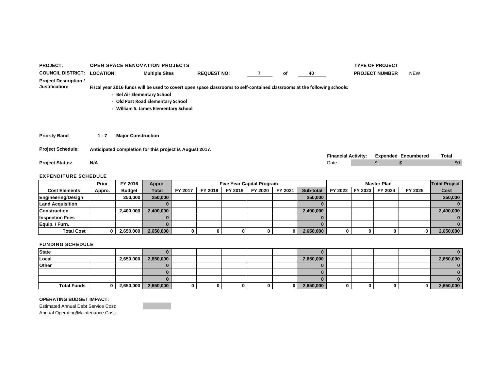| <b>PROJECT:</b>                                | <b>OPEN SPACE RENOVATION PROJECTS</b> |                                                                                                                                                                                                                                        |                    |    |                            | <b>TYPE OF PROJECT</b> |                            |       |
|------------------------------------------------|---------------------------------------|----------------------------------------------------------------------------------------------------------------------------------------------------------------------------------------------------------------------------------------|--------------------|----|----------------------------|------------------------|----------------------------|-------|
| <b>COUNCIL DISTRICT:</b>                       | <b>LOCATION:</b>                      | <b>Multiple Sites</b>                                                                                                                                                                                                                  | <b>REQUEST NO:</b> | оf | 40                         | <b>PROJECT NUMBER</b>  | <b>NEW</b>                 |       |
| <b>Project Description /</b><br>Justification: |                                       | Fiscal year 2016 funds will be used to covert open space classrooms to self-contained classrooms at the following schools:<br>- Bel Air Elementary School<br>- Old Post Road Elementary School<br>- William S. James Elementary School |                    |    |                            |                        |                            |       |
| <b>Priority Band</b>                           | <b>Major Construction</b><br>1 - 7    |                                                                                                                                                                                                                                        |                    |    |                            |                        |                            |       |
| <b>Project Schedule:</b>                       |                                       | Anticipated completion for this project is August 2017.                                                                                                                                                                                |                    |    | <b>Financial Activity:</b> |                        | <b>Expended Encumbered</b> | Total |
| <b>Project Status:</b>                         | N/A                                   |                                                                                                                                                                                                                                        |                    |    | Date                       | \$.                    | \$                         | \$0   |

|                        | Prior  | FY 2016       | Appro.       |         |         | <b>Five Year Capital Program</b> |         |         |           |         |         | <b>Master Plan</b> |              | <b>Total Project</b> |
|------------------------|--------|---------------|--------------|---------|---------|----------------------------------|---------|---------|-----------|---------|---------|--------------------|--------------|----------------------|
| <b>Cost Elements</b>   | Appro. | <b>Budget</b> | <b>Total</b> | FY 2017 | FY 2018 | FY 2019                          | FY 2020 | FY 2021 | Sub-total | FY 2022 | FY 2023 | FY 2024            | FY 2025      | Cost                 |
| Engineering/Design     |        | 250,000       | 250,000      |         |         |                                  |         |         | 250,000   |         |         |                    |              | 250,000              |
| Land Acquisition       |        |               |              |         |         |                                  |         |         |           |         |         |                    |              |                      |
| <b>Construction</b>    |        | 2,400,000     | 2,400,000    |         |         |                                  |         |         | 2,400,000 |         |         |                    |              | 2,400,000            |
| <b>Inspection Fees</b> |        |               |              |         |         |                                  |         |         |           |         |         |                    |              |                      |
| Equip. / Furn.         |        |               |              |         |         |                                  |         |         |           |         |         |                    |              |                      |
| <b>Total Cost</b>      |        | 2,650,000     | 2,650,000    |         |         | 0                                |         |         | 2,650,000 | 0       |         |                    | $\mathbf{0}$ | 2,650,000            |

### FUNDING SCHEDULE

| <b>State</b>       |     |           |           |   |    |   |           |  |  | $\mathbf{0}$ |
|--------------------|-----|-----------|-----------|---|----|---|-----------|--|--|--------------|
| Local              |     | 2,650,000 | 2,650,000 |   |    |   | 2,650,000 |  |  | 2,650,000    |
| Other              |     |           |           |   |    |   |           |  |  | $\mathbf{0}$ |
|                    |     |           |           |   |    |   |           |  |  | $\mathbf{0}$ |
|                    |     |           |           |   |    |   |           |  |  | $\mathbf{0}$ |
| <b>Total Funds</b> | n l | 2,650,000 | 2,650,000 | 0 | -0 | 0 | 2,650,000 |  |  | 2,650,000    |

### **OPERATING BUDGET IMPACT:**

Estimated Annual Debt Service Cost: Annual Operating/Maintenance Cost: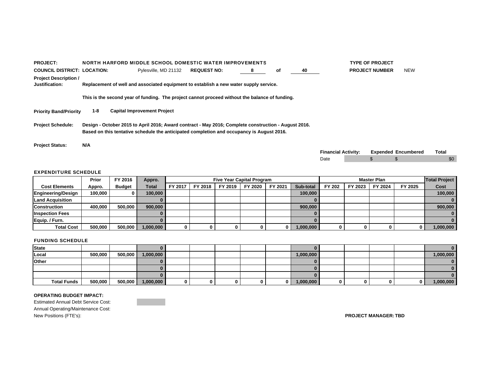| <b>PROJECT:</b>                                | NORTH HARFORD MIDDLE SCHOOL DOMESTIC WATER IMPROVEMENTS                                                                                                                                           |                                    |                    |   |    |    |                            | <b>TYPE OF PROJECT</b> |                            |              |
|------------------------------------------------|---------------------------------------------------------------------------------------------------------------------------------------------------------------------------------------------------|------------------------------------|--------------------|---|----|----|----------------------------|------------------------|----------------------------|--------------|
| <b>COUNCIL DISTRICT: LOCATION:</b>             |                                                                                                                                                                                                   | Pylesville, MD 21132               | <b>REQUEST NO:</b> | 8 | оf | 40 |                            | <b>PROJECT NUMBER</b>  | <b>NEW</b>                 |              |
| <b>Project Description /</b><br>Justification: | Replacement of well and associated equipment to establish a new water supply service.                                                                                                             |                                    |                    |   |    |    |                            |                        |                            |              |
|                                                | This is the second year of funding. The project cannot proceed without the balance of funding.                                                                                                    |                                    |                    |   |    |    |                            |                        |                            |              |
| <b>Priority Band/Priority</b>                  | 1-8                                                                                                                                                                                               | <b>Capital Improvement Project</b> |                    |   |    |    |                            |                        |                            |              |
| <b>Project Schedule:</b>                       | Design - October 2015 to April 2016; Award contract - May 2016; Complete construction - August 2016.<br>Based on this tentative schedule the anticipated completion and occupancy is August 2016. |                                    |                    |   |    |    |                            |                        |                            |              |
| <b>Project Status:</b>                         | N/A                                                                                                                                                                                               |                                    |                    |   |    |    |                            |                        |                            |              |
|                                                |                                                                                                                                                                                                   |                                    |                    |   |    |    | <b>Financial Activity:</b> |                        | <b>Expended Encumbered</b> | <b>Total</b> |
|                                                |                                                                                                                                                                                                   |                                    |                    |   |    |    | Date                       |                        |                            | \$0          |

|                         | Prior   | FY 2016       | Appro.    |         |         | <b>Five Year Capital Program</b> |         |         |           |        |         | <b>Master Plan</b> |              | <b>Total Project</b> |
|-------------------------|---------|---------------|-----------|---------|---------|----------------------------------|---------|---------|-----------|--------|---------|--------------------|--------------|----------------------|
| <b>Cost Elements</b>    | Appro.  | <b>Budget</b> | Total     | FY 2017 | FY 2018 | FY 2019                          | FY 2020 | FY 2021 | Sub-total | FY 202 | FY 2023 | FY 2024            | FY 2025      | Cost                 |
| Engineering/Design      | 100.000 |               | 100.000   |         |         |                                  |         |         | 100,000   |        |         |                    |              | 100.000              |
| <b>Land Acquisition</b> |         |               |           |         |         |                                  |         |         |           |        |         |                    |              |                      |
| <b>Construction</b>     | 400.000 | 500,000       | 900,000   |         |         |                                  |         |         | 900,000   |        |         |                    |              | 900,000              |
| <b>Inspection Fees</b>  |         |               |           |         |         |                                  |         |         |           |        |         |                    |              |                      |
| Equip. / Furn.          |         |               |           |         |         |                                  |         |         |           |        |         |                    |              |                      |
| <b>Total Cost</b>       | 500,000 | 500.000       | 1,000,000 |         |         |                                  |         |         | 1,000,000 |        |         |                    | $\mathbf{0}$ | 1,000,000            |

#### FUNDING SCHEDULE

| <b>State</b>       |         |         |           |  |   |           |   |  |           |
|--------------------|---------|---------|-----------|--|---|-----------|---|--|-----------|
| Local              | 500,000 | 500,000 | 1,000,000 |  |   | 1,000,000 |   |  | 1,000,000 |
| Other              |         |         |           |  |   |           |   |  |           |
|                    |         |         |           |  |   |           |   |  |           |
|                    |         |         |           |  |   |           |   |  |           |
| <b>Total Funds</b> | 500,000 | 500,000 | 1,000,000 |  | 0 | 1,000,000 | 0 |  | 1,000,000 |

#### **OPERATING BUDGET IMPACT:**

Estimated Annual Debt Service Cost: Annual Operating/Maintenance Cost: New Positions (FTE's): **PROJECT MANAGER: TBD**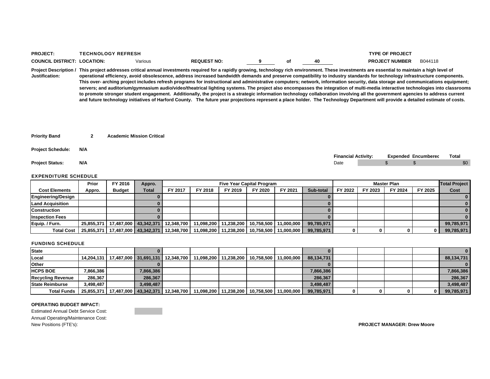| <b>PRO</b><br>∖⊪ | n |        |  |    |         |
|------------------|---|--------|--|----|---------|
| <b>COUR</b>      |   | arıous |  | 46 | B044118 |

**Project Description / This project addresses critical annual investments required for a rapidly growing, technology rich environment. These investments are essential to maintain a high level of Justification:operational efficiency, avoid obsolescence, address increased bandwidth demands and preserve compatibility to industry standards for technology infrastructure components. This over- arching project includes refresh programs for instructional and administrative computers; network, information security, data storage and communications equipment; servers; and auditorium/gymnasium audio/video/theatrical lighting systems. The project also encompasses the integration of multi-media interactive technologies into classrooms to promote stronger student engagement. Additionally, the project is a strategic information technology collaboration involving all the government agencies to address current and future technology initiatives of Harford County. The future year projections represent a place holder. The Technology Department will provide a detailed estimate of costs.**

|  | <b>Priority Band</b> |  | <b>Academic Mission Critical</b> |
|--|----------------------|--|----------------------------------|
|--|----------------------|--|----------------------------------|

**Project Schedule: N/A**

## **Financial Activity: Expended Encumbered Total Project Status: N/A** Date \$ \$ \$0

### EXPENDITURE SCHEDULE

|                           | Prior  | FY 2016                              | Appro. |            | <b>Five Year Capital Program</b> |            |                         |         |            |         | Master Plan |         |         |            |  |
|---------------------------|--------|--------------------------------------|--------|------------|----------------------------------|------------|-------------------------|---------|------------|---------|-------------|---------|---------|------------|--|
| <b>Cost Elements</b>      | Appro. | <b>Budget</b>                        | Total  | FY 2017    | FY 2018                          | FY 2019    | FY 2020                 | FY 2021 | Sub-total  | FY 2022 | FY 2023     | FY 2024 | FY 2025 | Cost       |  |
| <b>Engineering/Design</b> |        |                                      |        |            |                                  |            |                         |         |            |         |             |         |         |            |  |
| <b>Land Acquisition</b>   |        |                                      |        |            |                                  |            |                         |         |            |         |             |         |         |            |  |
| <b>Construction</b>       |        |                                      |        |            |                                  |            |                         |         |            |         |             |         |         |            |  |
| <b>Inspection Fees</b>    |        |                                      |        |            |                                  |            |                         |         |            |         |             |         |         |            |  |
| Equip. / Furn.            |        | 25,855,371   17,487,000   43,342,371 |        | 12,348,700 | 11,098,200                       | 11,238,200 | 10,758,500   11,000,000 |         | 99,785,971 |         |             |         |         | 99,785,971 |  |
| <b>Total Cost</b>         |        | 25,855,371   17,487,000   43,342,371 |        | 12,348,700 | 11,098,200                       | 11,238,200 | 10,758,500   11,000,000 |         | 99.785.971 |         |             |         |         | 99,785,971 |  |

### FUNDING SCHEDULE

| <b>State</b>             |           |                                      |           |                                                   |                                                   |  |            |  |  | $\mathbf{0}$ |
|--------------------------|-----------|--------------------------------------|-----------|---------------------------------------------------|---------------------------------------------------|--|------------|--|--|--------------|
| Local                    |           |                                      |           | 14,204,131   17,487,000   31,691,131   12,348,700 | 11,098,200   11,238,200   10,758,500   11,000,000 |  | 88,134,731 |  |  | 88,134,731   |
| <b>Other</b>             |           |                                      |           |                                                   |                                                   |  |            |  |  | $\Omega$     |
| <b>HCPS BOE</b>          | 7,866,386 |                                      | 7,866,386 |                                                   |                                                   |  | 7,866,386  |  |  | 7,866,386    |
| <b>Recycling Revenue</b> | 286,367   |                                      | 286,367   |                                                   |                                                   |  | 286.367    |  |  | 286,367      |
| <b>State Reimburse</b>   | 3,498,487 |                                      | 3.498.487 |                                                   |                                                   |  | 3,498,487  |  |  | 3,498,487    |
| <b>Total Funds</b>       |           | 25,855,371   17,487,000   43,342,371 |           | 12,348,700                                        | 11,098,200   11,238,200   10,758,500   11,000,000 |  | 99,785,971 |  |  | 99,785,971   |

### **OPERATING BUDGET IMPACT:**

Estimated Annual Debt Service Cost: Annual Operating/Maintenance Cost: New Positions (FTE's): **PROJECT MANAGER: Drew Moore**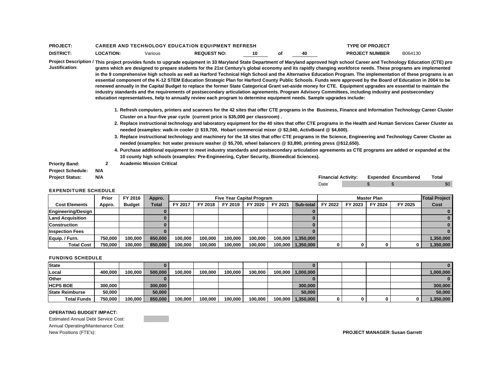| <b>PROJECT</b>   |           |         | <b>CAREER AND TECHNOLOGY EDUCATION EQUIPMENT REFRESH</b> |    |    | <b>TYPE OF PROJECT</b> |         |
|------------------|-----------|---------|----------------------------------------------------------|----|----|------------------------|---------|
| <b>DISTRICT.</b> | LOCATION: | Various | <b>REQUEST NO:</b>                                       | 10 | 40 | <b>PROJECT NUMBER</b>  | B064130 |

**Project Description / This project provides funds to upgrade equipment in 33 Maryland State Department of Maryland approved high school Career and Technology Education (CTE) pro Justification:grams which are designed to prepare students for the 21st Century's global economy and its rapidly changing workforce needs. These programs are implemented in the 9 comprehensive high schools as well as Harford Technical High School and the Alternative Education Program. The implementation of these programs is an essential component of the K-12 STEM Education Strategic Plan for Harford County Public Schools. Funds were approved by the Board of Education in 2004 to be renewed annually in the Capital Budget to replace the former State Categorical Grant set-aside money for CTE. Equipment upgrades are essential to maintain the industry standards and the requirements of postsecondary articulation agreements. Program Advisory Committees, including industry and postsecondary education representatives, help to annually review each program to determine equipment needs. Sample upgrades include:** 

- **1. Refresh computers, printers and scanners for the 42 sites that offer CTE programs in the Business, Finance and Information Technology Career Cluster Cluster on a four-five year cycle (current price is \$35,000 per classroom) .**
- **2. Replace instructional technology and laboratory equipment for the 40 sites that offer CTE programs in the Health and Human Services Career Cluster as needed (examples: walk-in cooler @ \$19,700, Hobart commercial mixer @ \$2,040, ActivBoard @ \$4,600).**
- **3. Replace instructional technology and machinery for the 18 sites that offer CTE programs in the Science, Engineering and Technology Career Cluster as needed (examples: hot water pressure washer @ \$5,700, wheel balancers @ \$3,890, printing press @\$12,650).**
- **4. Purchase additional equipment to meet industry standards and postsecondary articulation agreements as CTE programs are added or expanded at the 10 county high schools (examples: Pre-Engineering, Cyber Security, Biomedical Sciences).**
- **Priority Band: 2 Academic Mission Critical Project Schedule: N/A**

### EXPENDITURE SCHEDULE

| <b>Proiect Status:</b> | N/A | <b>Financial Activity:</b> | <b>Expended Encumbered</b> | Total |
|------------------------|-----|----------------------------|----------------------------|-------|
|                        |     | Date                       |                            | \$0   |

|                         | Prior   | FY 2016       | Appro.  |         |         | <b>Five Year Capital Program</b> |         |         |                     |         |         | <b>Master Plan</b> |         | <b>Total Project</b> |
|-------------------------|---------|---------------|---------|---------|---------|----------------------------------|---------|---------|---------------------|---------|---------|--------------------|---------|----------------------|
| <b>Cost Elements</b>    | Appro.  | <b>Budget</b> | Total   | FY 2017 | FY 2018 | FY 2019                          | FY 2020 | FY 2021 | Sub-total           | FY 2022 | FY 2023 | FY 2024            | FY 2025 | Cost                 |
| Engineering/Design      |         |               |         |         |         |                                  |         |         |                     |         |         |                    |         |                      |
| <b>Land Acquisition</b> |         |               |         |         |         |                                  |         |         |                     |         |         |                    |         |                      |
| <b>Construction</b>     |         |               |         |         |         |                                  |         |         |                     |         |         |                    |         |                      |
| <b>Inspection Fees</b>  |         |               |         |         |         |                                  |         |         |                     |         |         |                    |         |                      |
| Equip. / Furn.          | 750.000 | 100.000       | 850,000 | 100.000 | 100.000 | 100.000                          | 100.000 |         | 100.000   1.350.000 |         |         |                    |         | 1.350.000            |
| <b>Total Cost</b>       | 750.000 | 100.000       | 850,000 | 100.000 | 100.000 | 100.000                          | 100.000 |         | 100,000 1,350,000   |         |         |                    | 0       | 1,350,000            |

### FUNDING SCHEDULE

| <b>State</b>           |         |         |         |         |         |         |         |                   |  |   |           |
|------------------------|---------|---------|---------|---------|---------|---------|---------|-------------------|--|---|-----------|
| Local                  | 400.000 | 100.000 | 500,000 | 100.000 | 100.000 | 100.000 | 100.000 | 100,000 1,000,000 |  |   | 1.000.000 |
| <b>Other</b>           |         |         |         |         |         |         |         |                   |  |   |           |
| <b>HCPS BOE</b>        | 300,000 |         | 300,000 |         |         |         |         | 300.000           |  |   | 300,000   |
| <b>State Reimburse</b> | 50.000  |         | 50,000  |         |         |         |         | 50,000            |  |   | 50,000    |
| <b>Total Funds</b>     | 750,000 | 100.000 | 850,000 | 100,000 | 100,000 | 100.000 | 100,000 | 100,000 1,350,000 |  | 0 | 1,350,000 |

### **OPERATING BUDGET IMPACT:**

Estimated Annual Debt Service Cost: Annual Operating/Maintenance Cost: New Positions (FTE's): **PROJECT MANAGER:Susan Garrett**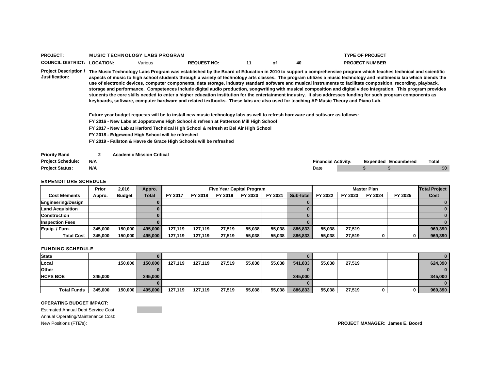| <b>PROJECT</b>           | <b>MUSIC TECHNOLOGY LABS PROGRAM</b> |         |                    |    |    | <b>TYPE OF PROJECT</b> |
|--------------------------|--------------------------------------|---------|--------------------|----|----|------------------------|
| <b>COUNCIL DISTRICT:</b> | <b>LOCATION:</b>                     | √arıous | <b>REQUEST NO:</b> | οı | 40 | <b>PROJECT NUMBER</b>  |

**Project Description / The Music Technology Labs Program was established by the Board of Education in 2010 to support a comprehensive program which teaches technical and scientific Justification:aspects of music to high school students through a variety of technology arts classes. The program utilizes a music technology and multimedia lab which blends the use of electronic devices, computer components, data storage, industry standard software and musical instruments to facilitate composition, recording, playback, storage and performance. Competences include digital audio production, songwriting with musical composition and digital video integration. This program provides students the core skills needed to enter a higher education institution for the entertainment industry. It also addresses funding for such program components as keyboards, software, computer hardware and related textbooks. These labs are also used for teaching AP Music Theory and Piano Lab.**

**Future year budget requests will be to install new music technology labs as well to refresh hardware and software as follows:**

**FY 2016 - New Labs at Joppatowne High School & refresh at Patterson Mill High School**

**FY 2017 - New Lab at Harford Technical High School & refresh at Bel Air High School**

**FY 2018 - Edgewood High School will be refreshed**

**FY 2019 - Fallston & Havre de Grace High Schools will be refreshed**

| <b>Priority Band</b>     |     | <b>Academic Mission Critical</b> |                            |  |                            |       |
|--------------------------|-----|----------------------------------|----------------------------|--|----------------------------|-------|
| <b>Project Schedule:</b> | N/A |                                  | <b>Financial Activity:</b> |  | <b>Expended Encumbered</b> | Total |
| <b>Project Status:</b>   | N/A |                                  | Date                       |  |                            | \$0   |

#### EXPENDITURE SCHEDULE

|                         | Prior   | 2.016         | Appro.       |         |         | <b>Five Year Capital Program</b> |         |         |           |         |         | <b>Master Plan</b> |         | <b>Total Project</b> |
|-------------------------|---------|---------------|--------------|---------|---------|----------------------------------|---------|---------|-----------|---------|---------|--------------------|---------|----------------------|
| <b>Cost Elements</b>    | Appro.  | <b>Budget</b> | <b>Total</b> | FY 2017 | FY 2018 | FY 2019                          | FY 2020 | FY 2021 | Sub-total | FY 2022 | FY 2023 | FY 2024            | FY 2025 | Cost                 |
| Engineering/Design      |         |               |              |         |         |                                  |         |         |           |         |         |                    |         |                      |
| <b>Land Acquisition</b> |         |               |              |         |         |                                  |         |         |           |         |         |                    |         |                      |
| <b>Construction</b>     |         |               |              |         |         |                                  |         |         |           |         |         |                    |         |                      |
| <b>Inspection Fees</b>  |         |               |              |         |         |                                  |         |         |           |         |         |                    |         |                      |
| Equip. / Furn.          | 345.000 | 150.000       | 495.000      | 127.119 | 127.119 | 27.519                           | 55.038  | 55.038  | 886,833   | 55.038  | 27.519  |                    |         | 969,390              |
| <b>Total Cost</b>       | 345,000 | 150.000       | 495.000      | 127.119 | 127.119 | 27,519                           | 55,038  | 55.038  | 886,833   | 55,038  | 27,519  |                    |         | 969,390              |

#### FUNDING SCHEDULE

| <b>State</b>       |         |         |         |         |         |        |        |        |         |        |        |  | 0        |
|--------------------|---------|---------|---------|---------|---------|--------|--------|--------|---------|--------|--------|--|----------|
| Local              |         | 150.000 | 150,000 | 127.119 | 127.119 | 27.519 | 55,038 | 55.038 | 541,833 | 55,038 | 27,519 |  | 624,390  |
| <b>Other</b>       |         |         |         |         |         |        |        |        |         |        |        |  | $\bf{0}$ |
| <b>HCPS BOE</b>    | 345.000 |         | 345,000 |         |         |        |        |        | 345,000 |        |        |  | 345,000  |
|                    |         |         |         |         |         |        |        |        |         |        |        |  | $\bf{0}$ |
| <b>Total Funds</b> | 345,000 | 150,000 | 495,000 | 127,119 | 127,119 | 27,519 | 55,038 | 55,038 | 886,833 | 55,038 | 27,519 |  | 969,390  |

### **OPERATING BUDGET IMPACT:**

Estimated Annual Debt Service Cost: Annual Operating/Maintenance Cost:

New Positions (FTE's): **PROJECT MANAGER: James E. Boord**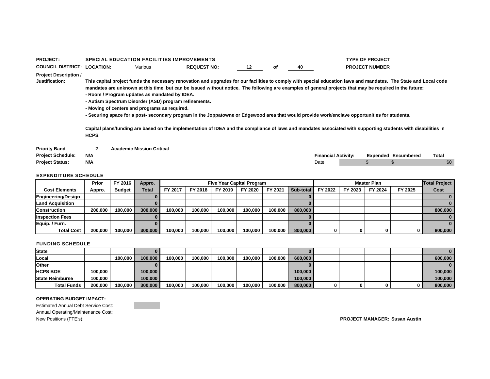| <b>PROJECT:</b>                                |              | <b>SPECIAL EDUCATION FACILITIES IMPROVEMENTS</b>                                                                                                        |                                                                                                                                                                                                                                                                                                                                                                                                                                                                                                                                                                                                                                                |    |    |      |                            | <b>TYPE OF PROJECT</b> |                            |       |
|------------------------------------------------|--------------|---------------------------------------------------------------------------------------------------------------------------------------------------------|------------------------------------------------------------------------------------------------------------------------------------------------------------------------------------------------------------------------------------------------------------------------------------------------------------------------------------------------------------------------------------------------------------------------------------------------------------------------------------------------------------------------------------------------------------------------------------------------------------------------------------------------|----|----|------|----------------------------|------------------------|----------------------------|-------|
| <b>COUNCIL DISTRICT: LOCATION:</b>             |              | Various                                                                                                                                                 | <b>REQUEST NO:</b>                                                                                                                                                                                                                                                                                                                                                                                                                                                                                                                                                                                                                             | 12 | оf | 40   |                            | <b>PROJECT NUMBER</b>  |                            |       |
| <b>Project Description /</b><br>Justification: | HCPS.        | - Room / Program updates as mandated by IDEA.<br>- Autism Spectrum Disorder (ASD) program refinements.<br>- Moving of centers and programs as required. | This capital project funds the necessary renovation and upgrades for our facilities to comply with special education laws and mandates. The State and Local code<br>mandates are unknown at this time, but can be issued without notice. The following are examples of general projects that may be required in the future:<br>- Securing space for a post- secondary program in the Joppatowne or Edgewood area that would provide work/enclave opportunities for students.<br>Capital plans/funding are based on the implementation of IDEA and the compliance of laws and mandates associated with supporting students with disabilities in |    |    |      |                            |                        |                            |       |
| <b>Priority Band</b>                           | $\mathbf{2}$ | <b>Academic Mission Critical</b>                                                                                                                        |                                                                                                                                                                                                                                                                                                                                                                                                                                                                                                                                                                                                                                                |    |    |      |                            |                        |                            |       |
| <b>Project Schedule:</b>                       | N/A          |                                                                                                                                                         |                                                                                                                                                                                                                                                                                                                                                                                                                                                                                                                                                                                                                                                |    |    |      | <b>Financial Activity:</b> |                        | <b>Expended Encumbered</b> | Total |
| <b>Project Status:</b>                         | N/A          |                                                                                                                                                         |                                                                                                                                                                                                                                                                                                                                                                                                                                                                                                                                                                                                                                                |    |    | Date |                            |                        |                            | \$0   |

|                         | Prior   | FY 2016       | Appro.  |         |         |         | <b>Five Year Capital Program</b> |         |                  |         |         | <b>Master Plan</b> |         | <b>Total Project</b> |
|-------------------------|---------|---------------|---------|---------|---------|---------|----------------------------------|---------|------------------|---------|---------|--------------------|---------|----------------------|
| <b>Cost Elements</b>    | Appro.  | <b>Budget</b> | Total   | FY 2017 | FY 2018 | FY 2019 | FY 2020                          | FY 202  | <b>Sub-total</b> | FY 2022 | FY 2023 | FY 2024            | FY 2025 | Cost                 |
| Engineering/Design      |         |               |         |         |         |         |                                  |         |                  |         |         |                    |         |                      |
| <b>Land Acquisition</b> |         |               |         |         |         |         |                                  |         |                  |         |         |                    |         |                      |
| <b>Construction</b>     | 200.000 | 100.000       | 300.000 | 100.000 | 100.000 | 100.000 | 100.000                          | 100.000 | 800,000          |         |         |                    |         | 800,000              |
| <b>Inspection Fees</b>  |         |               |         |         |         |         |                                  |         |                  |         |         |                    |         |                      |
| Equip. / Furn.          |         |               |         |         |         |         |                                  |         |                  |         |         |                    |         |                      |
| <b>Total Cost</b>       | 200.000 | 100.000       | 300,000 | 100,000 | 100.000 | 100.000 | 100,000                          | 100,000 | 800,000          |         |         |                    |         | 800,000              |

### FUNDING SCHEDULE

| <b>State</b>           |         |         |         |         |         |         |         |         |         |  |  | $\bf{0}$ |
|------------------------|---------|---------|---------|---------|---------|---------|---------|---------|---------|--|--|----------|
| Local                  |         | 100.000 | 100,000 | 100.000 | 100.000 | 100.000 | 100.000 | 100.000 | 600,000 |  |  | 600,000  |
| <b>Other</b>           |         |         |         |         |         |         |         |         |         |  |  | $\bf{0}$ |
| <b>HCPS BOE</b>        | 100.000 |         | 100,000 |         |         |         |         |         | 100,000 |  |  | 100.000  |
| <b>State Reimburse</b> | 100.000 |         | 100.000 |         |         |         |         |         | 100,000 |  |  | 100.000  |
| <b>Total Funds</b>     | 200,000 | 100,000 | 300,000 | 100.000 | 100.000 | 100,000 | 100,000 | 100.000 | 800,000 |  |  | 800,000  |

### **OPERATING BUDGET IMPACT:**

Estimated Annual Debt Service Cost: Annual Operating/Maintenance Cost: New Positions (FTE's): **PROJECT MANAGER: Susan Austin**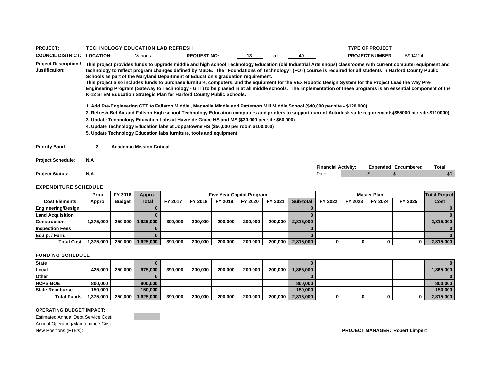| <b>PROJECT:</b>                                |                  | <b>TECHNOLOGY EDUCATION LAB REFRESH</b> |                                                                                                                                                                                                                                                                                                                                                                                                                                                                                                                                                                                                                                                                                                                                                                                                                                                                                                                                                                                                                                                                                                                                                                                                                                                                                                                                                                                            |    |    |      | <b>TYPE OF PROJECT</b>     |                            |       |
|------------------------------------------------|------------------|-----------------------------------------|--------------------------------------------------------------------------------------------------------------------------------------------------------------------------------------------------------------------------------------------------------------------------------------------------------------------------------------------------------------------------------------------------------------------------------------------------------------------------------------------------------------------------------------------------------------------------------------------------------------------------------------------------------------------------------------------------------------------------------------------------------------------------------------------------------------------------------------------------------------------------------------------------------------------------------------------------------------------------------------------------------------------------------------------------------------------------------------------------------------------------------------------------------------------------------------------------------------------------------------------------------------------------------------------------------------------------------------------------------------------------------------------|----|----|------|----------------------------|----------------------------|-------|
| <b>COUNCIL DISTRICT:</b>                       | <b>LOCATION:</b> | Various                                 | <b>REQUEST NO:</b>                                                                                                                                                                                                                                                                                                                                                                                                                                                                                                                                                                                                                                                                                                                                                                                                                                                                                                                                                                                                                                                                                                                                                                                                                                                                                                                                                                         | 13 | of | 40   | <b>PROJECT NUMBER</b>      | B994124                    |       |
| <b>Project Description /</b><br>Justification: |                  |                                         | This project provides funds to upgrade middle and high school Technology Education (old Industrial Arts shops) classrooms with current computer equipment and<br>technology to reflect program changes defined by MSDE. The "Foundations of Technology" (FOT) course is required for all students in Harford County Public<br>Schools as part of the Maryland Department of Education's graduation requirement.<br>This project also includes funds to purchase furniture, computers, and the equipment for the VEX Robotic Design System for the Project Lead the Way Pre-<br>Engineering Program (Gateway to Technology - GTT) to be phased in at all middle schools. The implementation of these programs is an essential component of the<br>K-12 STEM Education Strategic Plan for Harford County Public Schools.<br>1. Add Pre-Engineering GTT to Fallston Middle , Magnolia Middle and Patterson Mill Middle School (\$40,000 per site - \$120,000)<br>2. Refresh Bel Air and Fallson High school Technology Education computers and printers to support current Autodesk suite requirements(\$55000 per site-\$110000)<br>3. Update Technology Education Labs at Havre de Grace HS and MS (\$30,000 per site \$60,000)<br>4. Update Technology Education labs at Joppatowne HS (\$50,000 per room \$100,000)<br>5. Update Technology Education labs furniture, tools and equipment |    |    |      |                            |                            |       |
| <b>Priority Band</b>                           | $\mathbf{2}$     | <b>Academic Mission Critical</b>        |                                                                                                                                                                                                                                                                                                                                                                                                                                                                                                                                                                                                                                                                                                                                                                                                                                                                                                                                                                                                                                                                                                                                                                                                                                                                                                                                                                                            |    |    |      |                            |                            |       |
| <b>Project Schedule:</b>                       | N/A              |                                         |                                                                                                                                                                                                                                                                                                                                                                                                                                                                                                                                                                                                                                                                                                                                                                                                                                                                                                                                                                                                                                                                                                                                                                                                                                                                                                                                                                                            |    |    |      |                            |                            |       |
|                                                |                  |                                         |                                                                                                                                                                                                                                                                                                                                                                                                                                                                                                                                                                                                                                                                                                                                                                                                                                                                                                                                                                                                                                                                                                                                                                                                                                                                                                                                                                                            |    |    |      | <b>Financial Activity:</b> | <b>Expended Encumbered</b> | Total |
| <b>Project Status:</b>                         | N/A              |                                         |                                                                                                                                                                                                                                                                                                                                                                                                                                                                                                                                                                                                                                                                                                                                                                                                                                                                                                                                                                                                                                                                                                                                                                                                                                                                                                                                                                                            |    |    | Date |                            |                            | \$0   |

|                         | Prior     | FY 2016       | Appro.    |         |         |         | <b>Five Year Capital Program</b> |         |           |         |         | <b>Master Plan</b> |         | <b>Total Project</b> |
|-------------------------|-----------|---------------|-----------|---------|---------|---------|----------------------------------|---------|-----------|---------|---------|--------------------|---------|----------------------|
| <b>Cost Elements</b>    | Appro.    | <b>Budget</b> | Total     | FY 2017 | FY 2018 | FY 2019 | FY 2020                          | FY 2021 | Sub-total | FY 2022 | FY 2023 | FY 2024            | FY 2025 | Cost                 |
| Engineering/Design      |           |               |           |         |         |         |                                  |         |           |         |         |                    |         |                      |
| <b>Land Acquisition</b> |           |               |           |         |         |         |                                  |         |           |         |         |                    |         |                      |
| <b>Construction</b>     | 1,375,000 | 250,000       | 1,625,000 | 390.000 | 200.000 | 200,000 | 200.000                          | 200,000 | 2,815,000 |         |         |                    |         | 2,815,000            |
| <b>Inspection Fees</b>  |           |               |           |         |         |         |                                  |         |           |         |         |                    |         |                      |
| Equip. / Furn.          |           |               |           |         |         |         |                                  |         |           |         |         |                    |         |                      |
| <b>Total Cost</b>       | 1,375,000 | 250,000       | 625,000   | 390.000 | 200,000 | 200,000 | 200,000                          | 200.000 | 2,815,000 |         |         |                    |         | 2,815,000            |

### FUNDING SCHEDULE

| <b>State</b>           |           |         |           |         |         |         |         |         |           |   |  | $\mathbf{0}$ |
|------------------------|-----------|---------|-----------|---------|---------|---------|---------|---------|-----------|---|--|--------------|
| Local                  | 425.000   | 250.000 | 675,000   | 390,000 | 200.000 | 200,000 | 200,000 | 200.000 | 1.865,000 |   |  | 1.865.000    |
| <b>Other</b>           |           |         |           |         |         |         |         |         |           |   |  | $\mathbf{0}$ |
| <b>HCPS BOE</b>        | 800.000   |         | 800,000   |         |         |         |         |         | 800,000   |   |  | 800,000      |
| <b>State Reimburse</b> | 150.000   |         | 150,000   |         |         |         |         |         | 150.000   |   |  | 150,000      |
| <b>Total Funds</b>     | 1,375,000 | 250,000 | 1,625,000 | 390.000 | 200.000 | 200,000 | 200,000 | 200.000 | 2,815,000 | Ω |  | 2,815,000    |

#### **OPERATING BUDGET IMPACT:**

Estimated Annual Debt Service Cost: Annual Operating/Maintenance Cost: New Positions (FTE's): **PROJECT MANAGER: Robert Limpert**

<u> Partido de </u>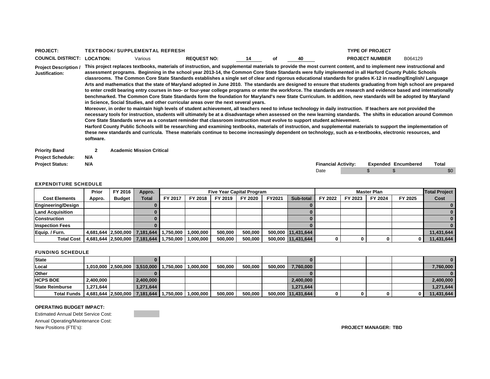| <b>PROJECT</b>          |                 | <b>TBOOK/ SUPPLEMENTAL</b> | . REFRESH          |    |   |     | OF PROJECT            |         |
|-------------------------|-----------------|----------------------------|--------------------|----|---|-----|-----------------------|---------|
| <b>COUNCIL DISTRICT</b> | <b>LOCATION</b> | Various                    | <b>REQUEST NO:</b> | 14 | o | 4 П | <b>PROJECT NUMBER</b> | B064129 |

**Project Description / Justification:This project replaces textbooks, materials of instruction, and supplemental materials to provide the most current content, and to implement new instructional and assessment programs. Beginning in the school year 2013-14, the Common Core State Standards were fully implemented in all Harford County Public Schools classrooms. The Common Core State Standards establishes a single set of clear and rigorous educational standards for grades K-12 in reading/English/ Language Arts and mathematics that the state of Maryland adopted in June 2010. The standards are designed to ensure that students graduating from high school are prepared to enter credit bearing entry courses in two- or four-year college programs or enter the workforce. The standards are research and evidence based and internationally benchmarked. The Common Core State Standards form the foundation for Maryland's new State Curriculum. In addition, new standards will be adopted by Maryland in Science, Social Studies, and other curricular areas over the next several years.**

> **Moreover, in order to maintain high levels of student achievement, all teachers need to infuse technology in daily instruction. If teachers are not provided the necessary tools for instruction, students will ultimately be at a disadvantage when assessed on the new learning standards. The shifts in education around Common Core State Standards serve as a constant reminder that classroom instruction must evolve to support student achievement.**

**Harford County Public Schools will be researching and examining textbooks, materials of instruction, and supplemental materials to support the implementation of these new standards and curricula. These materials continue to become increasingly dependent on technology, such as e-textbooks, electronic resources, and software.**

**Priority Band 2 Academic Mission Critical Project Schedule: N/A**

| .                      | .   |                            |                            |       |
|------------------------|-----|----------------------------|----------------------------|-------|
| <b>Project Status:</b> | N/A | <b>Financial Activity:</b> | <b>Expended Encumbered</b> | Tota. |
|                        |     |                            |                            |       |

| Financial Activity: |  | <b>Expended Encumbered</b> | Total |
|---------------------|--|----------------------------|-------|
| Date                |  |                            |       |

### EXPENDITURE SCHEDULE

|                         | Prior  | FY 2016       | Appro.                        |           |           |         | <b>Five Year Capital Program</b> |        |                    |         |         | <b>Master Plan</b> |         | <b>Total Project</b> |
|-------------------------|--------|---------------|-------------------------------|-----------|-----------|---------|----------------------------------|--------|--------------------|---------|---------|--------------------|---------|----------------------|
| <b>Cost Elements</b>    | Appro. | <b>Budget</b> | <b>Total</b>                  | FY 2017   | FY 2018   | FY 2019 | FY 2020                          | FY2021 | Sub-total          | FY 2022 | FY 2023 | FY 2024            | FY 2025 | Cost                 |
| Engineering/Design      |        |               |                               |           |           |         |                                  |        |                    |         |         |                    |         |                      |
| <b>Land Acquisition</b> |        |               |                               |           |           |         |                                  |        |                    |         |         |                    |         |                      |
| <b>Construction</b>     |        |               |                               |           |           |         |                                  |        |                    |         |         |                    |         |                      |
| <b>Inspection Fees</b>  |        |               |                               |           |           |         |                                  |        |                    |         |         |                    |         |                      |
| Equip / Furn.           |        |               | 4,681,644 2,500,000 7,181,644 | 1,750,000 | 1.000.000 | 500.000 | 500,000                          |        | 500,000 11,431,644 |         |         |                    |         | 11,431,644           |
| <b>Total Cost</b>       |        |               | 4,681,644 2,500,000 7,181,644 | 1,750,000 | 1,000,000 | 500,000 | 500,000                          |        | 500,000 11,431,644 |         |         |                    |         | 11,431,644           |

### FUNDING SCHEDULE

| <b>State</b>           |           |           |                                             |           |         |         |         |                    |   |   |            |
|------------------------|-----------|-----------|---------------------------------------------|-----------|---------|---------|---------|--------------------|---|---|------------|
| Local                  |           |           | 1,010,000 2,500,000 3,510,000 1,750,000     | 1.000.000 | 500.000 | 500,000 | 500.000 | 7.760.000          |   |   | 7,760,000  |
| <b>Other</b>           |           |           |                                             |           |         |         |         |                    |   |   |            |
| <b>HCPS BOE</b>        | 2,400,000 | 2.400,000 |                                             |           |         |         |         | 2,400,000          |   |   | 2,400,000  |
| <b>State Reimburse</b> | 1.271.644 | 1.271.644 |                                             |           |         |         |         | 1,271,644          |   |   | 1,271,644  |
| <b>Total Funds</b>     |           |           | $ 4,681,644 2,500,000 7,181,644 1,750,000 $ | 1,000,000 | 500.000 | 500.000 |         | 500,000 11,431,644 | 0 | 0 | 11,431,644 |

### **OPERATING BUDGET IMPACT:**

Estimated Annual Debt Service Cost:Annual Operating/Maintenance Cost: New Positions (FTE's): **PROJECT MANAGER: TBD**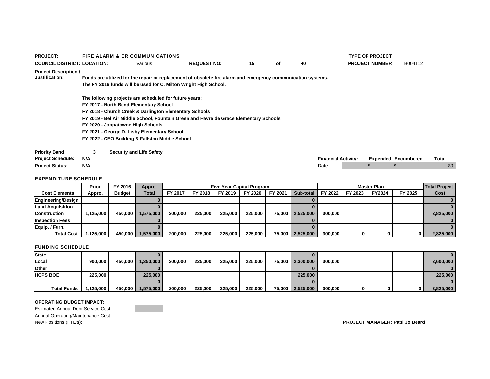| <b>PROJECT:</b>                    |     | <b>FIRE ALARM &amp; ER COMMUNICATIONS</b>                        |                                                                                                              |    |    |      |                            | <b>TYPE OF PROJECT</b> |                            |       |
|------------------------------------|-----|------------------------------------------------------------------|--------------------------------------------------------------------------------------------------------------|----|----|------|----------------------------|------------------------|----------------------------|-------|
| <b>COUNCIL DISTRICT: LOCATION:</b> |     | Various                                                          | <b>REQUEST NO:</b>                                                                                           | 15 | оf | 40   |                            | <b>PROJECT NUMBER</b>  | B004112                    |       |
| <b>Project Description /</b>       |     |                                                                  |                                                                                                              |    |    |      |                            |                        |                            |       |
| <b>Justification:</b>              |     |                                                                  | Funds are utilized for the repair or replacement of obsolete fire alarm and emergency communication systems. |    |    |      |                            |                        |                            |       |
|                                    |     | The FY 2016 funds will be used for C. Milton Wright High School. |                                                                                                              |    |    |      |                            |                        |                            |       |
|                                    |     | The following projects are scheduled for future years:           |                                                                                                              |    |    |      |                            |                        |                            |       |
|                                    |     | FY 2017 - North Bend Elementary School                           |                                                                                                              |    |    |      |                            |                        |                            |       |
|                                    |     | FY 2018 - Church Creek & Darlington Elementary Schools           |                                                                                                              |    |    |      |                            |                        |                            |       |
|                                    |     |                                                                  | FY 2019 - Bel Air Middle School, Fountain Green and Havre de Grace Elementary Schools                        |    |    |      |                            |                        |                            |       |
|                                    |     | FY 2020 - Joppatowne High Schools                                |                                                                                                              |    |    |      |                            |                        |                            |       |
|                                    |     | FY 2021 - George D. Lisby Elementary School                      |                                                                                                              |    |    |      |                            |                        |                            |       |
|                                    |     | FY 2022 - CEO Building & Fallston Middle School                  |                                                                                                              |    |    |      |                            |                        |                            |       |
| <b>Priority Band</b>               | 3   | <b>Security and Life Safety</b>                                  |                                                                                                              |    |    |      |                            |                        |                            |       |
| <b>Project Schedule:</b>           | N/A |                                                                  |                                                                                                              |    |    |      | <b>Financial Activity:</b> |                        | <b>Expended Encumbered</b> | Total |
| <b>Project Status:</b>             | N/A |                                                                  |                                                                                                              |    |    | Date |                            |                        |                            | \$0   |

|                           | Prior    | FY 2016       | Appro.       |         |         | <b>Five Year Capital Program</b> |         |         |                  |         |         | <b>Master Plan</b> |         | <b>Total Project</b> |
|---------------------------|----------|---------------|--------------|---------|---------|----------------------------------|---------|---------|------------------|---------|---------|--------------------|---------|----------------------|
| <b>Cost Elements</b>      | Appro.   | <b>Budget</b> | <b>Total</b> | FY 2017 | FY 2018 | FY 2019                          | FY 2020 | FY 2021 | Sub-total        | FY 2022 | FY 2023 | <b>FY2024</b>      | FY 2025 | Cost                 |
| <b>Engineering/Design</b> |          |               |              |         |         |                                  |         |         |                  |         |         |                    |         |                      |
| <b>Land Acquisition</b>   |          |               |              |         |         |                                  |         |         |                  |         |         |                    |         |                      |
| <b>Construction</b>       | ,125,000 | 450.000       | 1.575.000    | 200.000 | 225.000 | 225.000                          | 225.000 |         | 75,000 2,525,000 | 300,000 |         |                    |         | 2,825,000            |
| <b>Inspection Fees</b>    |          |               |              |         |         |                                  |         |         |                  |         |         |                    |         |                      |
| Equip. / Furn.            |          |               |              |         |         |                                  |         |         |                  |         |         |                    |         |                      |
| <b>Total Cost</b>         | .125.000 | 450.000       | 575,000      | 200,000 | 225,000 | 225.000                          | 225.000 |         | 75,000 2,525,000 | 300,000 |         |                    |         | 2,825,000            |

### FUNDING SCHEDULE

| <b>State</b>       |          |         |           |         |         |         |         |                  |         |   |   | $\mathbf{0}$ |
|--------------------|----------|---------|-----------|---------|---------|---------|---------|------------------|---------|---|---|--------------|
| Local              | 900.000  | 450.000 | 1,350,000 | 200.000 | 225.000 | 225.000 | 225,000 | 75,000 2,300,000 | 300,000 |   |   | 2,600,000    |
| <b>Other</b>       |          |         |           |         |         |         |         |                  |         |   |   | $\bf{0}$     |
| <b>HCPS BOE</b>    | 225.000  |         | 225,000   |         |         |         |         | 225,000          |         |   |   | 225,000      |
|                    |          |         |           |         |         |         |         |                  |         |   |   | $\bf{0}$     |
| <b>Total Funds</b> | ,125,000 | 450,000 | 1,575,000 | 200,000 | 225,000 | 225,000 | 225,000 | 75,000 2,525,000 | 300,000 | 0 | 0 | 2,825,000    |

#### **OPERATING BUDGET IMPACT:**

Estimated Annual Debt Service Cost: Annual Operating/Maintenance Cost:<br>New Positions (FTE's):

 $PROJECT MANAGER:$  **Patti Jo Beard**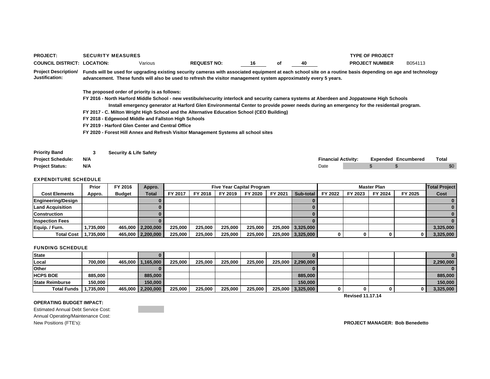| <b>PROJECT:</b>                               | <b>SECURITY MEASURES</b>                                                                                         |                    |    |    |    | <b>TYPE OF PROJECT</b>                                                                                                                                                                                                                                                                   |         |
|-----------------------------------------------|------------------------------------------------------------------------------------------------------------------|--------------------|----|----|----|------------------------------------------------------------------------------------------------------------------------------------------------------------------------------------------------------------------------------------------------------------------------------------------|---------|
| <b>COUNCIL DISTRICT: LOCATION:</b>            | Various                                                                                                          | <b>REQUEST NO:</b> | 16 | οf | 40 | <b>PROJECT NUMBER</b>                                                                                                                                                                                                                                                                    | B054113 |
| <b>Project Description/</b><br>Justification: | advancement. These funds will also be used to refresh the visitor management system approximately every 5 years. |                    |    |    |    | Funds will be used for upgrading existing security cameras with associated equipment at each school site on a routine basis depending on age and technology                                                                                                                              |         |
|                                               | The proposed order of priority is as follows:                                                                    |                    |    |    |    |                                                                                                                                                                                                                                                                                          |         |
|                                               |                                                                                                                  |                    |    |    |    | FY 2016 - North Harford Middle School - new vestibule/security interlock and security camera systems at Aberdeen and Joppatowne High Schools<br>Install emergency generator at Harford Glen Environmental Center to provide power needs during an emergency for the residentail program. |         |
|                                               | FY 2017 - C. Milton Wright High School and the Alternative Education School (CEO Building)                       |                    |    |    |    |                                                                                                                                                                                                                                                                                          |         |
|                                               | FY 2018 - Edgewood Middle and Fallston High Schools                                                              |                    |    |    |    |                                                                                                                                                                                                                                                                                          |         |
|                                               | FY 2019 - Harford Glen Center and Central Office                                                                 |                    |    |    |    |                                                                                                                                                                                                                                                                                          |         |
|                                               | FY 2020 - Forest Hill Annex and Refresh Visitor Management Systems all school sites                              |                    |    |    |    |                                                                                                                                                                                                                                                                                          |         |
| <b>Priority Band</b>                          | <b>Security &amp; Life Safety</b>                                                                                |                    |    |    |    |                                                                                                                                                                                                                                                                                          |         |

| <b>Project Schedule:</b> | N/A |  |  | Financial Activitv: |  | <b>Expended Encumbered</b> | Total |
|--------------------------|-----|--|--|---------------------|--|----------------------------|-------|
| <b>Project Status:</b>   | N/A |  |  | Date                |  |                            | \$0   |

|                         | Prior     | FY 2016       | Appro.              |         |         |         | <b>Five Year Capital Program</b> |         |                   |         |         | <b>Master Plan</b> |         | <b>Total Project</b> |
|-------------------------|-----------|---------------|---------------------|---------|---------|---------|----------------------------------|---------|-------------------|---------|---------|--------------------|---------|----------------------|
| <b>Cost Elements</b>    | Appro.    | <b>Budget</b> | <b>Total</b>        | FY 2017 | FY 2018 | FY 2019 | FY 2020                          | FY 2021 | Sub-total         | FY 2022 | FY 2023 | FY 2024            | FY 2025 | Cost                 |
| Engineering/Design      |           |               |                     |         |         |         |                                  |         |                   |         |         |                    |         |                      |
| <b>Land Acquisition</b> |           |               |                     |         |         |         |                                  |         |                   |         |         |                    |         |                      |
| <b>Construction</b>     |           |               |                     |         |         |         |                                  |         |                   |         |         |                    |         |                      |
| <b>Inspection Fees</b>  |           |               |                     |         |         |         |                                  |         |                   |         |         |                    |         |                      |
| Equip. / Furn.          | 1.735.000 |               | 465,000 2,200,000   | 225.000 | 225.000 | 225,000 | 225.000                          |         | 225,000 3,325,000 |         |         |                    |         | 3,325,000            |
| <b>Total Cost</b>       | .735.000  |               | 465,000   2,200,000 | 225.000 | 225.000 | 225,000 | 225.000                          |         | 225,000 3,325,000 |         |         |                    | 0       | 3,325,000            |

### FUNDING SCHEDULE

| <b>State</b>           |           |                   |         |         |         |         |                   |  |  | $\mathbf{0}$ |
|------------------------|-----------|-------------------|---------|---------|---------|---------|-------------------|--|--|--------------|
| Local                  | 700.000   | 465.000 1.165.000 | 225.000 | 225.000 | 225,000 | 225.000 | 225,000 2,290,000 |  |  | 2.290,000    |
| Other                  |           |                   |         |         |         |         |                   |  |  | $\mathbf{0}$ |
| <b>HCPS BOE</b>        | 885,000   | 885,000           |         |         |         |         | 885,000           |  |  | 885,000      |
| <b>State Reimburse</b> | 150,000   | 150,000           |         |         |         |         | 150.000           |  |  | 150,000      |
| <b>Total Funds</b>     | 1.735.000 | 465,000 2,200,000 | 225,000 | 225.000 | 225.000 | 225.000 | 225,000 3,325,000 |  |  | 3,325,000    |

**Revised 11.17.14**

#### **OPERATING BUDGET IMPACT:**

Estimated Annual Debt Service Cost: Annual Operating/Maintenance Cost:<br>New Positions (FTE's):

 $PROJECT MANAGER: Bob Benedetto$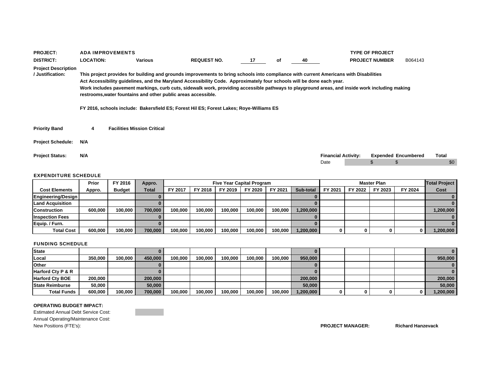| <b>PROJECT:</b>                                |                  | <b>ADA IMPROVEMENTS</b> |                                                               |                                                                                                                                                                                                                                                                                                                                                                                                                                                                                                             |    |    |    |                            | <b>TYPE OF PROJECT</b> |                            |       |
|------------------------------------------------|------------------|-------------------------|---------------------------------------------------------------|-------------------------------------------------------------------------------------------------------------------------------------------------------------------------------------------------------------------------------------------------------------------------------------------------------------------------------------------------------------------------------------------------------------------------------------------------------------------------------------------------------------|----|----|----|----------------------------|------------------------|----------------------------|-------|
| <b>DISTRICT:</b>                               | <b>LOCATION:</b> |                         | <b>Various</b>                                                | <b>REQUEST NO.</b>                                                                                                                                                                                                                                                                                                                                                                                                                                                                                          | 17 | оf | 40 |                            | <b>PROJECT NUMBER</b>  | B064143                    |       |
| <b>Project Description</b><br>/ Justification: |                  |                         | restrooms, water fountains and other public areas accessible. | This project provides for building and grounds improvements to bring schools into compliance with current Americans with Disabilities<br>Act Accessibility quidelines, and the Maryland Accessibility Code. Approximately four schools will be done each year.<br>Work includes pavement markings, curb cuts, sidewalk work, providing accessible pathways to playground areas, and inside work including making<br>FY 2016, schools include: Bakersfield ES; Forest Hil ES; Forest Lakes; Roye-Williams ES |    |    |    |                            |                        |                            |       |
| <b>Priority Band</b>                           | 4                |                         | <b>Facilities Mission Critical</b>                            |                                                                                                                                                                                                                                                                                                                                                                                                                                                                                                             |    |    |    |                            |                        |                            |       |
| <b>Project Schedule:</b>                       | N/A              |                         |                                                               |                                                                                                                                                                                                                                                                                                                                                                                                                                                                                                             |    |    |    |                            |                        |                            |       |
| <b>Project Status:</b>                         | N/A              |                         |                                                               |                                                                                                                                                                                                                                                                                                                                                                                                                                                                                                             |    |    |    | <b>Financial Activity:</b> |                        | <b>Expended Encumbered</b> | Total |
|                                                |                  |                         |                                                               |                                                                                                                                                                                                                                                                                                                                                                                                                                                                                                             |    |    |    | Date                       |                        |                            | \$0   |

|                         | Prior   | FY 2016       | Appro.  |         |         | <b>Five Year Capital Program</b> |         |         |           |         |         | <b>Master Plan</b> |         | <b>Total Project</b> |
|-------------------------|---------|---------------|---------|---------|---------|----------------------------------|---------|---------|-----------|---------|---------|--------------------|---------|----------------------|
| <b>Cost Elements</b>    | Appro.  | <b>Budget</b> | Total   | FY 2017 | FY 2018 | FY 2019                          | FY 2020 | FY 2021 | Sub-total | FY 2021 | FY 2022 | FY 2023            | FY 2024 | Cost                 |
| Engineering/Design      |         |               |         |         |         |                                  |         |         |           |         |         |                    |         |                      |
| <b>Land Acquisition</b> |         |               |         |         |         |                                  |         |         |           |         |         |                    |         |                      |
| <b>Construction</b>     | 600.000 | 100.000       | 700.000 | 100.000 | 100.000 | 100,000                          | 100.000 | 100.000 | 1,200,000 |         |         |                    |         | 1,200,000            |
| <b>Inspection Fees</b>  |         |               |         |         |         |                                  |         |         |           |         |         |                    |         |                      |
| Equip. / Furn.          |         |               |         |         |         |                                  |         |         |           |         |         |                    |         |                      |
| <b>Total Cost</b>       | 600.000 | 100.000       | 700.000 | 100.000 | 100.000 | 100,000                          | 100.000 | 100,000 | 1,200,000 |         |         |                    |         | 1,200,000            |

#### FUNDING SCHEDULE

| <b>State</b>           |         |         |         |         |         |         |         |         |           |   |  |   |           |
|------------------------|---------|---------|---------|---------|---------|---------|---------|---------|-----------|---|--|---|-----------|
| Local                  | 350,000 | 100.000 | 450.000 | 100.000 | 100,000 | 100,000 | 100.000 | 100.000 | 950,000   |   |  |   | 950,000   |
| <b>Other</b>           |         |         |         |         |         |         |         |         |           |   |  |   |           |
| Harford Cty P & R      |         |         |         |         |         |         |         |         |           |   |  |   | 0         |
| <b>Harford Cty BOE</b> | 200,000 |         | 200,000 |         |         |         |         |         | 200,000   |   |  |   | 200,000   |
| <b>State Reimburse</b> | 50.000  |         | 50,000  |         |         |         |         |         | 50,000    |   |  |   | 50,000    |
| <b>Total Funds</b>     | 600,000 | 100.000 | 700.000 | 100.000 | 100.000 | 100,000 | 100.000 | 100,000 | 1,200,000 | 0 |  | 0 | 1,200,000 |

### **OPERATING BUDGET IMPACT:**

Estimated Annual Debt Service Cost: Annual Operating/Maintenance Cost: New Positions (FTE's): **PROJECT MANAGER: Richard Hanzevack**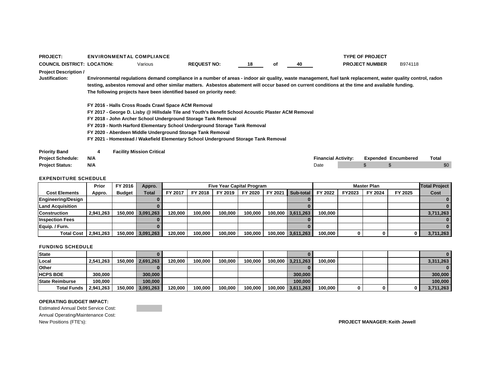| <b>PROJECT:</b>                                |     | <b>ENVIRONMENTAL COMPLIANCE</b>                            |                                                                                                                                                                                                                                                                                                                                                                                          |    |    |    |                            | <b>TYPE OF PROJECT</b> |                            |       |
|------------------------------------------------|-----|------------------------------------------------------------|------------------------------------------------------------------------------------------------------------------------------------------------------------------------------------------------------------------------------------------------------------------------------------------------------------------------------------------------------------------------------------------|----|----|----|----------------------------|------------------------|----------------------------|-------|
| <b>COUNCIL DISTRICT: LOCATION:</b>             |     | Various                                                    | <b>REQUEST NO:</b>                                                                                                                                                                                                                                                                                                                                                                       | 18 | оf | 40 |                            | <b>PROJECT NUMBER</b>  | B974118                    |       |
| <b>Project Description /</b><br>Justification: |     | FY 2016 - Halls Cross Roads Crawl Space ACM Removal        | Environmental regulations demand compliance in a number of areas - indoor air quality, waste management, fuel tank replacement, water quality control, radon<br>testing, asbestos removal and other similar matters. Asbestos abatement will occur based on current conditions at the time and available funding.<br>The following projects have been identified based on priority need: |    |    |    |                            |                        |                            |       |
|                                                |     | FY 2020 - Aberdeen Middle Underground Storage Tank Removal | FY 2017 - George D. Lisby @ Hillsdale Tile and Youth's Benefit School Acoustic Plaster ACM Removal<br>FY 2018 - John Archer School Underground Storage Tank Removal<br>FY 2019 - North Harford Elementary School Underground Storage Tank Removal<br>FY 2021 - Homestead / Wakefield Elementary School Underground Storage Tank Removal                                                  |    |    |    |                            |                        |                            |       |
| <b>Priority Band</b>                           | 4   | <b>Facility Mission Critical</b>                           |                                                                                                                                                                                                                                                                                                                                                                                          |    |    |    |                            |                        |                            |       |
| <b>Project Schedule:</b>                       | N/A |                                                            |                                                                                                                                                                                                                                                                                                                                                                                          |    |    |    | <b>Financial Activity:</b> |                        | <b>Expended Encumbered</b> | Total |
| <b>Project Status:</b>                         | N/A |                                                            |                                                                                                                                                                                                                                                                                                                                                                                          |    |    |    | Date                       | \$                     |                            | \$C   |

|                           | Prior     | FY 2016       | Appro.            |         |         | <b>Five Year Capital Program</b> |         |         |                   |         |        | <b>Master Plan</b> |         | <b>Total Project</b> |
|---------------------------|-----------|---------------|-------------------|---------|---------|----------------------------------|---------|---------|-------------------|---------|--------|--------------------|---------|----------------------|
| <b>Cost Elements</b>      | Appro.    | <b>Budget</b> | Total             | FY 2017 | FY 2018 | FY 2019                          | FY 2020 | FY 2021 | Sub-total         | FY 2022 | FY2023 | FY 2024            | FY 2025 | Cost                 |
| <b>Engineering/Design</b> |           |               |                   |         |         |                                  |         |         |                   |         |        |                    |         |                      |
| <b>Land Acquisition</b>   |           |               |                   |         |         |                                  |         |         |                   |         |        |                    |         |                      |
| <b>Construction</b>       | 2,941,263 |               | 150,000 3,091,263 | 120.000 | 100.000 | 100.000                          | 100.000 |         | 100,000 3,611,263 | 100.000 |        |                    |         | 3,711,263            |
| <b>Inspection Fees</b>    |           |               |                   |         |         |                                  |         |         |                   |         |        |                    |         |                      |
| Equip. / Furn.            |           |               |                   |         |         |                                  |         |         |                   |         |        |                    |         |                      |
| <b>Total Cost</b>         | 2.941.263 |               | 150,000 3,091,263 | 120.000 | 100.000 | 100.000                          | 100.000 |         | 100,000 3,611,263 | 100,000 |        |                    |         | 3,711,263            |

### FUNDING SCHEDULE

| <b>State</b>            |           |                   |         |         |         |         |                   |         |  |     |           |
|-------------------------|-----------|-------------------|---------|---------|---------|---------|-------------------|---------|--|-----|-----------|
| Local                   | 2,541,263 | 150,000 2,691,263 | 120,000 | 100,000 | 100.000 | 100.000 | 100,000 3,211,263 | 100,000 |  |     | 3,311,263 |
| <b>Other</b>            |           |                   |         |         |         |         |                   |         |  |     |           |
| <b>HCPS BOE</b>         | 300.000   | 300,000           |         |         |         |         | 300,000           |         |  |     | 300,000   |
| <b>State Reimburse</b>  | 100.000   | 100,000           |         |         |         |         | 100.000           |         |  |     | 100,000   |
| Total Funds   2,941,263 |           | 150,000 3,091,263 | 120,000 | 100,000 | 100,000 | 100,000 | 100,000 3,611,263 | 100,000 |  | 0 I | 3,711,263 |

### **OPERATING BUDGET IMPACT:**

Estimated Annual Debt Service Cost: Annual Operating/Maintenance Cost: New Positions (FTE's): **PROJECT MANAGER: Keith Jewell**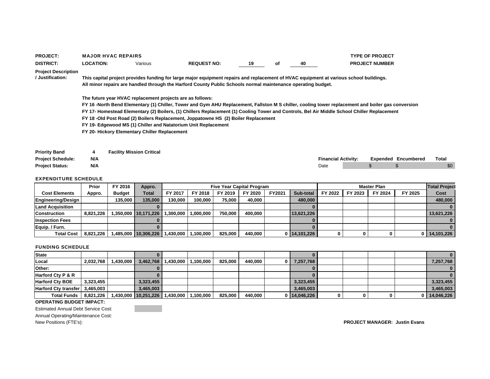| <b>PROJECT:</b>                                |                  | <b>MAJOR HVAC REPAIRS</b>        |                                               |                                                                                                                                                                                                                                                        |                                  |    |    |                            | <b>TYPE OF PROJECT</b> |                            |                      |
|------------------------------------------------|------------------|----------------------------------|-----------------------------------------------|--------------------------------------------------------------------------------------------------------------------------------------------------------------------------------------------------------------------------------------------------------|----------------------------------|----|----|----------------------------|------------------------|----------------------------|----------------------|
| <b>DISTRICT:</b>                               | <b>LOCATION:</b> |                                  | Various                                       | <b>REQUEST NO:</b>                                                                                                                                                                                                                                     | 19                               | оf | 40 |                            | <b>PROJECT NUMBER</b>  |                            |                      |
| <b>Project Description</b><br>/ Justification: |                  |                                  |                                               | This capital project provides funding for large major equipment repairs and replacement of HVAC equipment at various school buildings.<br>All minor repairs are handled through the Harford County Public Schools normal maintenance operating budget. |                                  |    |    |                            |                        |                            |                      |
|                                                |                  |                                  |                                               | The future year HVAC replacement projects are as follows:                                                                                                                                                                                              |                                  |    |    |                            |                        |                            |                      |
|                                                |                  |                                  |                                               | FY 16 -North Bend Elementary (1) Chiller, Tower and Gym AHU Replacement, Fallston M S chiller, cooling tower replacement and boiler gas conversion                                                                                                     |                                  |    |    |                            |                        |                            |                      |
|                                                |                  |                                  |                                               | FY 17- Homestead Elementary (2) Boilers, (1) Chillers Replacement (1) Cooling Tower and Controls, Bel Air Middle School Chiller Replacement                                                                                                            |                                  |    |    |                            |                        |                            |                      |
|                                                |                  |                                  |                                               | FY 18 -Old Post Road (2) Boilers Replacement, Joppatowne HS (2) Boiler Replacement                                                                                                                                                                     |                                  |    |    |                            |                        |                            |                      |
|                                                |                  |                                  |                                               | FY 19- Edgewood MS (1) Chiller and Natatorium Unit Replacement                                                                                                                                                                                         |                                  |    |    |                            |                        |                            |                      |
|                                                |                  |                                  | FY 20- Hickory Elementary Chiller Replacement |                                                                                                                                                                                                                                                        |                                  |    |    |                            |                        |                            |                      |
|                                                |                  |                                  |                                               |                                                                                                                                                                                                                                                        |                                  |    |    |                            |                        |                            |                      |
| <b>Priority Band</b>                           | 4                | <b>Facility Mission Critical</b> |                                               |                                                                                                                                                                                                                                                        |                                  |    |    |                            |                        |                            |                      |
| <b>Project Schedule:</b>                       | N/A              |                                  |                                               |                                                                                                                                                                                                                                                        |                                  |    |    | <b>Financial Activity:</b> |                        | <b>Expended Encumbered</b> | Total                |
| <b>Project Status:</b>                         | N/A              |                                  |                                               |                                                                                                                                                                                                                                                        |                                  |    |    | Date                       |                        |                            | \$0                  |
| <b>EXPENDITURE SCHEDULE</b>                    |                  |                                  |                                               |                                                                                                                                                                                                                                                        |                                  |    |    |                            |                        |                            |                      |
|                                                | Prior            | FY 2016                          | Appro.                                        |                                                                                                                                                                                                                                                        | <b>Five Year Capital Program</b> |    |    |                            | <b>Master Plan</b>     |                            | <b>Total Project</b> |

|                         | Prior     | <b>FT ZUTO</b> | Appro.                                   |           |           | Five Tear Capital Program |         |        |              |         |         | master Plan |         | <u>Hotal Project</u> |
|-------------------------|-----------|----------------|------------------------------------------|-----------|-----------|---------------------------|---------|--------|--------------|---------|---------|-------------|---------|----------------------|
| <b>Cost Elements</b>    | Appro.    | <b>Budget</b>  | Total                                    | FY 2017   | FY 2018   | FY 2019                   | FY 2020 | FY2021 | Sub-total    | FY 2022 | FY 2023 | FY 2024     | FY 2025 | Cost                 |
| Engineering/Design      |           | 135.000        | 135.000                                  | 130.000   | 100.000   | 75.000                    | 40.000  |        | 480,000      |         |         |             |         | 480,000              |
| <b>Land Acquisition</b> |           |                |                                          |           |           |                           |         |        |              |         |         |             |         |                      |
| <b>Construction</b>     | 8.821.226 |                | 1.350.000 10.171.226                     | 1.300.000 | 1.000.000 | 750.000                   | 400.000 |        | 13.621.226   |         |         |             |         | 13.621.226           |
| <b>Inspection Fees</b>  |           |                |                                          |           |           |                           |         |        |              |         |         |             |         |                      |
| Eauip. / Furn.          |           |                |                                          |           |           |                           |         |        |              |         |         |             |         |                      |
| <b>Total Cost</b>       | 8.821.226 |                | 1,485,000 10,306,226 1,430,000 1,100,000 |           |           | 825.000                   | 440,000 |        | 0 14,101,226 |         |         |             |         | $0$   14,101,226     |

### FUNDING SCHEDULE

| State                          |           |           |                                          |                                   |         |         |     |            |  |  |                  |
|--------------------------------|-----------|-----------|------------------------------------------|-----------------------------------|---------|---------|-----|------------|--|--|------------------|
| Local                          | 2,032,768 | 1.430.000 |                                          | 3,462,768   1,430,000   1,100,000 | 825.000 | 440.000 | 0 I | 7,257,768  |  |  | 7,257,768        |
| <b>Other:</b>                  |           |           |                                          |                                   |         |         |     |            |  |  |                  |
| <b>Harford Ctv P &amp; R</b>   |           |           |                                          |                                   |         |         |     |            |  |  |                  |
| <b>Harford Cty BOE</b>         | 3,323,455 |           | 3,323,455                                |                                   |         |         |     | 3,323,455  |  |  | 3,323,455        |
| Harford Cty transfer 3,465,003 |           |           | 3.465.003                                |                                   |         |         |     | 3.465.003  |  |  | 3,465,003        |
| <b>Total Funds</b>             | 8.821.226 |           | 1,430,000 10,251,226 1,430,000 1,100,000 |                                   | 825,000 | 440,000 |     | 14,046,226 |  |  | $0$   14,046,226 |

### **OPERATING BUDGET IMPACT:**

Estimated Annual Debt Service Cost:

Annual Operating/Maintenance Cost:<br>New Positions (FTE's):

 $PROJECT MANAGER: Justin Evans$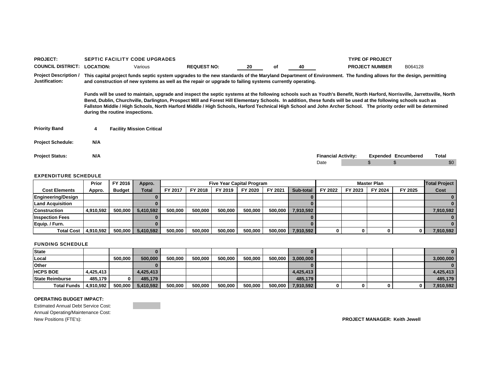| <b>PROJECT:</b>                                |                                                                                                                                                                                                                                                                                                                                                                                                                                                          |                                 | <b>SEPTIC FACILITY CODE UPGRADES</b> |                                                                                                                                                                                                                                                                                                                                     |    |    |    |                            |  | <b>TYPE OF PROJECT</b> |                            |       |
|------------------------------------------------|----------------------------------------------------------------------------------------------------------------------------------------------------------------------------------------------------------------------------------------------------------------------------------------------------------------------------------------------------------------------------------------------------------------------------------------------------------|---------------------------------|--------------------------------------|-------------------------------------------------------------------------------------------------------------------------------------------------------------------------------------------------------------------------------------------------------------------------------------------------------------------------------------|----|----|----|----------------------------|--|------------------------|----------------------------|-------|
| <b>COUNCIL DISTRICT:</b>                       | <b>LOCATION:</b>                                                                                                                                                                                                                                                                                                                                                                                                                                         |                                 | Various                              | <b>REQUEST NO:</b>                                                                                                                                                                                                                                                                                                                  | 20 | οf | 40 |                            |  | <b>PROJECT NUMBER</b>  | B064128                    |       |
| <b>Project Description /</b><br>Justification: | This capital project funds septic system upgrades to the new standards of the Maryland Department of Environment. The funding allows for the design, permitting<br>and construction of new systems as well as the repair or upgrade to failing systems currently operating.<br>Funds will be used to maintain, upgrade and inspect the septic systems at the following schools such as Youth's Benefit, North Harford, Norrisville, Jarrettsville, North |                                 |                                      |                                                                                                                                                                                                                                                                                                                                     |    |    |    |                            |  |                        |                            |       |
|                                                |                                                                                                                                                                                                                                                                                                                                                                                                                                                          | during the routine inspections. |                                      | Bend, Dublin, Churchville, Darlington, Prospect Mill and Forest Hill Elementary Schools. In addition, these funds will be used at the following schools such as<br>Fallston Middle / High Schools, North Harford Middle / High Schools, Harford Technical High School and John Archer School. The priority order will be determined |    |    |    |                            |  |                        |                            |       |
| <b>Priority Band</b>                           | 4                                                                                                                                                                                                                                                                                                                                                                                                                                                        |                                 | <b>Facility Mission Critical</b>     |                                                                                                                                                                                                                                                                                                                                     |    |    |    |                            |  |                        |                            |       |
| <b>Project Schedule:</b>                       | N/A                                                                                                                                                                                                                                                                                                                                                                                                                                                      |                                 |                                      |                                                                                                                                                                                                                                                                                                                                     |    |    |    |                            |  |                        |                            |       |
| <b>Project Status:</b>                         | N/A                                                                                                                                                                                                                                                                                                                                                                                                                                                      |                                 |                                      |                                                                                                                                                                                                                                                                                                                                     |    |    |    | <b>Financial Activity:</b> |  |                        | <b>Expended Encumbered</b> | Total |
|                                                |                                                                                                                                                                                                                                                                                                                                                                                                                                                          |                                 |                                      |                                                                                                                                                                                                                                                                                                                                     |    |    |    | Date                       |  |                        |                            | \$0   |

|                         | Prior     | FY 2016       | Appro.    |         |         |         | <b>Five Year Capital Program</b> |         |           |         |         | <b>Master Plan</b> |         | <b>Total Project</b> |
|-------------------------|-----------|---------------|-----------|---------|---------|---------|----------------------------------|---------|-----------|---------|---------|--------------------|---------|----------------------|
| <b>Cost Elements</b>    | Appro.    | <b>Budget</b> | Total     | FY 2017 | FY 2018 | FY 2019 | FY 2020                          | FY 2021 | Sub-total | FY 2022 | FY 2023 | FY 2024            | FY 2025 | Cost                 |
| Engineering/Design      |           |               |           |         |         |         |                                  |         |           |         |         |                    |         |                      |
| <b>Land Acquisition</b> |           |               |           |         |         |         |                                  |         |           |         |         |                    |         |                      |
| <b>Construction</b>     | 4,910,592 | 500.000       | 5.410.592 | 500.000 | 500.000 | 500.000 | 500.000                          | 500,000 | 7.910.592 |         |         |                    |         | 7,910,592            |
| <b>Inspection Fees</b>  |           |               |           |         |         |         |                                  |         |           |         |         |                    |         |                      |
| Equip / Furn.           |           |               |           |         |         |         |                                  |         |           |         |         |                    |         |                      |
| <b>Total Cost</b>       | 4.910.592 | 500.000       | 5,410,592 | 500.000 | 500,000 | 500.000 | 500.000                          | 500,000 | 7,910,592 |         |         |                    |         | 7,910,592            |

#### FUNDING SCHEDULE

| <b>State</b>            |           |         |           |         |         |         |         |         |           |   |  |           |
|-------------------------|-----------|---------|-----------|---------|---------|---------|---------|---------|-----------|---|--|-----------|
| Local                   |           | 500.000 | 500,000   | 500.000 | 500.000 | 500.000 | 500.000 | 500.000 | 3,000,000 |   |  | 3,000,000 |
| Other                   |           |         |           |         |         |         |         |         |           |   |  |           |
| <b>HCPS BOE</b>         | 4.425.413 |         | 4.425.413 |         |         |         |         |         | 4.425.413 |   |  | 4.425.413 |
| <b>State Reimburse</b>  | 485.179   |         | 485.179   |         |         |         |         |         | 485.179   |   |  | 485.179   |
| Total Funds   4,910,592 |           | 500,000 | 5,410,592 | 500,000 | 500,000 | 500,000 | 500,000 | 500,000 | 7,910,592 | o |  | 7,910,592 |

#### **OPERATING BUDGET IMPACT:**

Estimated Annual Debt Service Cost: Annual Operating/Maintenance Cost: New Positions (FTE's): **PROJECT MANAGER: Keith Jewell**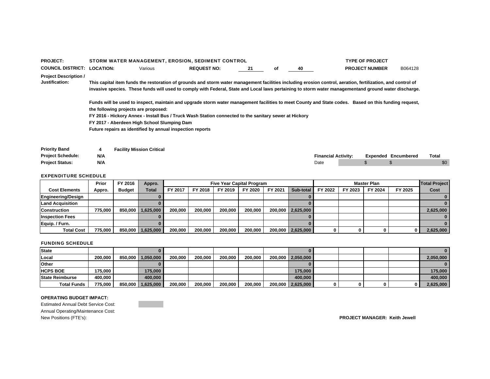| <b>PROJECT:</b>                                       |                  | STORM WATER MANAGEMENT, EROSION, SEDIMENT CONTROL                                                                                                                                                                                                                                                                   |                    |    |    |    |                            | <b>TYPE OF PROJECT</b> |                            |       |
|-------------------------------------------------------|------------------|---------------------------------------------------------------------------------------------------------------------------------------------------------------------------------------------------------------------------------------------------------------------------------------------------------------------|--------------------|----|----|----|----------------------------|------------------------|----------------------------|-------|
| <b>COUNCIL DISTRICT:</b>                              | <b>LOCATION:</b> | Various                                                                                                                                                                                                                                                                                                             | <b>REQUEST NO:</b> | 21 | οf | 40 |                            | <b>PROJECT NUMBER</b>  | B064128                    |       |
| <b>Project Description /</b><br><b>Justification:</b> |                  | This capital item funds the restoration of grounds and storm water management facilities including erosion control, aeration, fertilization, and control of<br>invasive species. These funds will used to comply with Federal, State and Local laws pertaining to storm water managementand ground water discharge. |                    |    |    |    |                            |                        |                            |       |
|                                                       |                  | Funds will be used to inspect, maintain and upgrade storm water management facilities to meet County and State codes. Based on this funding request,<br>the following projects are proposed:                                                                                                                        |                    |    |    |    |                            |                        |                            |       |
|                                                       |                  | FY 2016 - Hickory Annex - Install Bus / Truck Wash Station connected to the sanitary sewer at Hickory                                                                                                                                                                                                               |                    |    |    |    |                            |                        |                            |       |
|                                                       |                  | FY 2017 - Aberdeen High School Slumping Dam                                                                                                                                                                                                                                                                         |                    |    |    |    |                            |                        |                            |       |
|                                                       |                  | Future repairs as identified by annual inspection reports                                                                                                                                                                                                                                                           |                    |    |    |    |                            |                        |                            |       |
| <b>Priority Band</b>                                  | 4                | <b>Facility Mission Critical</b>                                                                                                                                                                                                                                                                                    |                    |    |    |    |                            |                        |                            |       |
| <b>Project Schedule:</b>                              | N/A              |                                                                                                                                                                                                                                                                                                                     |                    |    |    |    | <b>Financial Activity:</b> |                        | <b>Expended Encumbered</b> | Total |
| <b>Project Status:</b>                                | N/A              |                                                                                                                                                                                                                                                                                                                     |                    |    |    |    | Date                       |                        |                            | \$0   |

|                        | Prior   | FY 2016       | Appro.    |         |         | <b>Five Year Capital Program</b> |         |         |                     |         |         | <b>Master Plan</b> |         | <b>Total Project</b> |
|------------------------|---------|---------------|-----------|---------|---------|----------------------------------|---------|---------|---------------------|---------|---------|--------------------|---------|----------------------|
| <b>Cost Elements</b>   | Appro.  | <b>Budget</b> | Total     | FY 2017 | FY 2018 | FY 2019                          | FY 2020 | FY 2021 | Sub-total           | FY 2022 | FY 2023 | FY 2024            | FY 2025 | Cost                 |
| Engineering/Design     |         |               |           |         |         |                                  |         |         |                     |         |         |                    |         |                      |
| Land Acquisition       |         |               |           |         |         |                                  |         |         |                     |         |         |                    |         |                      |
| <b>Construction</b>    | 775.000 | 850.000       | 1.625.000 | 200.000 | 200.000 | 200.000                          | 200.000 |         | 200,000   2,625,000 |         |         |                    |         | 2,625,000            |
| <b>Inspection Fees</b> |         |               |           |         |         |                                  |         |         |                     |         |         |                    |         |                      |
| Equip. / Furn.         |         |               |           |         |         |                                  |         |         |                     |         |         |                    |         |                      |
| <b>Total Cost</b>      | 775,000 | 850,000       | 1,625,000 | 200,000 | 200.000 | 200,000                          | 200.000 |         | 200,000 2,625,000   |         |         |                    | 0       | 2,625,000            |

### FUNDING SCHEDULE

| <b>State</b>           |           |         |           |         |         |         |         |                     |  |  |           |
|------------------------|-----------|---------|-----------|---------|---------|---------|---------|---------------------|--|--|-----------|
| Local                  | 200.000   | 850.000 | 1,050,000 | 200.000 | 200.000 | 200.000 | 200.000 | 200,000 2,050,000   |  |  | 2,050,000 |
| <b>Other</b>           |           |         |           |         |         |         |         |                     |  |  |           |
| <b>HCPS BOE</b>        | 175,000   |         | 175,000   |         |         |         |         | 175.000             |  |  | 175.000   |
| <b>State Reimburse</b> | 400.000 l |         | 400.000   |         |         |         |         | 400.000             |  |  | 400.000   |
| <b>Total Funds</b>     | 775.000   | 850.000 | 1,625,000 | 200.000 | 200.000 | 200.000 | 200.000 | 200,000   2,625,000 |  |  | 2,625,000 |

#### **OPERATING BUDGET IMPACT:**

Estimated Annual Debt Service Cost: Annual Operating/Maintenance Cost: New Positions (FTE's): **PROJECT MANAGER: Keith Jewell**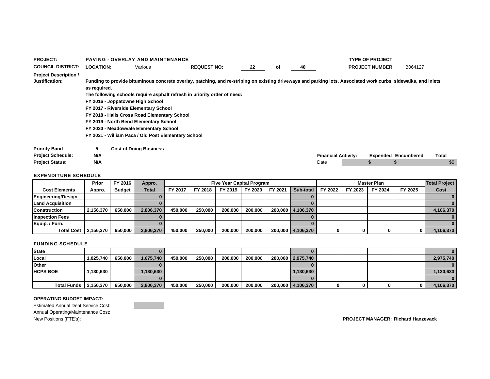| <b>PROJECT:</b>                                       |                  | <b>PAVING - OVERLAY AND MAINTENANCE</b>                                                                                                                             |                                                                          |    |    |                                                                                                                                                                |                            | <b>TYPE OF PROJECT</b> |                            |              |  |  |  |
|-------------------------------------------------------|------------------|---------------------------------------------------------------------------------------------------------------------------------------------------------------------|--------------------------------------------------------------------------|----|----|----------------------------------------------------------------------------------------------------------------------------------------------------------------|----------------------------|------------------------|----------------------------|--------------|--|--|--|
| <b>COUNCIL DISTRICT:</b>                              | <b>LOCATION:</b> | Various                                                                                                                                                             | <b>REQUEST NO:</b>                                                       | 22 | оf | 40                                                                                                                                                             |                            | <b>PROJECT NUMBER</b>  | B064127                    |              |  |  |  |
| <b>Project Description /</b><br><b>Justification:</b> | as required.     | FY 2016 - Joppatowne High School<br>FY 2017 - Riverside Elementary School<br>FY 2018 - Halls Cross Road Elementary School<br>FY 2019 - North Bend Elementary School | The following schools require asphalt refresh in priority order of need: |    |    | Funding to provide bituminous concrete overlay, patching, and re-striping on existing driveways and parking lots. Associated work curbs, sidewalks, and inlets |                            |                        |                            |              |  |  |  |
|                                                       |                  | FY 2020 - Meadowvale Elementary School<br>FY 2021 - William Paca / Old Post Elementary School                                                                       |                                                                          |    |    |                                                                                                                                                                |                            |                        |                            |              |  |  |  |
| <b>Priority Band</b><br><b>Project Schedule:</b>      | 5<br>N/A         | <b>Cost of Doing Business</b>                                                                                                                                       |                                                                          |    |    |                                                                                                                                                                | <b>Financial Activity:</b> |                        | <b>Expended Encumbered</b> | <b>Total</b> |  |  |  |
| <b>Project Status:</b>                                | N/A              |                                                                                                                                                                     |                                                                          |    |    | Date                                                                                                                                                           |                            |                        |                            | \$0          |  |  |  |

|                        | Prior     | FY 2016       | Appro.    |         | <b>Five Year Capital Program</b> |         |         |         |                   |         | <b>Master Plan</b> |         |         |           |  |
|------------------------|-----------|---------------|-----------|---------|----------------------------------|---------|---------|---------|-------------------|---------|--------------------|---------|---------|-----------|--|
| <b>Cost Elements</b>   | Appro.    | <b>Budget</b> | Total     | FY 2017 | FY 2018                          | FY 2019 | FY 2020 | FY 2021 | Sub-total         | FY 2022 | FY 2023            | FY 2024 | FY 2025 | Cost      |  |
| Engineering/Design     |           |               |           |         |                                  |         |         |         |                   |         |                    |         |         |           |  |
| Land Acquisition       |           |               |           |         |                                  |         |         |         |                   |         |                    |         |         |           |  |
| <b>Construction</b>    | 2.156.370 | 650.000       | 2.806.370 | 450.000 | 250,000                          | 200.000 | 200.000 |         | 200,000 4,106,370 |         |                    |         |         | 4,106,370 |  |
| <b>Inspection Fees</b> |           |               |           |         |                                  |         |         |         |                   |         |                    |         |         |           |  |
| Equip. / Furn.         |           |               |           |         |                                  |         |         |         |                   |         |                    |         |         |           |  |
| <b>Total Cost</b>      | 2,156,370 | 650.000       | 2,806,370 | 450.000 | 250,000                          | 200,000 | 200.000 |         | 200,000 4,106,370 |         |                    |         | 0       | 4,106,370 |  |

### FUNDING SCHEDULE

| <b>State</b>          |           |         |           |         |         |         |         |                   |   |  |           |
|-----------------------|-----------|---------|-----------|---------|---------|---------|---------|-------------------|---|--|-----------|
| Local                 | 1.025.740 | 650.000 | 1.675.740 | 450.000 | 250.000 | 200,000 | 200.000 | 200,000 2,975,740 |   |  | 2,975,740 |
| Other                 |           |         |           |         |         |         |         |                   |   |  |           |
| <b>HCPS BOE</b>       | 1.130.630 |         | 1,130,630 |         |         |         |         | 1,130,630         |   |  | 1,130,630 |
|                       |           |         |           |         |         |         |         |                   |   |  |           |
| Total Funds 2,156,370 |           | 650,000 | 2,806,370 | 450,000 | 250,000 | 200,000 | 200,000 | 200,000 4,106,370 | 0 |  | 4,106,370 |

### **OPERATING BUDGET IMPACT:**

Estimated Annual Debt Service Cost: Annual Operating/Maintenance Cost: New Positions (FTE's): **PROJECT MANAGER: Richard Hanzevack**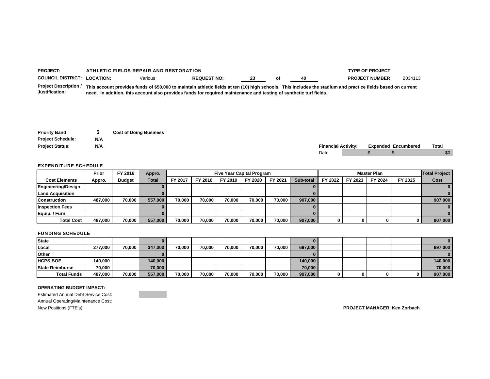| <b>PROJEC</b>                 |          | TYPE OF PROJECT<br><b>FIELDS REPAIR AND RESTORATION</b> |  |    |  |    |                       |  |  |  |  |  |
|-------------------------------|----------|---------------------------------------------------------|--|----|--|----|-----------------------|--|--|--|--|--|
| <b>COUNCIL</b><br>. DISTRICT: | LOCATION |                                                         |  | -- |  | 40 | <b>NUMBER</b><br>DD 7 |  |  |  |  |  |
| _ _<br>.<br>. .               |          |                                                         |  |    |  |    |                       |  |  |  |  |  |

**Project Description / This account provides funds of \$50,000 to maintain athletic fields at ten (10) high schools. This includes the stadium and practice fields based on current Justification: need. In addition, this account also provides funds for required maintenance and testing of synthetic turf fields.** 

| <b>Priority Band</b>     | 5   | <b>Cost of Doing Business</b> |
|--------------------------|-----|-------------------------------|
| <b>Project Schedule:</b> | N/A |                               |
| <b>Project Status:</b>   | N/A |                               |

| Proiect Status. | <b>MI/</b><br><b>N/A</b> | rinancial            | l Activitv: | Expended | Encumbered | Tota. |
|-----------------|--------------------------|----------------------|-------------|----------|------------|-------|
|                 |                          | ה ה<br>- 124<br>$ -$ |             |          |            | ዜበ    |

### EXPENDITURE SCHEDULE

|                         | Prior   | FY 2016       | Appro.       |         | <b>Five Year Capital Program</b> |         |         |         |           |         | <b>Master Plan</b> |         |         |         |  |
|-------------------------|---------|---------------|--------------|---------|----------------------------------|---------|---------|---------|-----------|---------|--------------------|---------|---------|---------|--|
| <b>Cost Elements</b>    | Appro.  | <b>Budget</b> | <b>Total</b> | FY 2017 | FY 2018                          | FY 2019 | FY 2020 | FY 2021 | Sub-total | FY 2022 | FY 2023            | FY 2024 | FY 2025 | Cost    |  |
| Engineering/Design      |         |               |              |         |                                  |         |         |         |           |         |                    |         |         |         |  |
| <b>Land Acquisition</b> |         |               |              |         |                                  |         |         |         |           |         |                    |         |         |         |  |
| <b>Construction</b>     | 487.000 | 70.000        | 557.000      | 70.000  | 70,000                           | 70.000  | 70.000  | 70.000  | 907,000   |         |                    |         |         | 907,000 |  |
| <b>Inspection Fees</b>  |         |               |              |         |                                  |         |         |         |           |         |                    |         |         |         |  |
| Equip. / Furn.          |         |               |              |         |                                  |         |         |         |           |         |                    |         |         |         |  |
| <b>Total Cost</b>       | 487.000 | 70.000        | 557.000      | 70.000  | 70,000                           | 70.000  | 70.000  | 70.000  | 907,000   | 0       |                    |         |         | 907,000 |  |

### FUNDING SCHEDULE

| <b>State</b>           |         |        |         |        |        |        |        |        |         |  |  |         |
|------------------------|---------|--------|---------|--------|--------|--------|--------|--------|---------|--|--|---------|
| Local                  | 277,000 | 70,000 | 347.000 | 70,000 | 70.000 | 70.000 | 70.000 | 70.000 | 697,000 |  |  | 697,000 |
| <b>Other</b>           |         |        |         |        |        |        |        |        |         |  |  |         |
| <b>HCPS BOE</b>        | 140.000 |        | 140,000 |        |        |        |        |        | 140,000 |  |  | 140.000 |
| <b>State Reimburse</b> | 70,000  |        | 70,000  |        |        |        |        |        | 70,000  |  |  | 70,000  |
| <b>Total Funds</b>     | 487,000 | 70,000 | 557,000 | 70,000 | 70.000 | 70.000 | 70,000 | 70,000 | 907,000 |  |  | 907,000 |

### **OPERATING BUDGET IMPACT:**

Estimated Annual Debt Service Cost: Annual Operating/Maintenance Cost: New Positions (FTE's): **PROJECT MANAGER: Ken Zorbach**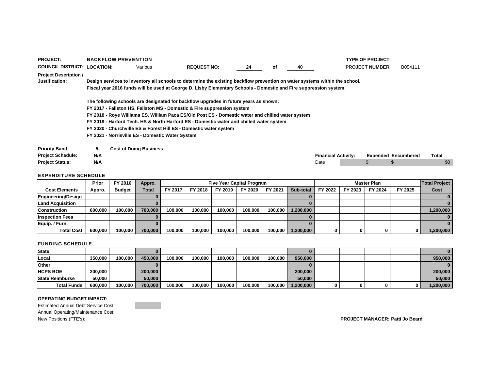| <b>PROJECT:</b>                                |     | <b>BACKFLOW PREVENTION</b>                                                                                                                                      |                                                  |                                                                                                                                                                                                                                                 |    |    |    |                            |  | <b>TYPE OF PROJECT</b> |                            |       |  |  |  |
|------------------------------------------------|-----|-----------------------------------------------------------------------------------------------------------------------------------------------------------------|--------------------------------------------------|-------------------------------------------------------------------------------------------------------------------------------------------------------------------------------------------------------------------------------------------------|----|----|----|----------------------------|--|------------------------|----------------------------|-------|--|--|--|
| <b>COUNCIL DISTRICT: LOCATION:</b>             |     |                                                                                                                                                                 | Various                                          | <b>REQUEST NO:</b>                                                                                                                                                                                                                              | 24 | оf | 40 |                            |  | <b>PROJECT NUMBER</b>  | B054111                    |       |  |  |  |
| <b>Project Description /</b><br>Justification: |     |                                                                                                                                                                 |                                                  | Design services to inventory all schools to determine the existing backflow prevention on water systems within the school.<br>Fiscal year 2016 funds will be used at George D. Lisby Elementary Schools - Domestic and Fire suppression system. |    |    |    |                            |  |                        |                            |       |  |  |  |
|                                                |     |                                                                                                                                                                 |                                                  |                                                                                                                                                                                                                                                 |    |    |    |                            |  |                        |                            |       |  |  |  |
|                                                |     | The following schools are designated for backflow upgrades in future years as shown:<br>FY 2017 - Fallston HS, Fallston MS - Domestic & Fire suppression system |                                                  |                                                                                                                                                                                                                                                 |    |    |    |                            |  |                        |                            |       |  |  |  |
|                                                |     |                                                                                                                                                                 |                                                  | FY 2018 - Roye Williams ES, William Paca ES/Old Post ES - Domestic water and chilled water system                                                                                                                                               |    |    |    |                            |  |                        |                            |       |  |  |  |
|                                                |     |                                                                                                                                                                 |                                                  | FY 2019 - Harford Tech. HS & North Harford ES - Domestic water and chilled water system                                                                                                                                                         |    |    |    |                            |  |                        |                            |       |  |  |  |
|                                                |     |                                                                                                                                                                 |                                                  | FY 2020 - Churchville ES & Forest Hill ES - Domestic water system                                                                                                                                                                               |    |    |    |                            |  |                        |                            |       |  |  |  |
|                                                |     |                                                                                                                                                                 | FY 2021 - Norrisville ES - Domestic Water System |                                                                                                                                                                                                                                                 |    |    |    |                            |  |                        |                            |       |  |  |  |
| <b>Priority Band</b>                           | 5   |                                                                                                                                                                 | <b>Cost of Doing Business</b>                    |                                                                                                                                                                                                                                                 |    |    |    |                            |  |                        |                            |       |  |  |  |
| <b>Project Schedule:</b>                       | N/A |                                                                                                                                                                 |                                                  |                                                                                                                                                                                                                                                 |    |    |    | <b>Financial Activity:</b> |  |                        | <b>Expended Encumbered</b> | Total |  |  |  |
| <b>Project Status:</b>                         | N/A |                                                                                                                                                                 |                                                  |                                                                                                                                                                                                                                                 |    |    |    | Date                       |  | \$                     |                            | \$0   |  |  |  |

|                         | Prior   | FY 2016       | Appro.  |         | <b>Five Year Capital Program</b> |         |         |         |           |         |         | <b>Master Plan</b> |         | <b>Total Project</b> |
|-------------------------|---------|---------------|---------|---------|----------------------------------|---------|---------|---------|-----------|---------|---------|--------------------|---------|----------------------|
| <b>Cost Elements</b>    | Appro.  | <b>Budget</b> | Total   | FY 2017 | FY 2018                          | FY 2019 | FY 2020 | FY 2021 | Sub-total | FY 2022 | FY 2023 | FY 2024            | FY 2025 | Cost                 |
| Engineering/Design      |         |               |         |         |                                  |         |         |         |           |         |         |                    |         |                      |
| <b>Land Acquisition</b> |         |               |         |         |                                  |         |         |         |           |         |         |                    |         |                      |
| <b>Construction</b>     | 600,000 | 100.000       | 700,000 | 100.000 | 100.000                          | 100.000 | 100.000 | 100,000 | 1,200,000 |         |         |                    |         | 1,200,000            |
| <b>Inspection Fees</b>  |         |               |         |         |                                  |         |         |         |           |         |         |                    |         |                      |
| Equip. / Furn.          |         |               |         |         |                                  |         |         |         |           |         |         |                    |         |                      |
| <b>Total Cost</b>       | 600.000 | 100,000       | 700.000 | 100,000 | 100.000                          | 100.000 | 100.000 | 100,000 | 1,200,000 |         |         |                    |         | 1,200,000            |

### FUNDING SCHEDULE

| State                  |         |         |         |         |         |         |         |         |           |  |   | 0          |
|------------------------|---------|---------|---------|---------|---------|---------|---------|---------|-----------|--|---|------------|
| Local                  | 350,000 | 100.000 | 450.000 | 100.000 | 100.000 | 100.000 | 100.000 | 100,000 | 950,000   |  |   | 950,000    |
| <b>Other</b>           |         |         |         |         |         |         |         |         |           |  |   |            |
| <b>HCPS BOE</b>        | 200,000 |         | 200,000 |         |         |         |         |         | 200,000   |  |   | 200,000    |
| <b>State Reimburse</b> | 50.000  |         | 50.000  |         |         |         |         |         | 50,000    |  |   | 50.000     |
| <b>Total Funds</b>     | 600.000 | 100,000 | 700,000 | 100,000 | 100,000 | 100,000 | 100,000 | 100,000 | 1,200,000 |  | 0 | .200,000 ا |

### **OPERATING BUDGET IMPACT:**

Estimated Annual Debt Service Cost: Annual Operating/Maintenance Cost: New Positions (FTE's): **PROJECT MANAGER: Patti Jo Beard**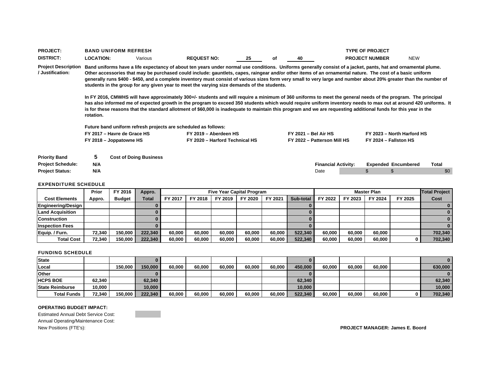| <b>PROJECT:</b>                                                            |                                                                                                         | <b>BAND UNIFORM REFRESH</b>                                                                                                                                                                                                                                                                                                                                                                                                                                                                                                                                                                                                                                                                                                                                                                                                                                                                                                                                                                            |                                                                |    | <b>TYPE OF PROJECT</b>                               |                        |                                    |                       |                            |              |  |  |
|----------------------------------------------------------------------------|---------------------------------------------------------------------------------------------------------|--------------------------------------------------------------------------------------------------------------------------------------------------------------------------------------------------------------------------------------------------------------------------------------------------------------------------------------------------------------------------------------------------------------------------------------------------------------------------------------------------------------------------------------------------------------------------------------------------------------------------------------------------------------------------------------------------------------------------------------------------------------------------------------------------------------------------------------------------------------------------------------------------------------------------------------------------------------------------------------------------------|----------------------------------------------------------------|----|------------------------------------------------------|------------------------|------------------------------------|-----------------------|----------------------------|--------------|--|--|
| <b>DISTRICT:</b>                                                           | <b>LOCATION:</b>                                                                                        | Various                                                                                                                                                                                                                                                                                                                                                                                                                                                                                                                                                                                                                                                                                                                                                                                                                                                                                                                                                                                                | <b>REQUEST NO:</b>                                             | 25 | оf                                                   | 40                     |                                    | <b>PROJECT NUMBER</b> | <b>NEW</b>                 |              |  |  |
| <b>Project Description</b><br>/ Justification:                             | students in the group for any given year to meet the varying size demands of the students.<br>rotation. | Band uniforms have a life expectancy of about ten years under normal use conditions. Uniforms generally consist of a jacket, pants, hat and ornamental plume.<br>Other accessories that may be purchased could include: gauntlets, capes, raingear and/or other items of an ornamental nature. The cost of a basic uniform<br>generally runs \$400 - \$450, and a complete inventory must consist of various sizes form very small to very large and number about 20% greater than the number of<br>In FY 2016, CMWHS will have approximately 300+/- students and will require a minimum of 360 uniforms to meet the general needs of the program. The principal<br>has also informed me of expected growth in the program to exceed 350 students which would require uniform inventory needs to max out at around 420 uniforms. It<br>is for these reasons that the standard allotment of \$60,000 is inadequate to maintain this program and we are requesting additional funds for this year in the |                                                                |    |                                                      |                        |                                    |                       |                            |              |  |  |
|                                                                            |                                                                                                         |                                                                                                                                                                                                                                                                                                                                                                                                                                                                                                                                                                                                                                                                                                                                                                                                                                                                                                                                                                                                        | Future band uniform refresh projects are scheduled as follows: |    |                                                      |                        |                                    |                       |                            |              |  |  |
|                                                                            |                                                                                                         | FY 2017 - Havre de Grace HS                                                                                                                                                                                                                                                                                                                                                                                                                                                                                                                                                                                                                                                                                                                                                                                                                                                                                                                                                                            | FY 2019 - Aberdeen HS                                          |    |                                                      | $FY$ 2021 – Bel Air HS |                                    |                       | FY 2023 - North Harford HS |              |  |  |
|                                                                            |                                                                                                         | FY 2018 - Joppatowne HS                                                                                                                                                                                                                                                                                                                                                                                                                                                                                                                                                                                                                                                                                                                                                                                                                                                                                                                                                                                | FY 2020 - Harford Technical HS                                 |    | FY 2024 - Fallston HS<br>FY 2022 - Patterson Mill HS |                        |                                    |                       |                            |              |  |  |
| <b>Priority Band</b><br><b>Project Schedule:</b><br><b>Project Status:</b> | 5<br><b>Cost of Doing Business</b><br>N/A<br>N/A                                                        |                                                                                                                                                                                                                                                                                                                                                                                                                                                                                                                                                                                                                                                                                                                                                                                                                                                                                                                                                                                                        |                                                                |    |                                                      |                        | <b>Financial Activity:</b><br>Date |                       | <b>Expended Encumbered</b> | Total<br>\$0 |  |  |

|                         | Prior  | FY 2016       | Appro.  |                |         |         | <b>Five Year Capital Program</b> |         |           |         |         | <b>Total Project</b> |         |         |
|-------------------------|--------|---------------|---------|----------------|---------|---------|----------------------------------|---------|-----------|---------|---------|----------------------|---------|---------|
| <b>Cost Elements</b>    | Appro. | <b>Budget</b> | Total   | <b>FY 2017</b> | FY 2018 | FY 2019 | FY 2020                          | FY 2021 | Sub-total | FY 2022 | FY 2023 | FY 2024              | FY 2025 | Cost    |
| Engineering/Design      |        |               |         |                |         |         |                                  |         |           |         |         |                      |         |         |
| <b>Land Acquisition</b> |        |               |         |                |         |         |                                  |         |           |         |         |                      |         |         |
| <b>Construction</b>     |        |               |         |                |         |         |                                  |         |           |         |         |                      |         |         |
| <b>Inspection Fees</b>  |        |               |         |                |         |         |                                  |         |           |         |         |                      |         |         |
| Equip. / Furn.          | 72.340 | 150.000       | 222,340 | 60.000         | 60.000  | 60.000  | 60,000                           | 60.000  | 522.340   | 60,000  | 60.000  | 60,000               |         | 702,340 |
| <b>Total Cost</b>       | 72,340 | 150,000       | 222,340 | 60,000         | 60,000  | 60,000  | 60,000                           | 60,000  | 522,340   | 60,000  | 60,000  | 60,000               |         | 702,340 |

### FUNDING SCHEDULE

| <b>State</b>           |        |         |         |        |        |        |        |        |         |        |        |        |         |
|------------------------|--------|---------|---------|--------|--------|--------|--------|--------|---------|--------|--------|--------|---------|
| Local                  |        | 150.000 | 150,000 | 60.000 | 60.000 | 60.000 | 60,000 | 60.000 | 450,000 | 60,000 | 60.000 | 60,000 | 630,000 |
| Other                  |        |         |         |        |        |        |        |        |         |        |        |        | n.      |
| <b>HCPS BOE</b>        | 62.340 |         | 62,340  |        |        |        |        |        | 62,340  |        |        |        | 62,340  |
| <b>State Reimburse</b> | 10.000 |         | 10,000  |        |        |        |        |        | 10.000  |        |        |        | 10,000  |
| <b>Total Funds</b>     | 72,340 | 150.000 | 222.340 | 60.000 | 60,000 | 60,000 | 60,000 | 60,000 | 522,340 | 60,000 | 60,000 | 60,000 | 702,340 |

### **OPERATING BUDGET IMPACT:**

Estimated Annual Debt Service Cost: Annual Operating/Maintenance Cost: New Positions (FTE's): **PROJECT MANAGER: James E. Boord**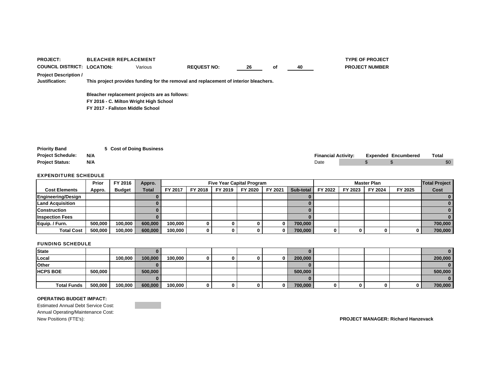| <b>PROJECT:</b>                                |     | <b>BLEACHER REPLACEMENT</b>                   |                                                                                      |    |    |    |                            | <b>TYPE OF PROJECT</b> |                            |              |
|------------------------------------------------|-----|-----------------------------------------------|--------------------------------------------------------------------------------------|----|----|----|----------------------------|------------------------|----------------------------|--------------|
| <b>COUNCIL DISTRICT: LOCATION:</b>             |     | Various                                       | <b>REQUEST NO:</b>                                                                   | 26 | оf | 40 |                            | <b>PROJECT NUMBER</b>  |                            |              |
| <b>Project Description /</b><br>Justification: |     |                                               | This project provides funding for the removal and replacement of interior bleachers. |    |    |    |                            |                        |                            |              |
|                                                |     | Bleacher replacement projects are as follows: |                                                                                      |    |    |    |                            |                        |                            |              |
|                                                |     | FY 2016 - C. Milton Wright High School        |                                                                                      |    |    |    |                            |                        |                            |              |
|                                                |     | FY 2017 - Fallston Middle School              |                                                                                      |    |    |    |                            |                        |                            |              |
|                                                |     |                                               |                                                                                      |    |    |    |                            |                        |                            |              |
| <b>Priority Band</b>                           |     | 5 Cost of Doing Business                      |                                                                                      |    |    |    |                            |                        |                            |              |
| <b>Project Schedule:</b>                       | N/A |                                               |                                                                                      |    |    |    | <b>Financial Activity:</b> |                        | <b>Expended Encumbered</b> | <b>Total</b> |
| <b>Project Status:</b>                         | N/A |                                               |                                                                                      |    |    |    | Date                       | \$                     |                            | \$0          |
|                                                |     |                                               |                                                                                      |    |    |    |                            |                        |                            |              |

|                         | Prior   | FY 2016       | Appro.       |         | <b>Five Year Capital Program</b> |         |         |          |           |         |         | <b>Total Project</b> |         |         |
|-------------------------|---------|---------------|--------------|---------|----------------------------------|---------|---------|----------|-----------|---------|---------|----------------------|---------|---------|
| <b>Cost Elements</b>    | Appro.  | <b>Budget</b> | <b>Total</b> | FY 2017 | FY 2018                          | FY 2019 | FY 2020 | FY 2021  | Sub-total | FY 2022 | FY 2023 | FY 2024              | FY 2025 | Cost    |
| Engineering/Design      |         |               |              |         |                                  |         |         |          |           |         |         |                      |         |         |
| <b>Land Acquisition</b> |         |               |              |         |                                  |         |         |          |           |         |         |                      |         |         |
| <b>Construction</b>     |         |               |              |         |                                  |         |         |          |           |         |         |                      |         |         |
| <b>Inspection Fees</b>  |         |               |              |         |                                  |         |         |          |           |         |         |                      |         |         |
| Equip. / Furn.          | 500,000 | 100,000       | 600,000      | 100.000 |                                  |         |         |          | 700,000   |         |         |                      |         | 700,000 |
| <b>Total Cost</b>       | 500,000 | 100,000       | 600,000      | 100,000 | n.                               |         |         | $\bf{0}$ | 700,000   |         |         |                      |         | 700,000 |

### FUNDING SCHEDULE

| State              |         |         |         |         |  |  |         |   |  |   |         |
|--------------------|---------|---------|---------|---------|--|--|---------|---|--|---|---------|
| Local              |         | 100,000 | 100,000 | 100,000 |  |  | 200,000 |   |  |   | 200,000 |
| <b>Other</b>       |         |         |         |         |  |  |         |   |  |   |         |
| <b>HCPS BOE</b>    | 500,000 |         | 500,000 |         |  |  | 500,000 |   |  |   | 500,000 |
|                    |         |         |         |         |  |  |         |   |  |   |         |
| <b>Total Funds</b> | 500,000 | 100,000 | 600,000 | 100,000 |  |  | 700,000 | 0 |  | 0 | 700,000 |

### **OPERATING BUDGET IMPACT:**

Estimated Annual Debt Service Cost: Annual Operating/Maintenance Cost: New Positions (FTE's): **PROJECT MANAGER: Richard Hanzevack**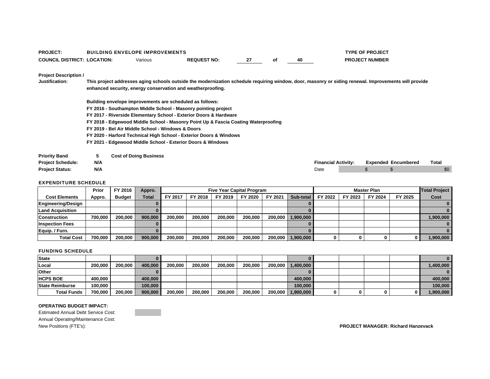| <b>PROJECT:</b>                    | <b>BUILDING ENVELOPE IMPROVEMENTS</b> |                    |  |    | <b>TYPE OF PROJECT</b> |
|------------------------------------|---------------------------------------|--------------------|--|----|------------------------|
| <b>COUNCIL DISTRICT: LOCATION:</b> | Various                               | <b>REQUEST NO:</b> |  | 40 | <b>PROJECT NUMBER</b>  |

**Project Description /** 

**Justification: This project addresses aging schools outside the modernization schedule requiring window, door, masonry or siding renewal. Improvements will provide enhanced security, energy conservation and weatherproofing.** 

- **Building envelope improvements are scheduled as follows:**
- **FY 2016 Southampton Middle School Masonry pointing project**
- **FY 2017 Riverside Elementary School Exterior Doors & Hardware**
- **FY 2018 Edgewood Middle School Masonry Point Up & Fascia Coating Waterproofing**
- **FY 2019 Bel Air Middle School Windows & Doors**
- **FY 2020 Harford Technical High School Exterior Doors & Windows**
- **FY 2021 Edgewood Middle School Exterior Doors & Windows**

| <b>Priority Band</b>     |     | <b>Cost of Doing Business</b> |                            |  |                            |       |  |
|--------------------------|-----|-------------------------------|----------------------------|--|----------------------------|-------|--|
| <b>Project Schedule:</b> | N/A |                               | <b>Financial Activity:</b> |  | <b>Expended Encumbered</b> | Total |  |
| <b>Proiect Status:</b>   | N/A |                               | Date                       |  |                            | \$0   |  |

### EXPENDITURE SCHEDULE

|                           | Prior   | FY 2016       | Appro.       |         | <b>Five Year Capital Program</b><br><b>Master Plan</b> |         |         |         |                     |         |         |         | <b>Total Project</b> |           |
|---------------------------|---------|---------------|--------------|---------|--------------------------------------------------------|---------|---------|---------|---------------------|---------|---------|---------|----------------------|-----------|
| <b>Cost Elements</b>      | Appro.  | <b>Budget</b> | <b>Total</b> | FY 2017 | FY 2018                                                | FY 2019 | FY 2020 | FY 2021 | Sub-total           | FY 2022 | FY 2023 | FY 2024 | FY 2025              | Cost      |
| <b>Engineering/Design</b> |         |               |              |         |                                                        |         |         |         |                     |         |         |         |                      |           |
| <b>Land Acquisition</b>   |         |               |              |         |                                                        |         |         |         |                     |         |         |         |                      |           |
| <b>Construction</b>       | 700.000 | 200,000       | 900,000      | 200,000 | 200,000                                                | 200.000 | 200,000 |         | 200,000 1,900,000   |         |         |         |                      | 1,900,000 |
| <b>Inspection Fees</b>    |         |               |              |         |                                                        |         |         |         |                     |         |         |         |                      |           |
| Equip. / Furn.            |         |               |              |         |                                                        |         |         |         |                     |         |         |         |                      |           |
| <b>Total Cost</b>         | 700.000 | 200,000       | 900,000      | 200,000 | 200,000                                                | 200.000 | 200,000 |         | 200,000   1,900,000 |         | 0       |         |                      | 1,900,000 |

### FUNDING SCHEDULE

| <b>State</b>           |         |         |         |         |         |         |         |                   |   |  |           |
|------------------------|---------|---------|---------|---------|---------|---------|---------|-------------------|---|--|-----------|
| Local                  | 200.000 | 200.000 | 400.000 | 200.000 | 200,000 | 200.000 | 200,000 | 200,000 1,400,000 |   |  | 0.400,000 |
| <b>Other</b>           |         |         |         |         |         |         |         |                   |   |  |           |
| <b>HCPS BOE</b>        | 400.000 |         | 400,000 |         |         |         |         | 400.000           |   |  | 400.000   |
| <b>State Reimburse</b> | 100.000 |         | 100,000 |         |         |         |         | 100.000           |   |  | 100.000   |
| <b>Total Funds</b>     | 700,000 | 200.000 | 900.000 | 200.000 | 200.000 | 200.000 | 200,000 | 200,000 1,900,000 | O |  | 1,900,000 |

### **OPERATING BUDGET IMPACT:**

Estimated Annual Debt Service Cost: Annual Operating/Maintenance Cost:

New Positions (FTE's): **PROJECT MANAGER: Richard Hanzevack**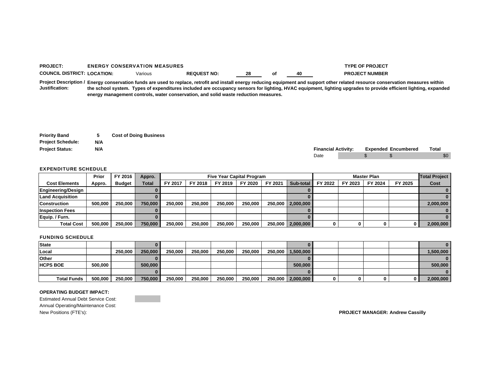#### **PROJECT:** ENERGY CONSERVATION MEASURES **TYPE OF PROJECT COUNCIL DISTRICT: LOCATION:** Various**REQUEST NO: 28 of 40 PROJECT NUMBER**

**Project Description / Energy conservation funds are used to replace, retrofit and install energy reducing equipment and support other related resource conservation measures within Justification: the school system. Types of expenditures included are occupancy sensors for lighting, HVAC equipment, lighting upgrades to provide efficient lighting, expanded energy management controls, water conservation, and solid waste reduction measures.**

| <b>Priority Band</b>     | 5   | <b>Cost of Doing Business</b> |
|--------------------------|-----|-------------------------------|
| <b>Project Schedule:</b> | N/A |                               |
| <b>Project Status:</b>   | N/A |                               |

| <b>Proiect Status:</b> | N/A | Financial. | <b>Activity:</b> | Expended | Encumbered | Tota.<br>. |
|------------------------|-----|------------|------------------|----------|------------|------------|
|                        |     | Date       |                  |          |            | יה         |

#### EXPENDITURE SCHEDULE

|                           | Prior   | FY 2016       | Appro.       |         |         |         | <b>Five Year Capital Program</b> |         |                     |         |         | <b>Total Project</b> |         |           |
|---------------------------|---------|---------------|--------------|---------|---------|---------|----------------------------------|---------|---------------------|---------|---------|----------------------|---------|-----------|
| <b>Cost Elements</b>      | Appro.  | <b>Budget</b> | <b>Total</b> | FY 2017 | FY 2018 | FY 2019 | FY 2020                          | FY 2021 | Sub-total           | FY 2022 | FY 2023 | FY 2024              | FY 2025 | Cost      |
| <b>Engineering/Design</b> |         |               |              |         |         |         |                                  |         |                     |         |         |                      |         |           |
| <b>Land Acquisition</b>   |         |               |              |         |         |         |                                  |         |                     |         |         |                      |         |           |
| <b>Construction</b>       | 500.000 | 250.000       | 750,000      | 250.000 | 250,000 | 250,000 | 250,000                          |         | 250,000   2,000,000 |         |         |                      |         | 2,000,000 |
| <b>Inspection Fees</b>    |         |               |              |         |         |         |                                  |         |                     |         |         |                      |         |           |
| Equip. / Furn.            |         |               |              |         |         |         |                                  |         |                     |         |         |                      |         |           |
| <b>Total Cost</b>         | 500.000 | 250,000       | 750,000      | 250,000 | 250,000 | 250.000 | 250,000                          |         | 250,000   2,000,000 |         | 0       |                      | 0       | 2,000,000 |

#### FUNDING SCHEDULE

| <b>State</b>       |         |         |         |         |         |         |         |                     |   |  |           |
|--------------------|---------|---------|---------|---------|---------|---------|---------|---------------------|---|--|-----------|
| Local              |         | 250,000 | 250,000 | 250,000 | 250,000 | 250,000 | 250,000 | 250,000 1,500,000   |   |  | 1,500,000 |
| <b>Other</b>       |         |         |         |         |         |         |         |                     |   |  |           |
| <b>HCPS BOE</b>    | 500.000 |         | 500,000 |         |         |         |         | 500,000             |   |  | 500,000   |
|                    |         |         |         |         |         |         |         |                     |   |  |           |
| <b>Total Funds</b> | 500,000 | 250,000 | 750,000 | 250,000 | 250,000 | 250,000 | 250,000 | 250,000   2,000,000 | 0 |  | 2,000,000 |

#### **OPERATING BUDGET IMPACT:**

Estimated Annual Debt Service Cost: Annual Operating/Maintenance Cost: New Positions (FTE's): **PROJECT MANAGER: Andrew Cassilly**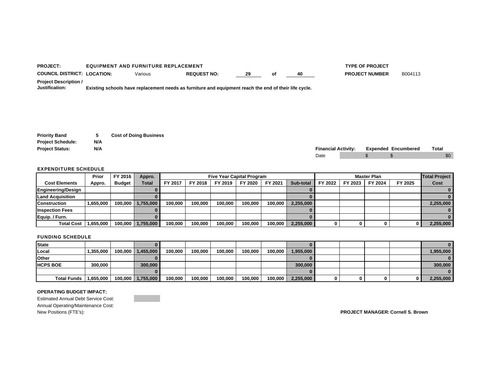| <b>PROJECT:</b>                                | <b>EQUIPMENT AND FURNITURE REPLACEMENT</b> |                                                                                                       | <b>TYPE OF PROJECT</b> |    |    |                       |         |
|------------------------------------------------|--------------------------------------------|-------------------------------------------------------------------------------------------------------|------------------------|----|----|-----------------------|---------|
| <b>COUNCIL DISTRICT: LOCATION:</b>             | Various                                    | <b>REQUEST NO:</b>                                                                                    | 29                     | Οt | 40 | <b>PROJECT NUMBER</b> | B004113 |
| <b>Project Description /</b><br>Justification: |                                            | Existing schools have replacement needs as furniture and equipment reach the end of their life cycle. |                        |    |    |                       |         |

| <b>Priority Band</b>     | 5   | <b>Cost of Doing Business</b> |
|--------------------------|-----|-------------------------------|
| <b>Project Schedule:</b> | N/A |                               |
| <b>Project Status:</b>   | N/A |                               |

| Proiect<br>' Status. | N/A | <b>Financial Activity:</b> | Expended | Encumbered | Total |
|----------------------|-----|----------------------------|----------|------------|-------|
|                      |     | Date                       |          |            | \$0   |

|                         | Prior     | FY 2016 | Appro.            |         |         |         | <b>Five Year Capital Program</b> |         |           |         |         | <b>Master Plan</b> |         | <b>Total Project</b> |
|-------------------------|-----------|---------|-------------------|---------|---------|---------|----------------------------------|---------|-----------|---------|---------|--------------------|---------|----------------------|
| <b>Cost Elements</b>    | Appro.    | Budget  | Total             | FY 2017 | FY 2018 | FY 2019 | FY 2020                          | FY 2021 | Sub-total | FY 2022 | FY 2023 | FY 2024            | FY 2025 | Cost                 |
| Engineering/Design      |           |         |                   |         |         |         |                                  |         |           |         |         |                    |         |                      |
| <b>Land Acquisition</b> |           |         |                   |         |         |         |                                  |         |           |         |         |                    |         |                      |
| <b>Construction</b>     | 1,655,000 |         | 100.000 1.755.000 | 100.000 | 100.000 | 100.000 | 100,000                          | 100.000 | 2,255,000 |         |         |                    |         | 2,255,000            |
| <b>Inspection Fees</b>  |           |         |                   |         |         |         |                                  |         |           |         |         |                    |         |                      |
| Equip. / Furn.          |           |         |                   |         |         |         |                                  |         |           |         |         |                    |         |                      |
| <b>Total Cost</b>       | .655,000  |         | 100.000 1.755.000 | 100,000 | 100,000 | 100.000 | 100,000                          | 100,000 | 2,255,000 |         |         |                    |         | 2,255,000            |

#### FUNDING SCHEDULE

| <b>State</b>       |           |         |                   |         |         |         |         |         |           |   |  |           |
|--------------------|-----------|---------|-------------------|---------|---------|---------|---------|---------|-----------|---|--|-----------|
| Local              | 1,355,000 | 100,000 | 1,455,000         | 100.000 | 100,000 | 100.000 | 100,000 | 100,000 | 1,955,000 |   |  | 1,955,000 |
| <b>Other</b>       |           |         |                   |         |         |         |         |         |           |   |  |           |
| <b>HCPS BOE</b>    | 300,000   |         | 300,000           |         |         |         |         |         | 300,000   |   |  | 300,000   |
|                    |           |         |                   |         |         |         |         |         |           |   |  |           |
| <b>Total Funds</b> | 1,655,000 |         | 100,000 1,755,000 | 100,000 | 100,000 | 100,000 | 100,000 | 100,000 | 2,255,000 | O |  | 2,255,000 |

### **OPERATING BUDGET IMPACT:**

Estimated Annual Debt Service Cost: Annual Operating/Maintenance Cost:<br>New Positions (FTE's):

New Positions (FTE's): **PROJECT MANAGER: Cornell S. Brown**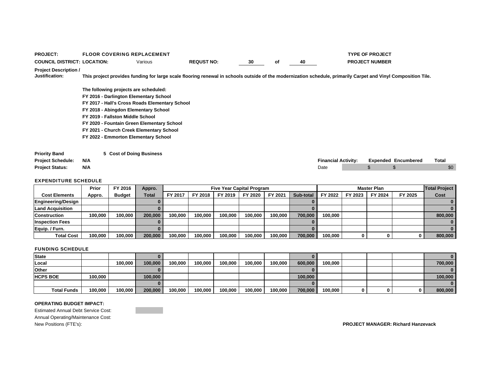| <b>PROJECT:</b>                                  |     |                                  | <b>FLOOR COVERING REPLACEMENT</b>              |                                                                                                                                                               |    |    |    |                            | <b>TYPE OF PROJECT</b> |                            |       |
|--------------------------------------------------|-----|----------------------------------|------------------------------------------------|---------------------------------------------------------------------------------------------------------------------------------------------------------------|----|----|----|----------------------------|------------------------|----------------------------|-------|
| <b>COUNCIL DISTRICT: LOCATION:</b>               |     |                                  | Various                                        | <b>REQUST NO:</b>                                                                                                                                             | 30 | оf | 40 |                            | <b>PROJECT NUMBER</b>  |                            |       |
| <b>Project Description /</b>                     |     |                                  |                                                |                                                                                                                                                               |    |    |    |                            |                        |                            |       |
| Justification:                                   |     |                                  |                                                | This project provides funding for large scale flooring renewal in schools outside of the modernization schedule, primarily Carpet and Vinyl Composition Tile. |    |    |    |                            |                        |                            |       |
|                                                  |     |                                  | The following projects are scheduled:          |                                                                                                                                                               |    |    |    |                            |                        |                            |       |
|                                                  |     |                                  | FY 2016 - Darlington Elementary School         |                                                                                                                                                               |    |    |    |                            |                        |                            |       |
|                                                  |     |                                  | FY 2017 - Hall's Cross Roads Elementary School |                                                                                                                                                               |    |    |    |                            |                        |                            |       |
|                                                  |     |                                  | FY 2018 - Abingdon Elementary School           |                                                                                                                                                               |    |    |    |                            |                        |                            |       |
|                                                  |     | FY 2019 - Fallston Middle School |                                                |                                                                                                                                                               |    |    |    |                            |                        |                            |       |
|                                                  |     |                                  | FY 2020 - Fountain Green Elementary School     |                                                                                                                                                               |    |    |    |                            |                        |                            |       |
|                                                  |     |                                  | FY 2021 - Church Creek Elementary School       |                                                                                                                                                               |    |    |    |                            |                        |                            |       |
|                                                  |     |                                  | FY 2022 - Emmorton Elementary School           |                                                                                                                                                               |    |    |    |                            |                        |                            |       |
| <b>Priority Band</b><br><b>Project Schedule:</b> | N/A |                                  | 5 Cost of Doing Business                       |                                                                                                                                                               |    |    |    | <b>Financial Activity:</b> |                        | <b>Expended Encumbered</b> | Total |
| <b>Project Status:</b>                           | N/A |                                  |                                                |                                                                                                                                                               |    |    |    | Date                       | \$                     | \$                         | \$0   |
|                                                  |     |                                  |                                                |                                                                                                                                                               |    |    |    |                            |                        |                            |       |

|                        | Prior   | FY 2016       | Appro.       |         |         | <b>Five Year Capital Program</b> |         |         |           |         |         | <b>Master Plan</b> |         | <b>Total Project</b> |
|------------------------|---------|---------------|--------------|---------|---------|----------------------------------|---------|---------|-----------|---------|---------|--------------------|---------|----------------------|
| <b>Cost Elements</b>   | Appro.  | <b>Budget</b> | <b>Total</b> | FY 2017 | FY 2018 | FY 2019                          | FY 2020 | FY 2021 | Sub-total | FY 2022 | FY 2023 | FY 2024            | FY 2025 | Cost                 |
| Engineering/Design     |         |               |              |         |         |                                  |         |         |           |         |         |                    |         |                      |
| Land Acquisition       |         |               |              |         |         |                                  |         |         |           |         |         |                    |         |                      |
| Construction           | 100,000 | 100.000       | 200,000      | 100.000 | 100.000 | 100.000                          | 100.000 | 100,000 | 700.000   | 100.000 |         |                    |         | 800,000              |
| <b>Inspection Fees</b> |         |               |              |         |         |                                  |         |         |           |         |         |                    |         |                      |
| Equip. / Furn.         |         |               |              |         |         |                                  |         |         |           |         |         |                    |         |                      |
| <b>Total Cost</b>      | 100.000 | 100.000       | 200,000      | 100.000 | 100.000 | 100.000                          | 100.000 | 100,000 | 700,000   | 100.000 |         |                    |         | 800,000              |

### FUNDING SCHEDULE

| State              |         |         |         |         |         |         |         |         |         |         |   |  |         |
|--------------------|---------|---------|---------|---------|---------|---------|---------|---------|---------|---------|---|--|---------|
| Local              |         | 100.000 | 100.000 | 100.000 | 100,000 | 100,000 | 100.000 | 100.000 | 600,000 | 100,000 |   |  | 700,000 |
| <b>Other</b>       |         |         |         |         |         |         |         |         |         |         |   |  |         |
| <b>HCPS BOE</b>    | 100.000 |         | 100,000 |         |         |         |         |         | 100,000 |         |   |  | 100.000 |
|                    |         |         |         |         |         |         |         |         |         |         |   |  |         |
| <b>Total Funds</b> | 100,000 | 100,000 | 200,000 | 100,000 | 100,000 | 100,000 | 100,000 | 100,000 | 700,000 | 100,000 | 0 |  | 800,000 |

#### **OPERATING BUDGET IMPACT:**

Estimated Annual Debt Service Cost: Annual Operating/Maintenance Cost: New Positions (FTE's): **PROJECT MANAGER: Richard Hanzevack**

**Contract Contract**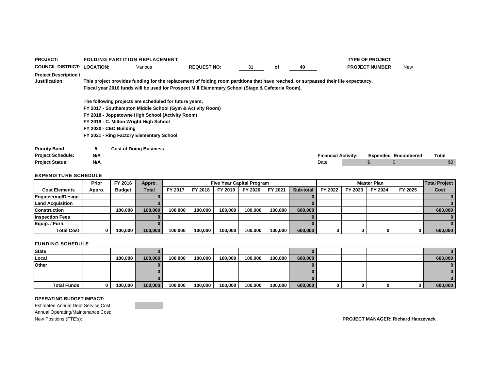| <b>PROJECT:</b>                                  |          | <b>FOLDING PARTITION REPLACEMENT</b>                                                                                                                                                                                                                                                    |                    |    |    |    |                            | <b>TYPE OF PROJECT</b> |                            |       |
|--------------------------------------------------|----------|-----------------------------------------------------------------------------------------------------------------------------------------------------------------------------------------------------------------------------------------------------------------------------------------|--------------------|----|----|----|----------------------------|------------------------|----------------------------|-------|
| <b>COUNCIL DISTRICT: LOCATION:</b>               |          | Various                                                                                                                                                                                                                                                                                 | <b>REQUEST NO:</b> | 31 | оf | 40 |                            | <b>PROJECT NUMBER</b>  | New                        |       |
| <b>Project Description /</b><br>Justification:   |          | This project provides funding for the replacement of folding room partitions that have reached, or surpassed their life expectancy.<br>Fiscal year 2016 funds will be used for Prospect Mill Elementary School (Stage & Cafeteria Room).                                                |                    |    |    |    |                            |                        |                            |       |
|                                                  |          | The following projects are scheduled for future years:<br>FY 2017 - Southampton Middle School (Gym & Activity Room)<br>FY 2018 - Joppatowne High School (Activity Room)<br>FY 2019 - C. Milton Wright High School<br>FY 2020 - CEO Building<br>FY 2021 - Ring Factory Elementary School |                    |    |    |    |                            |                        |                            |       |
| <b>Priority Band</b><br><b>Project Schedule:</b> | 5<br>N/A | <b>Cost of Doing Business</b>                                                                                                                                                                                                                                                           |                    |    |    |    | <b>Financial Activity:</b> |                        | <b>Expended Encumbered</b> | Total |
| <b>Project Status:</b>                           | N/A      |                                                                                                                                                                                                                                                                                         |                    |    |    |    | Date                       | \$.                    | \$                         | \$0   |

|                         | Prior  | FY 2016       | Appro.       |         |         | <b>Five Year Capital Program</b> |         |         |           |         |         | <b>Master Plan</b> |          | <b>Total Project</b> |
|-------------------------|--------|---------------|--------------|---------|---------|----------------------------------|---------|---------|-----------|---------|---------|--------------------|----------|----------------------|
| <b>Cost Elements</b>    | Appro. | <b>Budget</b> | <b>Total</b> | FY 2017 | FY 2018 | FY 2019                          | FY 2020 | FY 2021 | Sub-total | FY 2022 | FY 2023 | FY 2024            | FY 2025  | Cost                 |
| Engineering/Design      |        |               |              |         |         |                                  |         |         |           |         |         |                    |          |                      |
| <b>Land Acquisition</b> |        |               |              |         |         |                                  |         |         |           |         |         |                    |          |                      |
| <b>Construction</b>     |        | 100.000       | 100.000      | 100.000 | 100.000 | 100,000                          | 100.000 | 100.000 | 600,000   |         |         |                    |          | 600,000              |
| <b>Inspection Fees</b>  |        |               |              |         |         |                                  |         |         |           |         |         |                    |          |                      |
| Equip. / Furn.          |        |               |              |         |         |                                  |         |         |           |         |         |                    |          |                      |
| <b>Total Cost</b>       |        | 100.000       | 100.000      | 100.000 | 100.000 | 100.000                          | 100.000 | 100,000 | 600,000   | 0       | 0       |                    | $\Omega$ | 600,000              |

### FUNDING SCHEDULE

| <b>State</b>       |         |         |         |         |         |         |         |         |   |  |         |
|--------------------|---------|---------|---------|---------|---------|---------|---------|---------|---|--|---------|
| Local              | 100,000 | 100,000 | 100,000 | 100,000 | 100,000 | 100,000 | 100,000 | 600,000 |   |  | 600,000 |
| Other              |         |         |         |         |         |         |         |         |   |  |         |
|                    |         |         |         |         |         |         |         |         |   |  |         |
|                    |         |         |         |         |         |         |         |         |   |  |         |
| <b>Total Funds</b> | 100,000 | 100,000 | 100,000 | 100,000 | 100,000 | 100,000 | 100,000 | 600,000 | 0 |  | 600,000 |

#### **OPERATING BUDGET IMPACT:**

Estimated Annual Debt Service Cost: Annual Operating/Maintenance Cost:<br>New Positions (FTE's):  $\mathcal{L}^{\text{max}}_{\text{max}}$  , and  $\mathcal{L}^{\text{max}}_{\text{max}}$ 

 $PROJECT MANAGER: Richard Hanzevack$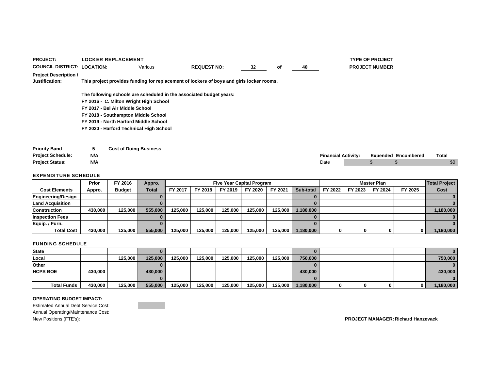| <b>PROJECT:</b>                                |     | <b>LOCKER REPLACEMENT</b>               |         |                                                                                          |    |    |    |                            | <b>TYPE OF PROJECT</b> |                            |       |
|------------------------------------------------|-----|-----------------------------------------|---------|------------------------------------------------------------------------------------------|----|----|----|----------------------------|------------------------|----------------------------|-------|
| <b>COUNCIL DISTRICT: LOCATION:</b>             |     |                                         | Various | <b>REQUEST NO:</b>                                                                       | 32 | оf | 40 |                            | <b>PROJECT NUMBER</b>  |                            |       |
| <b>Project Description /</b><br>Justification: |     |                                         |         | This project provides funding for replacement of lockers of boys and girls locker rooms. |    |    |    |                            |                        |                            |       |
|                                                |     |                                         |         | The following schools are scheduled in the associated budget years:                      |    |    |    |                            |                        |                            |       |
|                                                |     | FY 2016 - C. Milton Wright High School  |         |                                                                                          |    |    |    |                            |                        |                            |       |
|                                                |     | FY 2017 - Bel Air Middle School         |         |                                                                                          |    |    |    |                            |                        |                            |       |
|                                                |     | FY 2018 - Southampton Middle School     |         |                                                                                          |    |    |    |                            |                        |                            |       |
|                                                |     | FY 2019 - North Harford Middle School   |         |                                                                                          |    |    |    |                            |                        |                            |       |
|                                                |     | FY 2020 - Harford Technical High School |         |                                                                                          |    |    |    |                            |                        |                            |       |
|                                                |     |                                         |         |                                                                                          |    |    |    |                            |                        |                            |       |
| <b>Priority Band</b>                           | 5   | <b>Cost of Doing Business</b>           |         |                                                                                          |    |    |    |                            |                        |                            |       |
| <b>Project Schedule:</b>                       | N/A |                                         |         |                                                                                          |    |    |    | <b>Financial Activity:</b> |                        | <b>Expended Encumbered</b> | Total |
| <b>Project Status:</b>                         | N/A |                                         |         |                                                                                          |    |    |    | Date                       | S.                     |                            | \$0   |
|                                                |     |                                         |         |                                                                                          |    |    |    |                            |                        |                            |       |

|                         | Prior   | FY 2016       | Appro.       |         |         | <b>Five Year Capital Program</b> |         |         |           |         |         | <b>Master Plan</b> |         | <b>Total Project</b> |
|-------------------------|---------|---------------|--------------|---------|---------|----------------------------------|---------|---------|-----------|---------|---------|--------------------|---------|----------------------|
| <b>Cost Elements</b>    | Appro.  | <b>Budget</b> | <b>Total</b> | FY 2017 | FY 2018 | FY 2019                          | FY 2020 | FY 2021 | Sub-total | FY 2022 | FY 2023 | FY 2024            | FY 2025 | Cost                 |
| Engineering/Design      |         |               |              |         |         |                                  |         |         |           |         |         |                    |         |                      |
| <b>Land Acquisition</b> |         |               |              |         |         |                                  |         |         |           |         |         |                    |         |                      |
| <b>Construction</b>     | 430.000 | 125.000       | 555,000      | 125.000 | 125.000 | 125.000                          | 125.000 | 125.000 | 1,180,000 |         |         |                    |         | 1,180,000            |
| <b>Inspection Fees</b>  |         |               |              |         |         |                                  |         |         |           |         |         |                    |         |                      |
| Equip. / Furn.          |         |               |              |         |         |                                  |         |         |           |         |         |                    |         |                      |
| <b>Total Cost</b>       | 430.000 | 125.000       | 555,000      | 125.000 | 125.000 | 125.000                          | 125.000 | 125.000 | 1,180,000 | 0       | 0       |                    |         | 1,180,000            |

### FUNDING SCHEDULE

| <b>State</b>       |         |         |         |         |         |         |         |         |           |  |  | $\mathbf{0}$ |
|--------------------|---------|---------|---------|---------|---------|---------|---------|---------|-----------|--|--|--------------|
| Local              |         | 125,000 | 125,000 | 125,000 | 125,000 | 125.000 | 125.000 | 125,000 | 750,000   |  |  | 750,000      |
| <b>Other</b>       |         |         |         |         |         |         |         |         |           |  |  | $\mathbf{0}$ |
| <b>HCPS BOE</b>    | 430,000 |         | 430,000 |         |         |         |         |         | 430,000   |  |  | 430,000      |
|                    |         |         |         |         |         |         |         |         |           |  |  | $\mathbf{0}$ |
| <b>Total Funds</b> | 430.000 | 125,000 | 555,000 | 125,000 | 125,000 | 125,000 | 125,000 | 125,000 | 1,180,000 |  |  | 1,180,000    |

### **OPERATING BUDGET IMPACT:**

Estimated Annual Debt Service Cost: Annual Operating/Maintenance Cost:<br>New Positions (FTE's):

New Positions (FTE's): **PROJECT MANAGER: Richard Hanzevack**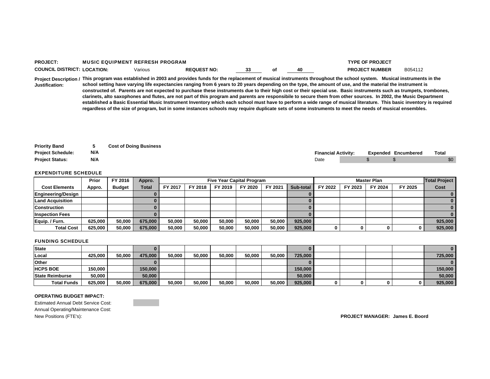| <b>PROJECT:</b>                    | <b>MUSIC EQUIPMENT REFRESH PROGRAM</b> |                    |     |    | <b>TYPE OF PROJECT</b>                                                                                                                                                                                                                                                                                                                           |         |
|------------------------------------|----------------------------------------|--------------------|-----|----|--------------------------------------------------------------------------------------------------------------------------------------------------------------------------------------------------------------------------------------------------------------------------------------------------------------------------------------------------|---------|
| <b>COUNCIL DISTRICT: LOCATION:</b> | Various                                | <b>REQUEST NO:</b> | -33 | 40 | <b>PROJECT NUMBER</b>                                                                                                                                                                                                                                                                                                                            | B054112 |
| Justification:                     |                                        |                    |     |    | Project Description / This program was established in 2003 and provides funds for the replacement of musical instruments throughout the school system. Musical instruments in the<br>school setting have varying life expectancies ranging from 6 years to 20 years depending on the type, the amount of use, and the material the instrument is |         |

**constructed of. Parents are not expected to purchase these instruments due to their high cost or their special use. Basic instruments such as trumpets, trombones, clarinets, alto saxophones and flutes, are not part of this program and parents are responsibile to secure them from other sources. In 2002, the Music Department established a Basic Essential Music Instrument Inventory which each school must have to perform a wide range of musical literature. This basic inventory is required regardless of the size of program, but in some instances schools may require duplicate sets of some instruments to meet the needs of musical ensembles.** 

| <b>Priority Band</b>     |     | <b>Cost of Doing Business</b> |                            |  |                            |       |
|--------------------------|-----|-------------------------------|----------------------------|--|----------------------------|-------|
| <b>Project Schedule:</b> | N/A |                               | <b>Financial Activity:</b> |  | <b>Expended Encumbered</b> | Total |
| <b>Project Status:</b>   | N/A |                               | Date                       |  |                            | \$0   |

#### EXPENDITURE SCHEDULE

|                         | Prior   | FY 2016       | Appro.  |                |         |         | <b>Five Year Capital Program</b> |        |           |         |         | <b>Master Plan</b> |         | <b>Total Project</b> |
|-------------------------|---------|---------------|---------|----------------|---------|---------|----------------------------------|--------|-----------|---------|---------|--------------------|---------|----------------------|
| <b>Cost Elements</b>    | Appro.  | <b>Budget</b> | Total   | <b>FY 2017</b> | FY 2018 | FY 2019 | FY 2020                          | FY 202 | Sub-total | FY 2022 | FY 2023 | FY 2024            | FY 2025 | Cost                 |
| Engineering/Design      |         |               |         |                |         |         |                                  |        |           |         |         |                    |         |                      |
| <b>Land Acquisition</b> |         |               |         |                |         |         |                                  |        |           |         |         |                    |         |                      |
| <b>Construction</b>     |         |               |         |                |         |         |                                  |        |           |         |         |                    |         |                      |
| <b>Inspection Fees</b>  |         |               |         |                |         |         |                                  |        |           |         |         |                    |         |                      |
| Equip. / Furn.          | 625.000 | 50.000        | 675,000 | 50,000         | 50.000  | 50,000  | 50,000                           | 50.000 | 925,000   |         |         |                    |         | 925,000              |
| <b>Total Cost</b>       | 625.000 | 50.000        | 675.000 | 50,000         | 50.000  | 50,000  | 50.000                           | 50.000 | 925,000   |         |         |                    |         | 925,000              |

### FUNDING SCHEDULE

| <b>State</b>           |         |        |         |        |        |        |        |        |         |  |  |         |
|------------------------|---------|--------|---------|--------|--------|--------|--------|--------|---------|--|--|---------|
| Local                  | 425.000 | 50.000 | 475,000 | 50.000 | 50.000 | 50,000 | 50,000 | 50.000 | 725,000 |  |  | 725.000 |
| Other                  |         |        |         |        |        |        |        |        |         |  |  |         |
| <b>HCPS BOE</b>        | 150,000 |        | 150,000 |        |        |        |        |        | 150,000 |  |  | 150,000 |
| <b>State Reimburse</b> | 50.000  |        | 50,000  |        |        |        |        |        | 50,000  |  |  | 50,000  |
| <b>Total Funds</b>     | 625,000 | 50,000 | 675,000 | 50,000 | 50,000 | 50,000 | 50,000 | 50,000 | 925,000 |  |  | 925,000 |

#### **OPERATING BUDGET IMPACT:**

Estimated Annual Debt Service Cost: Annual Operating/Maintenance Cost: New Positions (FTE's): **PROJECT MANAGER: James E. Boord**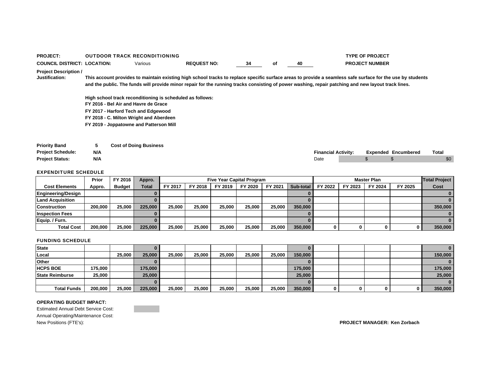| <b>PROJECT:</b>                                  |          | <b>OUTDOOR TRACK RECONDITIONING</b>                                                                                                                                                 |                                                                                                                                                                                                                                                                                                                   |    |    |      |                            | <b>TYPE OF PROJECT</b> |                            |       |
|--------------------------------------------------|----------|-------------------------------------------------------------------------------------------------------------------------------------------------------------------------------------|-------------------------------------------------------------------------------------------------------------------------------------------------------------------------------------------------------------------------------------------------------------------------------------------------------------------|----|----|------|----------------------------|------------------------|----------------------------|-------|
| <b>COUNCIL DISTRICT: LOCATION:</b>               |          | Various                                                                                                                                                                             | <b>REQUEST NO:</b>                                                                                                                                                                                                                                                                                                | 34 | оf | 40   |                            | <b>PROJECT NUMBER</b>  |                            |       |
| <b>Project Description /</b><br>Justification:   |          |                                                                                                                                                                                     | This account provides to maintain existing high school tracks to replace specific surface areas to provide a seamless safe surface for the use by students<br>and the public. The funds will provide minor repair for the running tracks consisting of power washing, repair patching and new layout track lines. |    |    |      |                            |                        |                            |       |
|                                                  |          | High school track reconditioning is scheduled as follows:<br>FY 2016 - Bel Air and Havre de Grace<br>FY 2017 - Harford Tech and Edgewood<br>FY 2018 - C. Milton Wright and Aberdeen |                                                                                                                                                                                                                                                                                                                   |    |    |      |                            |                        |                            |       |
|                                                  |          | FY 2019 - Joppatowne and Patterson Mill                                                                                                                                             |                                                                                                                                                                                                                                                                                                                   |    |    |      |                            |                        |                            |       |
| <b>Priority Band</b><br><b>Project Schedule:</b> | 5<br>N/A | <b>Cost of Doing Business</b>                                                                                                                                                       |                                                                                                                                                                                                                                                                                                                   |    |    |      | <b>Financial Activity:</b> |                        | <b>Expended Encumbered</b> | Total |
| <b>Project Status:</b>                           | N/A      |                                                                                                                                                                                     |                                                                                                                                                                                                                                                                                                                   |    |    | Date |                            | \$                     |                            | \$0   |

|                           | Prior   | FY 2016       | Appro.       |         |         | <b>Five Year Capital Program</b> |         |         |           |         |         | <b>Master Plan</b> |         | <b>Total Project</b> |
|---------------------------|---------|---------------|--------------|---------|---------|----------------------------------|---------|---------|-----------|---------|---------|--------------------|---------|----------------------|
| <b>Cost Elements</b>      | Appro.  | <b>Budget</b> | <b>Total</b> | FY 2017 | FY 2018 | FY 2019                          | FY 2020 | FY 2021 | Sub-total | FY 2022 | FY 2023 | FY 2024            | FY 2025 | Cost                 |
| <b>Engineering/Design</b> |         |               |              |         |         |                                  |         |         |           |         |         |                    |         |                      |
| <b>Land Acquisition</b>   |         |               |              |         |         |                                  |         |         |           |         |         |                    |         |                      |
| <b>Construction</b>       | 200,000 | 25.000        | 225,000      | 25,000  | 25.000  | 25.000                           | 25.000  | 25.000  | 350,000   |         |         |                    |         | 350,000              |
| <b>Inspection Fees</b>    |         |               |              |         |         |                                  |         |         |           |         |         |                    |         |                      |
| Equip. / Furn.            |         |               |              |         |         |                                  |         |         |           |         |         |                    |         |                      |
| <b>Total Cost</b>         | 200,000 | 25,000        | 225,000      | 25,000  | 25,000  | 25.000                           | 25.000  | 25.000  | 350,000   |         | 0       |                    |         | 350,000              |

### FUNDING SCHEDULE

| <b>State</b>           |         |        |         |        |        |        |        |        |         |   |     |         |
|------------------------|---------|--------|---------|--------|--------|--------|--------|--------|---------|---|-----|---------|
| Local                  |         | 25,000 | 25,000  | 25.000 | 25,000 | 25,000 | 25,000 | 25,000 | 150,000 |   |     | 150,000 |
| Other                  |         |        |         |        |        |        |        |        |         |   |     |         |
| <b>HCPS BOE</b>        | 175,000 |        | 175,000 |        |        |        |        |        | 175,000 |   |     | 175,000 |
| <b>State Reimburse</b> | 25.000  |        | 25,000  |        |        |        |        |        | 25,000  |   |     | 25,000  |
|                        |         |        |         |        |        |        |        |        |         |   |     |         |
| <b>Total Funds</b>     | 200,000 | 25,000 | 225,000 | 25,000 | 25,000 | 25,000 | 25,000 | 25,000 | 350,000 | 0 | υ ι | 350,000 |

#### **OPERATING BUDGET IMPACT:**

Estimated Annual Debt Service Cost: Annual Operating/Maintenance Cost: New Positions (FTE's): **PROJECT MANAGER: Ken Zorbach**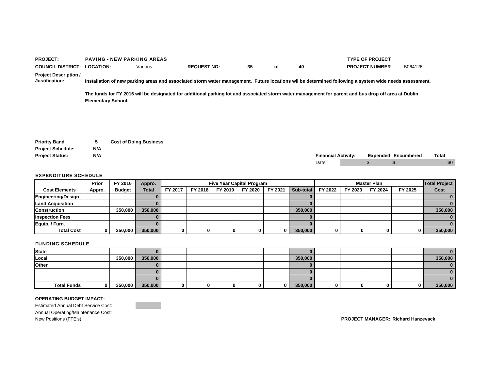| <b>PROJECT:</b>                                |                           | <b>PAVING - NEW PARKING AREAS</b> |                                                                                                                                                       |    |    |      |                            | <b>TYPE OF PROJECT</b> |                            |              |
|------------------------------------------------|---------------------------|-----------------------------------|-------------------------------------------------------------------------------------------------------------------------------------------------------|----|----|------|----------------------------|------------------------|----------------------------|--------------|
| <b>COUNCIL DISTRICT:</b>                       | <b>LOCATION:</b>          | Various                           | <b>REQUEST NO:</b>                                                                                                                                    | 35 | оf | 40   |                            | <b>PROJECT NUMBER</b>  | B064126                    |              |
| <b>Project Description /</b><br>Justification: |                           |                                   | Installation of new parking areas and associated storm water management. Future locations wil be determined following a system wide needs assessment. |    |    |      |                            |                        |                            |              |
|                                                | <b>Elementary School.</b> |                                   | The funds for FY 2016 will be designated for additional parking lot and associated storm water management for parent and bus drop off area at Dublin  |    |    |      |                            |                        |                            |              |
|                                                |                           |                                   |                                                                                                                                                       |    |    |      |                            |                        |                            |              |
|                                                |                           |                                   |                                                                                                                                                       |    |    |      |                            |                        |                            |              |
| <b>Priority Band</b>                           | 5                         | <b>Cost of Doing Business</b>     |                                                                                                                                                       |    |    |      |                            |                        |                            |              |
| <b>Project Schedule:</b>                       | N/A                       |                                   |                                                                                                                                                       |    |    |      |                            |                        |                            |              |
| <b>Project Status:</b>                         | N/A                       |                                   |                                                                                                                                                       |    |    |      | <b>Financial Activity:</b> |                        | <b>Expended Encumbered</b> | <b>Total</b> |
|                                                |                           |                                   |                                                                                                                                                       |    |    | Date |                            | \$                     |                            | \$0          |

|                         | Prior  | FY 2016       | Appro.  |         |         |         | <b>Five Year Capital Program</b> |         |           |         |         | <b>Master Plan</b> |         | <b>Total Project</b> |
|-------------------------|--------|---------------|---------|---------|---------|---------|----------------------------------|---------|-----------|---------|---------|--------------------|---------|----------------------|
| <b>Cost Elements</b>    | Appro. | <b>Budget</b> | Total   | FY 2017 | FY 2018 | FY 2019 | FY 2020                          | FY 2021 | Sub-total | FY 2022 | FY 2023 | FY 2024            | FY 2025 | Cost                 |
| Engineering/Design      |        |               |         |         |         |         |                                  |         |           |         |         |                    |         |                      |
| <b>Land Acquisition</b> |        |               |         |         |         |         |                                  |         |           |         |         |                    |         |                      |
| <b>Construction</b>     |        | 350,000       | 350,000 |         |         |         |                                  |         | 350,000   |         |         |                    |         | 350,000              |
| <b>Inspection Fees</b>  |        |               |         |         |         |         |                                  |         |           |         |         |                    |         |                      |
| Equip. / Furn.          |        |               |         |         |         |         |                                  |         |           |         |         |                    |         |                      |
| <b>Total Cost</b>       | 0      | 350,000       | 350,000 |         |         |         |                                  |         | 350,000   | 0       | 0       |                    |         | 350,000              |

### FUNDING SCHEDULE

| <b>State</b>       |    |         |         |  |   |              |         |   |  |         |
|--------------------|----|---------|---------|--|---|--------------|---------|---|--|---------|
| Local              |    | 350,000 | 350,000 |  |   |              | 350,000 |   |  | 350,000 |
| Other              |    |         |         |  |   |              |         |   |  |         |
|                    |    |         |         |  |   |              |         |   |  |         |
|                    |    |         |         |  |   |              |         |   |  |         |
| <b>Total Funds</b> | n. | 350,000 | 350,000 |  | 0 | $\mathbf{0}$ | 350,000 | 0 |  | 350,000 |

#### **OPERATING BUDGET IMPACT:**

Estimated Annual Debt Service Cost: Annual Operating/Maintenance Cost: New Positions (FTE's): **PROJECT MANAGER: Richard Hanzevack**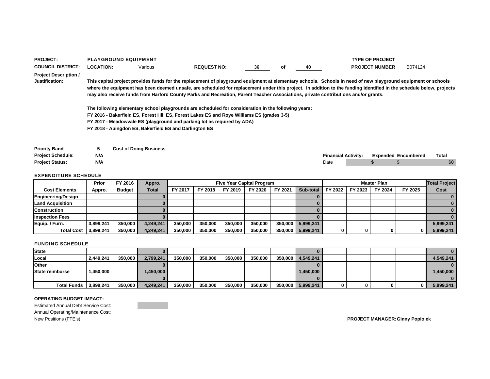| <b>PROJECT:</b>                                |                  | <b>PLAYGROUND EQUIPMENT</b>                            |                                                                                                                                                                                                                                                                                                                                                                                                                                                                                                                                                                                                                                                                                 |    |    |    |                            | <b>TYPE OF PROJECT</b>     |         |              |  |
|------------------------------------------------|------------------|--------------------------------------------------------|---------------------------------------------------------------------------------------------------------------------------------------------------------------------------------------------------------------------------------------------------------------------------------------------------------------------------------------------------------------------------------------------------------------------------------------------------------------------------------------------------------------------------------------------------------------------------------------------------------------------------------------------------------------------------------|----|----|----|----------------------------|----------------------------|---------|--------------|--|
| <b>COUNCIL DISTRICT:</b>                       | <b>LOCATION:</b> | Various                                                | <b>REQUEST NO:</b>                                                                                                                                                                                                                                                                                                                                                                                                                                                                                                                                                                                                                                                              | 36 | οf | 40 |                            | <b>PROJECT NUMBER</b>      | B074124 |              |  |
| <b>Project Description /</b><br>Justification: |                  |                                                        | This capital project provides funds for the replacement of playground equipment at elementary schools. Schools in need of new playground equipment or schools<br>where the equipment has been deemed unsafe, are scheduled for replacement under this project. In addition to the funding identified in the schedule below, projects<br>may also receive funds from Harford County Parks and Recreation, Parent Teacher Associations, private contributions and/or grants.<br>The following elementary school playgrounds are scheduled for consideration in the following years:<br>FY 2016 - Bakerfield ES, Forest Hill ES, Forest Lakes ES and Roye Williams ES (grades 3-5) |    |    |    |                            |                            |         |              |  |
|                                                |                  |                                                        | FY 2017 - Meadowyale ES (playground and parking lot as reguired by ADA)                                                                                                                                                                                                                                                                                                                                                                                                                                                                                                                                                                                                         |    |    |    |                            |                            |         |              |  |
|                                                |                  | FY 2018 - Abingdon ES, Bakerfield ES and Darlington ES |                                                                                                                                                                                                                                                                                                                                                                                                                                                                                                                                                                                                                                                                                 |    |    |    |                            |                            |         |              |  |
| <b>Priority Band</b>                           | 5                | <b>Cost of Doing Business</b>                          |                                                                                                                                                                                                                                                                                                                                                                                                                                                                                                                                                                                                                                                                                 |    |    |    |                            |                            |         |              |  |
| <b>Project Schedule:</b>                       | N/A              |                                                        |                                                                                                                                                                                                                                                                                                                                                                                                                                                                                                                                                                                                                                                                                 |    |    |    | <b>Financial Activity:</b> | <b>Expended Encumbered</b> |         | <b>Total</b> |  |

|                           | Prior     | FY 2016       | Appro.       |         |         | <b>Five Year Capital Program</b> |         |         |                       |         |         | <b>Master Plan</b> |         | <b>Total Project</b> |
|---------------------------|-----------|---------------|--------------|---------|---------|----------------------------------|---------|---------|-----------------------|---------|---------|--------------------|---------|----------------------|
| <b>Cost Elements</b>      | Appro.    | <b>Budget</b> | <b>Total</b> | FY 2017 | FY 2018 | FY 2019                          | FY 2020 | FY 2021 | Sub-total             | FY 2022 | FY 2023 | FY 2024            | FY 2025 | Cost                 |
| <b>Engineering/Design</b> |           |               |              |         |         |                                  |         |         |                       |         |         |                    |         |                      |
| <b>Land Acquisition</b>   |           |               |              |         |         |                                  |         |         |                       |         |         |                    |         |                      |
| <b>Construction</b>       |           |               |              |         |         |                                  |         |         |                       |         |         |                    |         |                      |
| <b>Inspection Fees</b>    |           |               |              |         |         |                                  |         |         |                       |         |         |                    |         |                      |
| Equip. / Furn.            | 3,899,241 | 350,000       | 4.249.241    | 350,000 | 350,000 | 350,000                          | 350,000 |         | 350,000 5,999,241     |         |         |                    |         | 5,999,241            |
| <b>Total Cost</b>         | 3,899,241 | 350,000       | 4.249.241    | 350,000 | 350.000 | 350,000                          | 350,000 |         | $350,000$   5,999,241 |         |         |                    |         | 5,999,241            |

**Project Status: N/A** Date \$ \$ \$0

### FUNDING SCHEDULE

| <b>State</b>          |           |         |           |         |         |         |         |         |           |  |    |            |
|-----------------------|-----------|---------|-----------|---------|---------|---------|---------|---------|-----------|--|----|------------|
| Local                 | 2.449.241 | 350,000 | 2.799.241 | 350,000 | 350,000 | 350,000 | 350.000 | 350,000 | 4,549,241 |  |    | 4.549.241  |
| <b>Other</b>          |           |         |           |         |         |         |         |         |           |  |    |            |
| State reimburse       | 1,450,000 |         | 1,450,000 |         |         |         |         |         | 1,450,000 |  |    | ا 450,000. |
|                       |           |         |           |         |         |         |         |         |           |  |    |            |
| Total Funds 3,899,241 |           | 350,000 | 4,249,241 | 350,000 | 350,000 | 350,000 | 350,000 | 350,000 | 5,999,241 |  | 01 | 5,999,241  |

### **OPERATING BUDGET IMPACT:**

Estimated Annual Debt Service Cost: Annual Operating/Maintenance Cost: New Positions (FTE's): **PROJECT MANAGER:Ginny Popiolek**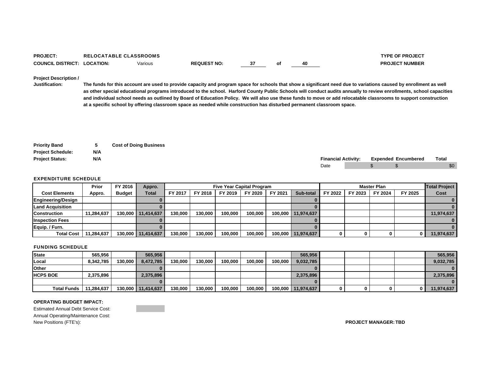| <b>PROJECT</b>                     | <b>RELOCATABLE CLASSROOMS</b> |         |                    |        |    | <b>TYPE OF PROJECT</b> |
|------------------------------------|-------------------------------|---------|--------------------|--------|----|------------------------|
| <b>COUNCIL DISTRICT: LOCATION:</b> |                               | Various | <b>REQUEST NO:</b> | $\sim$ | 40 | <b>PROJECT NUMBER</b>  |

### **Project Description /**

**Justification: The funds for this account are used to provide capacity and program space for schools that show a significant need due to variations caused by enrollment as well as other special educational programs introduced to the school. Harford County Public Schools will conduct audits annually to review enrollments, school capacities and individual school needs as outlined by Board of Education Policy. We will also use these funds to move or add relocatable classrooms to support construction at a specific school by offering classroom space as needed while construction has disturbed permanent classroom space.**

| <b>Priority Band</b>     |     | <b>Cost of Doing Business</b> |  |                            |  |                            |                  |
|--------------------------|-----|-------------------------------|--|----------------------------|--|----------------------------|------------------|
| <b>Project Schedule:</b> | N/A |                               |  |                            |  |                            |                  |
| <b>Project Status:</b>   | N/A |                               |  | <b>Financial Activity:</b> |  | <b>Expended Encumbered</b> | Total            |
|                          |     |                               |  | Date                       |  |                            | \$0 <sub>1</sub> |

#### EXPENDITURE SCHEDULE

|                        | Prior      | FY 2016       | Appro.       |         |         | <b>Five Year Capital Program</b> |         |         |                      |         |         | Master Plan |         | <b>Total Project</b> |
|------------------------|------------|---------------|--------------|---------|---------|----------------------------------|---------|---------|----------------------|---------|---------|-------------|---------|----------------------|
| <b>Cost Elements</b>   | Appro.     | <b>Budget</b> | <b>Total</b> | FY 2017 | FY 2018 | FY 2019                          | FY 2020 | FY 2021 | Sub-total            | FY 2022 | FY 2023 | FY 2024     | FY 2025 | Cost                 |
| Engineering/Design     |            |               |              |         |         |                                  |         |         |                      |         |         |             |         |                      |
| Land Acquisition       |            |               |              |         |         |                                  |         |         |                      |         |         |             |         |                      |
| <b>Construction</b>    | 11.284.637 | 130.000       | 11.414.637   | 130.000 | 130.000 | 100.000                          | 100.000 |         | 100,000   11,974,637 |         |         |             |         | 11,974,637           |
| <b>Inspection Fees</b> |            |               |              |         |         |                                  |         |         |                      |         |         |             |         |                      |
| Equip. / Furn.         |            |               |              |         |         |                                  |         |         |                      |         |         |             |         |                      |
| <b>Total Cost</b>      | 11,284,637 | 130,000       | 11.414.637   | 130,000 | 130.000 | 100,000                          | 100.000 |         | 100,000 11,974,637   |         |         |             |         | 11,974,637           |

#### FUNDING SCHEDULE

| <b>State</b>       | 565.956    |         | 565.956            |         |         |         |         |         | 565,956            |  |  | 565,956    |
|--------------------|------------|---------|--------------------|---------|---------|---------|---------|---------|--------------------|--|--|------------|
| Local              | 8.342.785  | 130.000 | 8.472.785          | 130.000 | 130.000 | 100.000 | 100.000 | 100.000 | 9,032,785          |  |  | 9,032,785  |
| Other              |            |         |                    |         |         |         |         |         |                    |  |  |            |
| <b>HCPS BOE</b>    | 2,375,896  |         | 2,375,896          |         |         |         |         |         | 2,375,896          |  |  | 2,375,896  |
|                    |            |         |                    |         |         |         |         |         |                    |  |  |            |
| <b>Total Funds</b> | 11.284.637 |         | 130,000 11,414,637 | 130,000 | 130,000 | 100,000 | 100,000 |         | 100,000 11,974,637 |  |  | 11,974,637 |

### **OPERATING BUDGET IMPACT:**

Estimated Annual Debt Service Cost: Annual Operating/Maintenance Cost: New Positions (FTE's): **PROJECT MANAGER: TBD**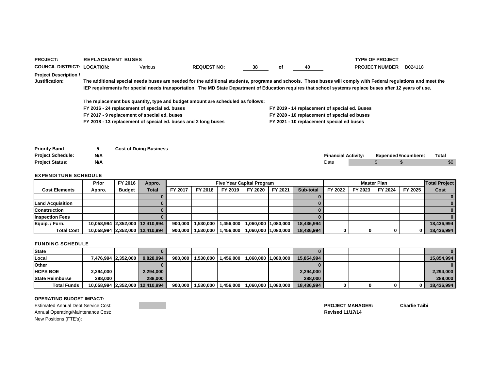| <b>PROJECT:</b>                                | <b>REPLACEMENT BUSES</b>                                       |         |                                                                                |    |    |                                           | <b>TYPE OF PROJECT</b>                                                                                                                                                                                                                                                                                                      |         |
|------------------------------------------------|----------------------------------------------------------------|---------|--------------------------------------------------------------------------------|----|----|-------------------------------------------|-----------------------------------------------------------------------------------------------------------------------------------------------------------------------------------------------------------------------------------------------------------------------------------------------------------------------------|---------|
| <b>COUNCIL DISTRICT: LOCATION:</b>             |                                                                | Various | <b>REQUEST NO:</b>                                                             | 38 | оf | 40                                        | <b>PROJECT NUMBER</b>                                                                                                                                                                                                                                                                                                       | B024118 |
| <b>Project Description /</b><br>Justification: |                                                                |         |                                                                                |    |    |                                           | The additional special needs buses are needed for the additional students, programs and schools. These buses will comply with Federal regulations and meet the<br>IEP requirements for special needs transportation. The MD State Department of Education requires that school systems replace buses after 12 years of use. |         |
|                                                |                                                                |         | The replacement bus quantity, type and budget amount are scheduled as follows: |    |    |                                           |                                                                                                                                                                                                                                                                                                                             |         |
|                                                | FY 2016 - 24 replacement of special ed. buses                  |         |                                                                                |    |    |                                           | FY 2019 - 14 replacement of special ed. Buses                                                                                                                                                                                                                                                                               |         |
|                                                | FY 2017 - 9 replacement of special ed. buses                   |         |                                                                                |    |    |                                           | FY 2020 - 10 replacement of special ed buses                                                                                                                                                                                                                                                                                |         |
|                                                | FY 2018 - 13 replacement of special ed. buses and 2 long buses |         |                                                                                |    |    | FY 2021 - 10 replacement special ed buses |                                                                                                                                                                                                                                                                                                                             |         |
|                                                |                                                                |         |                                                                                |    |    |                                           |                                                                                                                                                                                                                                                                                                                             |         |
|                                                |                                                                |         |                                                                                |    |    |                                           |                                                                                                                                                                                                                                                                                                                             |         |
|                                                |                                                                |         |                                                                                |    |    |                                           |                                                                                                                                                                                                                                                                                                                             |         |

| <b>Priority Band</b>     |     | <b>Cost of Doing Business</b> |                            |  |                     |              |
|--------------------------|-----|-------------------------------|----------------------------|--|---------------------|--------------|
| <b>Project Schedule:</b> | N/A |                               | <b>Financial Activity:</b> |  | Expended Encumbered | <b>Total</b> |
| <b>Project Status:</b>   | N/A |                               | Date                       |  |                     | \$0          |

|                         | <b>Prior</b> | FY 2016       | Appro.                          |         |           | <b>Five Year Capital Program</b> |                     |         |            |         |         | <b>Master Plan</b> |         | <b>Total Project</b> |
|-------------------------|--------------|---------------|---------------------------------|---------|-----------|----------------------------------|---------------------|---------|------------|---------|---------|--------------------|---------|----------------------|
| <b>Cost Elements</b>    | Appro.       | <b>Budget</b> | <b>Total</b>                    | FY 2017 | FY 2018   | FY 2019                          | FY 2020             | FY 2021 | Sub-total  | FY 2022 | FY 2023 | FY 2024            | FY 2025 | Cost                 |
|                         |              |               |                                 |         |           |                                  |                     |         |            |         |         |                    |         |                      |
| <b>Land Acquisition</b> |              |               |                                 |         |           |                                  |                     |         |            |         |         |                    |         |                      |
| <b>Construction</b>     |              |               |                                 |         |           |                                  |                     |         |            |         |         |                    |         |                      |
| <b>Inspection Fees</b>  |              |               |                                 |         |           |                                  |                     |         |            |         |         |                    |         |                      |
| Equip. / Furn.          |              |               | 10,058,994 2,352,000 12,410,994 | 900.000 | 1,530,000 | 1,456,000                        | 1,060,000 1,080,000 |         | 18,436,994 |         |         |                    |         | 18,436,994           |
| <b>Total Cost</b>       |              |               | 10,058,994 2,352,000 12,410,994 | 900,000 | 1.530.000 | 1,456,000                        | 1,060,000 1,080,000 |         | 18,436,994 |         |         | 0                  |         | 18,436,994           |

### FUNDING SCHEDULE

| <b>State</b>           |                                 |                     |           |         |           |           |                                               |            |  |  | $\mathbf{0}$   |
|------------------------|---------------------------------|---------------------|-----------|---------|-----------|-----------|-----------------------------------------------|------------|--|--|----------------|
| Local                  |                                 | 7,476,994 2,352,000 | 9.828.994 | 900.000 |           |           | 1,530,000   1,456,000   1,060,000   1,080,000 | 15.854.994 |  |  | 15.854.994     |
| <b>Other</b>           |                                 |                     |           |         |           |           |                                               |            |  |  | $\overline{0}$ |
| <b>HCPS BOE</b>        | 2,294,000                       |                     | 2,294,000 |         |           |           |                                               | 2,294,000  |  |  | 2,294,000      |
| <b>State Reimburse</b> | 288,000                         |                     | 288,000   |         |           |           |                                               | 288,000    |  |  | 288,000        |
| <b>Total Funds</b>     | 10,058,994 2,352,000 12,410,994 |                     |           | 900,000 | 1,530,000 | 1,456,000 | 1,060,000   1,080,000                         | 18,436,994 |  |  | 18,436,994     |

### **OPERATING BUDGET IMPACT:**

Estimated Annual Debt Service Cost:Annual Operating/Maintenance Cost: **Revised 11/17/14** New Positions (FTE's):

**PROJECT MANAGER: Charlie Taibi**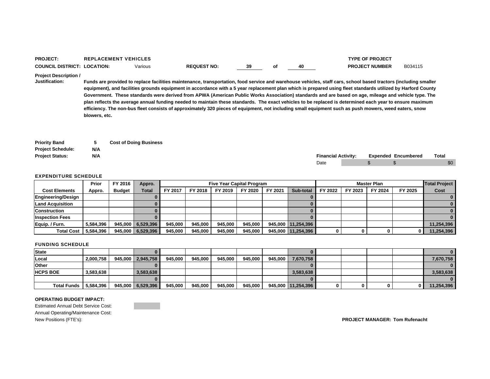| PROJECT.          | <b>LACEMENT VEHICLES</b><br><b>DEDI</b> |         |                    |    |    | <b>TYPE OF PROJECT</b> |         |
|-------------------|-----------------------------------------|---------|--------------------|----|----|------------------------|---------|
| COUNCIL DISTRICT: | <b>LOCATION:</b>                        | Various | <b>REQUEST NO:</b> | 39 | 40 | <b>PROJECT NUMBER</b>  | B034115 |

**Project Description /** 

**Justification: Funds are provided to replace facilities maintenance, transportation, food service and warehouse vehicles, staff cars, school based tractors (including smaller equipment), and facilities grounds equipment in accordance with a 5 year replacement plan which is prepared using fleet standards utilized by Harford County Government. These standards were derived from APWA (American Public Works Association) standards and are based on age, mileage and vehicle type. The plan reflects the average annual funding needed to maintain these standards. The exact vehicles to be replaced is determined each year to ensure maximum efficiency. The non-bus fleet consists of approximately 320 pieces of equipment, not including small equipment such as push mowers, weed eaters, snow blowers, etc.**

| <b>Priority Band</b>     |     | <b>Cost of Doing Business</b> |                            |  |                            |       |
|--------------------------|-----|-------------------------------|----------------------------|--|----------------------------|-------|
| <b>Project Schedule:</b> | N/A |                               |                            |  |                            |       |
| <b>Project Status:</b>   | N/A |                               | <b>Financial Activity:</b> |  | <b>Expended Encumbered</b> | Total |
|                          |     |                               | Date                       |  |                            | \$0   |

#### EXPENDITURE SCHEDULE

|                           | Prior     | FY 2016       | Appro.            | <b>Five Year Capital Program</b><br><b>Master Plan</b> |         |         |         |         |                      |         |         | <b>Total Project</b> |         |            |
|---------------------------|-----------|---------------|-------------------|--------------------------------------------------------|---------|---------|---------|---------|----------------------|---------|---------|----------------------|---------|------------|
| <b>Cost Elements</b>      | Appro.    | <b>Budget</b> | Total             | FY 2017                                                | FY 2018 | FY 2019 | FY 2020 | FY 2021 | Sub-total            | FY 2022 | FY 2023 | FY 2024              | FY 2025 | Cost       |
| <b>Engineering/Design</b> |           |               |                   |                                                        |         |         |         |         |                      |         |         |                      |         |            |
| <b>Land Acquisition</b>   |           |               |                   |                                                        |         |         |         |         |                      |         |         |                      |         |            |
| <b>Construction</b>       |           |               |                   |                                                        |         |         |         |         |                      |         |         |                      |         |            |
| <b>Inspection Fees</b>    |           |               |                   |                                                        |         |         |         |         |                      |         |         |                      |         |            |
| Equip. / Furn.            | 5.584.396 |               | 945,000 6,529,396 | 945.000                                                | 945.000 | 945.000 | 945,000 |         | 945,000   11,254,396 |         |         |                      |         | 11,254,396 |
| <b>Total Cost</b>         | 5,584,396 |               | 945,000 6,529,396 | 945.000                                                | 945.000 | 945.000 | 945,000 |         | 945,000 11,254,396   |         |         |                      | 0       | 11,254,396 |

### FUNDING SCHEDULE

| <b>State</b>       |           |                   |         |         |         |         |         |                    |  |  |            |
|--------------------|-----------|-------------------|---------|---------|---------|---------|---------|--------------------|--|--|------------|
| Local              | 2.000.758 | 945,000 2,945,758 | 945.000 | 945.000 | 945.000 | 945.000 | 945.000 | 7,670,758          |  |  | 7,670,758  |
| <b>Other</b>       |           |                   |         |         |         |         |         |                    |  |  |            |
| <b>HCPS BOE</b>    | 3.583.638 | 3.583.638         |         |         |         |         |         | 3,583,638          |  |  | 3.583.638  |
|                    |           |                   |         |         |         |         |         |                    |  |  |            |
| <b>Total Funds</b> | 5,584,396 | 945,000 6.529,396 | 945.000 | 945,000 | 945.000 | 945,000 |         | 945,000 11,254,396 |  |  | 11,254,396 |

#### **OPERATING BUDGET IMPACT:**

Estimated Annual Debt Service Cost: Annual Operating/Maintenance Cost: New Positions (FTE's): **PROJECT MANAGER: Tom Rufenacht**